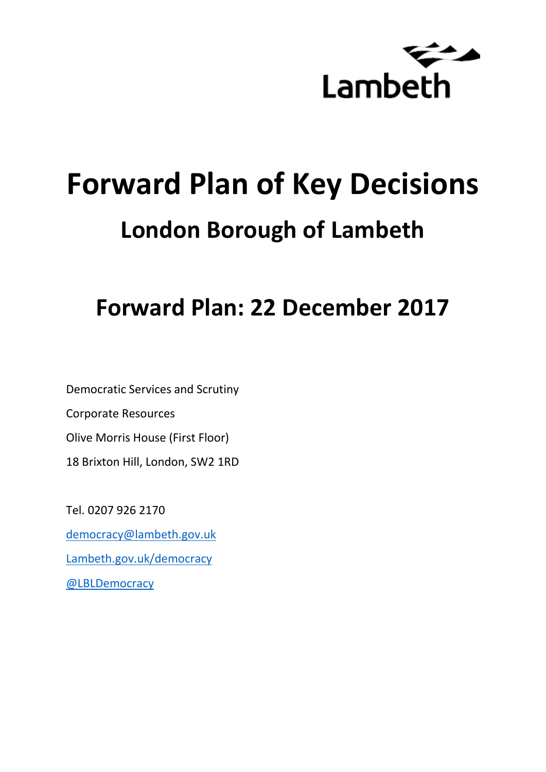

# **Forward Plan of Key Decisions London Borough of Lambeth**

**Forward Plan: 22 December 2017**

Democratic Services and Scrutiny Corporate Resources Olive Morris House (First Floor) 18 Brixton Hill, London, SW2 1RD

Tel. 0207 926 2170 [democracy@lambeth.gov.uk](mailto:democracy@lambeth.gov.uk) [Lambeth.gov.uk/democracy](https://www.lambeth.gov.uk/elections-and-council/meetings-minutes-and-agendas/getting-involved-in-decision-making-guide) [@LBLDemocracy](https://twitter.com/LBLDemocracy?lang=en)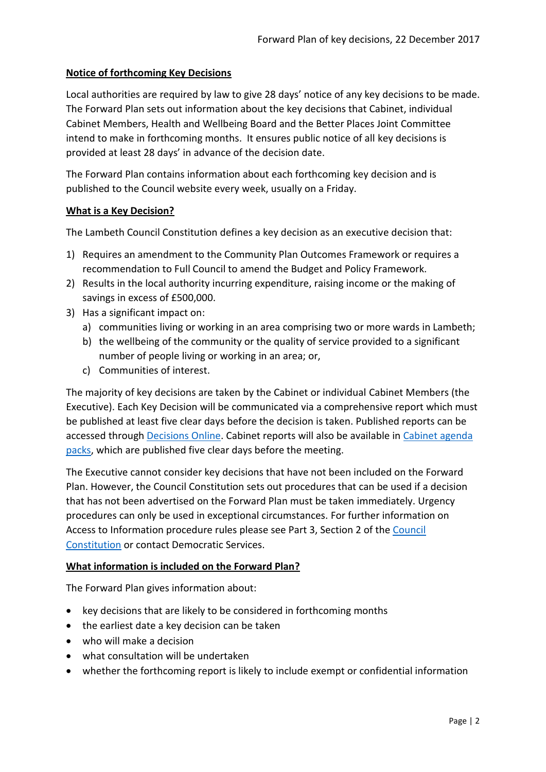## **Notice of forthcoming Key Decisions**

Local authorities are required by law to give 28 days' notice of any key decisions to be made. The Forward Plan sets out information about the key decisions that Cabinet, individual Cabinet Members, Health and Wellbeing Board and the Better Places Joint Committee intend to make in forthcoming months. It ensures public notice of all key decisions is provided at least 28 days' in advance of the decision date.

The Forward Plan contains information about each forthcoming key decision and is published to the Council website every week, usually on a Friday.

## **What is a Key Decision?**

The Lambeth Council Constitution defines a key decision as an executive decision that:

- 1) Requires an amendment to the Community Plan Outcomes Framework or requires a recommendation to Full Council to amend the Budget and Policy Framework.
- 2) Results in the local authority incurring expenditure, raising income or the making of savings in excess of £500,000.
- 3) Has a significant impact on:
	- a) communities living or working in an area comprising two or more wards in Lambeth;
	- b) the wellbeing of the community or the quality of service provided to a significant number of people living or working in an area; or,
	- c) Communities of interest.

The majority of key decisions are taken by the Cabinet or individual Cabinet Members (the Executive). Each Key Decision will be communicated via a comprehensive report which must be published at least five clear days before the decision is taken. Published reports can be accessed through [Decisions Online.](http://moderngov.lambeth.gov.uk/mgDelegatedDecisions.aspx?bcr=1&DM=0&DS=2&K=0&DR=&V=0) Cabinet reports will also be available in [Cabinet agenda](https://moderngov.lambeth.gov.uk/ieListMeetings.aspx?CommitteeId=225)  [packs,](https://moderngov.lambeth.gov.uk/ieListMeetings.aspx?CommitteeId=225) which are published five clear days before the meeting.

The Executive cannot consider key decisions that have not been included on the Forward Plan. However, the Council Constitution sets out procedures that can be used if a decision that has not been advertised on the Forward Plan must be taken immediately. Urgency procedures can only be used in exceptional circumstances. For further information on Access to Information procedure rules please see Part 3, Section 2 of the [Council](http://moderngov.lambeth.gov.uk/ieListMeetings.aspx?CId=738&info=1&MD=Constitution)  [Constitution](http://moderngov.lambeth.gov.uk/ieListMeetings.aspx?CId=738&info=1&MD=Constitution) or contact Democratic Services.

## **What information is included on the Forward Plan?**

The Forward Plan gives information about:

- key decisions that are likely to be considered in forthcoming months
- the earliest date a key decision can be taken
- who will make a decision
- what consultation will be undertaken
- whether the forthcoming report is likely to include exempt or confidential information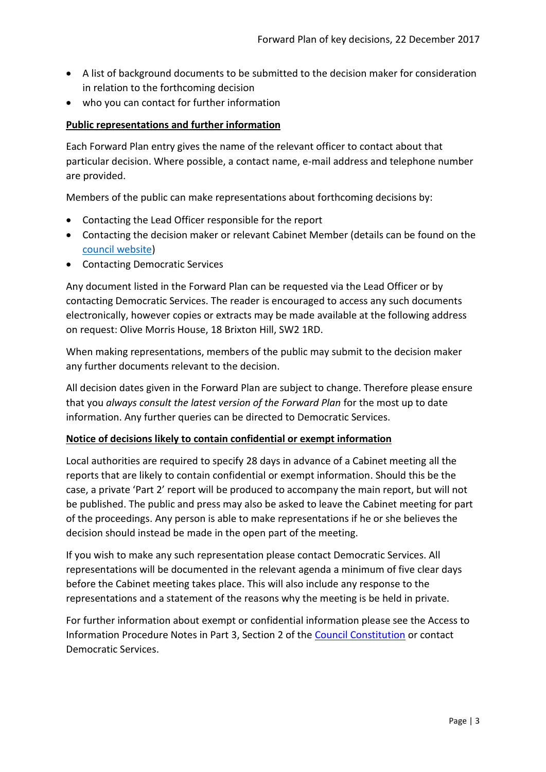- A list of background documents to be submitted to the decision maker for consideration in relation to the forthcoming decision
- who you can contact for further information

## **Public representations and further information**

Each Forward Plan entry gives the name of the relevant officer to contact about that particular decision. Where possible, a contact name, e-mail address and telephone number are provided.

Members of the public can make representations about forthcoming decisions by:

- Contacting the Lead Officer responsible for the report
- Contacting the decision maker or relevant Cabinet Member (details can be found on the [council website\)](http://moderngov.lambeth.gov.uk/mgMemberIndex.aspx?bcr=1)
- Contacting Democratic Services

Any document listed in the Forward Plan can be requested via the Lead Officer or by contacting Democratic Services. The reader is encouraged to access any such documents electronically, however copies or extracts may be made available at the following address on request: Olive Morris House, 18 Brixton Hill, SW2 1RD.

When making representations, members of the public may submit to the decision maker any further documents relevant to the decision.

All decision dates given in the Forward Plan are subject to change. Therefore please ensure that you *always consult the latest version of the Forward Plan* for the most up to date information. Any further queries can be directed to Democratic Services.

## **Notice of decisions likely to contain confidential or exempt information**

Local authorities are required to specify 28 days in advance of a Cabinet meeting all the reports that are likely to contain confidential or exempt information. Should this be the case, a private 'Part 2' report will be produced to accompany the main report, but will not be published. The public and press may also be asked to leave the Cabinet meeting for part of the proceedings. Any person is able to make representations if he or she believes the decision should instead be made in the open part of the meeting.

If you wish to make any such representation please contact Democratic Services. All representations will be documented in the relevant agenda a minimum of five clear days before the Cabinet meeting takes place. This will also include any response to the representations and a statement of the reasons why the meeting is be held in private.

For further information about exempt or confidential information please see the Access to Information Procedure Notes in Part 3, Section 2 of the [Council Constitution](http://www.lambeth.gov.uk/sites/default/files/ec-Council-Constitution-2014-15-approved-with-changes-November-2014.pdf) or contact Democratic Services.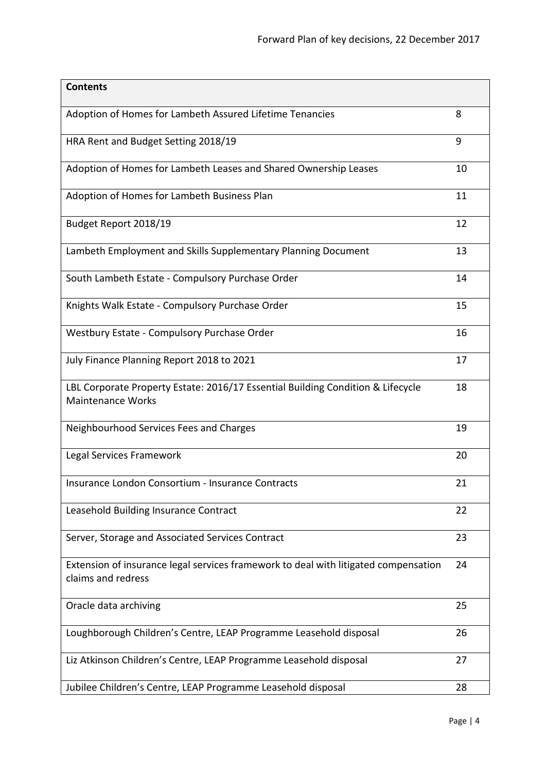| <b>Contents</b>                                                                                             |    |
|-------------------------------------------------------------------------------------------------------------|----|
| Adoption of Homes for Lambeth Assured Lifetime Tenancies                                                    | 8  |
| HRA Rent and Budget Setting 2018/19                                                                         | 9  |
| Adoption of Homes for Lambeth Leases and Shared Ownership Leases                                            | 10 |
| Adoption of Homes for Lambeth Business Plan                                                                 | 11 |
| Budget Report 2018/19                                                                                       | 12 |
| Lambeth Employment and Skills Supplementary Planning Document                                               | 13 |
| South Lambeth Estate - Compulsory Purchase Order                                                            | 14 |
| Knights Walk Estate - Compulsory Purchase Order                                                             | 15 |
| Westbury Estate - Compulsory Purchase Order                                                                 | 16 |
| July Finance Planning Report 2018 to 2021                                                                   | 17 |
| LBL Corporate Property Estate: 2016/17 Essential Building Condition & Lifecycle<br><b>Maintenance Works</b> | 18 |
| Neighbourhood Services Fees and Charges                                                                     | 19 |
| Legal Services Framework                                                                                    | 20 |
| Insurance London Consortium - Insurance Contracts                                                           | 21 |
| Leasehold Building Insurance Contract                                                                       | 22 |
| Server, Storage and Associated Services Contract                                                            | 23 |
| Extension of insurance legal services framework to deal with litigated compensation<br>claims and redress   | 24 |
| Oracle data archiving                                                                                       | 25 |
| Loughborough Children's Centre, LEAP Programme Leasehold disposal                                           | 26 |
| Liz Atkinson Children's Centre, LEAP Programme Leasehold disposal                                           | 27 |
| Jubilee Children's Centre, LEAP Programme Leasehold disposal                                                | 28 |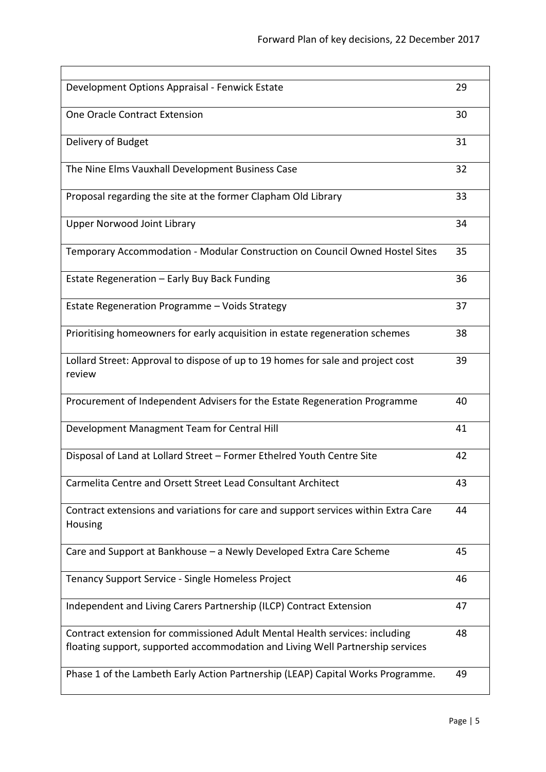$\overline{\phantom{0}}$ 

| Development Options Appraisal - Fenwick Estate                                                                                                                | 29 |
|---------------------------------------------------------------------------------------------------------------------------------------------------------------|----|
| One Oracle Contract Extension                                                                                                                                 | 30 |
| Delivery of Budget                                                                                                                                            | 31 |
| The Nine Elms Vauxhall Development Business Case                                                                                                              | 32 |
| Proposal regarding the site at the former Clapham Old Library                                                                                                 | 33 |
| <b>Upper Norwood Joint Library</b>                                                                                                                            | 34 |
| Temporary Accommodation - Modular Construction on Council Owned Hostel Sites                                                                                  | 35 |
| Estate Regeneration - Early Buy Back Funding                                                                                                                  | 36 |
| Estate Regeneration Programme - Voids Strategy                                                                                                                | 37 |
| Prioritising homeowners for early acquisition in estate regeneration schemes                                                                                  | 38 |
| Lollard Street: Approval to dispose of up to 19 homes for sale and project cost<br>review                                                                     | 39 |
| Procurement of Independent Advisers for the Estate Regeneration Programme                                                                                     | 40 |
| Development Managment Team for Central Hill                                                                                                                   | 41 |
| Disposal of Land at Lollard Street - Former Ethelred Youth Centre Site                                                                                        | 42 |
| Carmelita Centre and Orsett Street Lead Consultant Architect                                                                                                  | 43 |
| Contract extensions and variations for care and support services within Extra Care<br><b>Housing</b>                                                          | 44 |
| Care and Support at Bankhouse - a Newly Developed Extra Care Scheme                                                                                           | 45 |
| Tenancy Support Service - Single Homeless Project                                                                                                             | 46 |
| Independent and Living Carers Partnership (ILCP) Contract Extension                                                                                           | 47 |
| Contract extension for commissioned Adult Mental Health services: including<br>floating support, supported accommodation and Living Well Partnership services | 48 |
| Phase 1 of the Lambeth Early Action Partnership (LEAP) Capital Works Programme.                                                                               | 49 |

 $\mathbf{r}$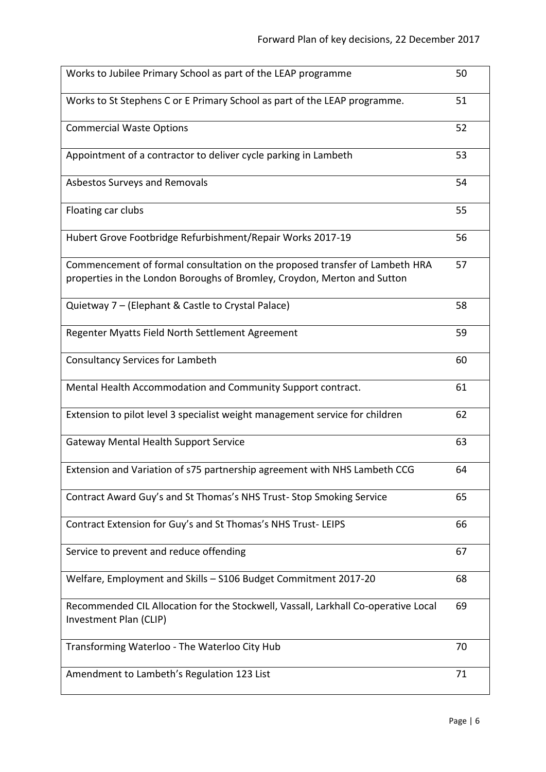| Works to Jubilee Primary School as part of the LEAP programme                                                                                           | 50 |
|---------------------------------------------------------------------------------------------------------------------------------------------------------|----|
| Works to St Stephens C or E Primary School as part of the LEAP programme.                                                                               | 51 |
| <b>Commercial Waste Options</b>                                                                                                                         | 52 |
| Appointment of a contractor to deliver cycle parking in Lambeth                                                                                         | 53 |
| Asbestos Surveys and Removals                                                                                                                           | 54 |
| Floating car clubs                                                                                                                                      | 55 |
| Hubert Grove Footbridge Refurbishment/Repair Works 2017-19                                                                                              | 56 |
| Commencement of formal consultation on the proposed transfer of Lambeth HRA<br>properties in the London Boroughs of Bromley, Croydon, Merton and Sutton | 57 |
| Quietway 7 - (Elephant & Castle to Crystal Palace)                                                                                                      | 58 |
| Regenter Myatts Field North Settlement Agreement                                                                                                        | 59 |
| <b>Consultancy Services for Lambeth</b>                                                                                                                 | 60 |
| Mental Health Accommodation and Community Support contract.                                                                                             | 61 |
| Extension to pilot level 3 specialist weight management service for children                                                                            | 62 |
| <b>Gateway Mental Health Support Service</b>                                                                                                            | 63 |
| Extension and Variation of s75 partnership agreement with NHS Lambeth CCG                                                                               | 64 |
| Contract Award Guy's and St Thomas's NHS Trust-Stop Smoking Service                                                                                     | 65 |
| Contract Extension for Guy's and St Thomas's NHS Trust-LEIPS                                                                                            | 66 |
| Service to prevent and reduce offending                                                                                                                 | 67 |
| Welfare, Employment and Skills - S106 Budget Commitment 2017-20                                                                                         | 68 |
| Recommended CIL Allocation for the Stockwell, Vassall, Larkhall Co-operative Local<br>Investment Plan (CLIP)                                            | 69 |
| Transforming Waterloo - The Waterloo City Hub                                                                                                           | 70 |
| Amendment to Lambeth's Regulation 123 List                                                                                                              | 71 |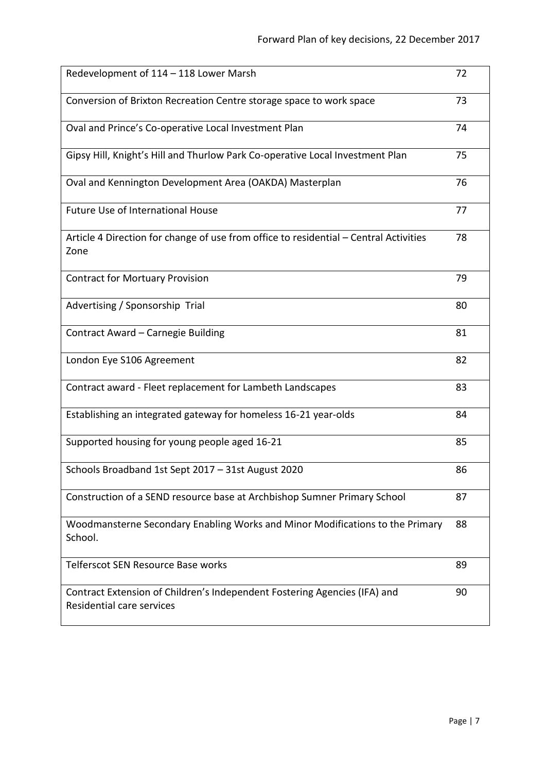| Redevelopment of 114 - 118 Lower Marsh                                                                 | 72 |
|--------------------------------------------------------------------------------------------------------|----|
| Conversion of Brixton Recreation Centre storage space to work space                                    | 73 |
| Oval and Prince's Co-operative Local Investment Plan                                                   | 74 |
| Gipsy Hill, Knight's Hill and Thurlow Park Co-operative Local Investment Plan                          | 75 |
| Oval and Kennington Development Area (OAKDA) Masterplan                                                | 76 |
| <b>Future Use of International House</b>                                                               | 77 |
| Article 4 Direction for change of use from office to residential - Central Activities<br>Zone          | 78 |
| <b>Contract for Mortuary Provision</b>                                                                 | 79 |
| Advertising / Sponsorship Trial                                                                        | 80 |
| Contract Award - Carnegie Building                                                                     | 81 |
| London Eye S106 Agreement                                                                              | 82 |
| Contract award - Fleet replacement for Lambeth Landscapes                                              | 83 |
| Establishing an integrated gateway for homeless 16-21 year-olds                                        | 84 |
| Supported housing for young people aged 16-21                                                          | 85 |
| Schools Broadband 1st Sept 2017 - 31st August 2020                                                     | 86 |
| Construction of a SEND resource base at Archbishop Sumner Primary School                               | 87 |
| Woodmansterne Secondary Enabling Works and Minor Modifications to the Primary<br>School.               | 88 |
| Telferscot SEN Resource Base works                                                                     | 89 |
| Contract Extension of Children's Independent Fostering Agencies (IFA) and<br>Residential care services | 90 |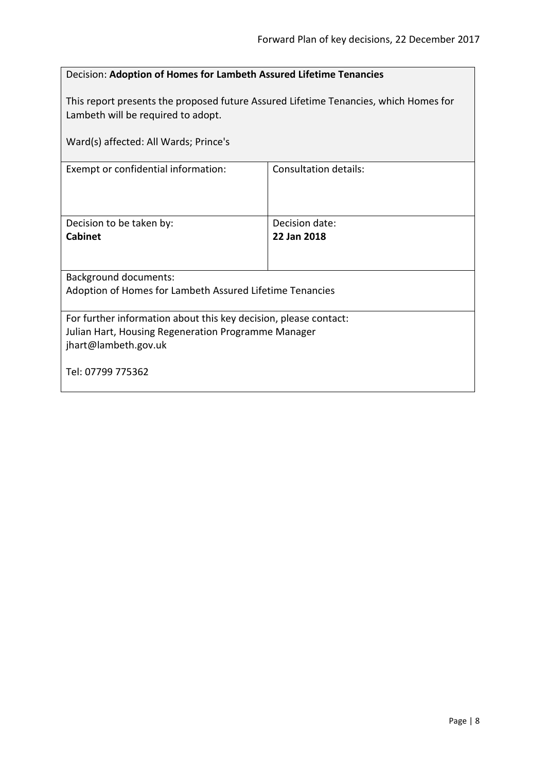<span id="page-7-0"></span>

| Decision: Adoption of Homes for Lambeth Assured Lifetime Tenancies                                                                              |                               |  |
|-------------------------------------------------------------------------------------------------------------------------------------------------|-------------------------------|--|
| This report presents the proposed future Assured Lifetime Tenancies, which Homes for<br>Lambeth will be required to adopt.                      |                               |  |
| Ward(s) affected: All Wards; Prince's                                                                                                           |                               |  |
| Exempt or confidential information:                                                                                                             | Consultation details:         |  |
| Decision to be taken by:<br><b>Cabinet</b>                                                                                                      | Decision date:<br>22 Jan 2018 |  |
| <b>Background documents:</b>                                                                                                                    |                               |  |
| Adoption of Homes for Lambeth Assured Lifetime Tenancies                                                                                        |                               |  |
| For further information about this key decision, please contact:<br>Julian Hart, Housing Regeneration Programme Manager<br>jhart@lambeth.gov.uk |                               |  |
| Tel: 07799 775362                                                                                                                               |                               |  |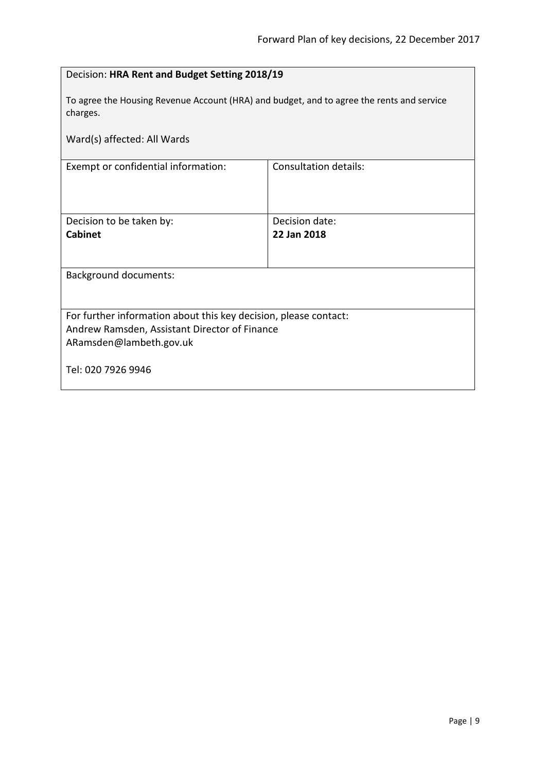<span id="page-8-0"></span>

| Decision: HRA Rent and Budget Setting 2018/19                                                         |                              |  |
|-------------------------------------------------------------------------------------------------------|------------------------------|--|
| To agree the Housing Revenue Account (HRA) and budget, and to agree the rents and service<br>charges. |                              |  |
| Ward(s) affected: All Wards                                                                           |                              |  |
| Exempt or confidential information:                                                                   | <b>Consultation details:</b> |  |
|                                                                                                       |                              |  |
| Decision to be taken by:                                                                              | Decision date:               |  |
| <b>Cabinet</b>                                                                                        | 22 Jan 2018                  |  |
| <b>Background documents:</b>                                                                          |                              |  |
|                                                                                                       |                              |  |
| For further information about this key decision, please contact:                                      |                              |  |
| Andrew Ramsden, Assistant Director of Finance                                                         |                              |  |
| ARamsden@lambeth.gov.uk                                                                               |                              |  |
| Tel: 020 7926 9946                                                                                    |                              |  |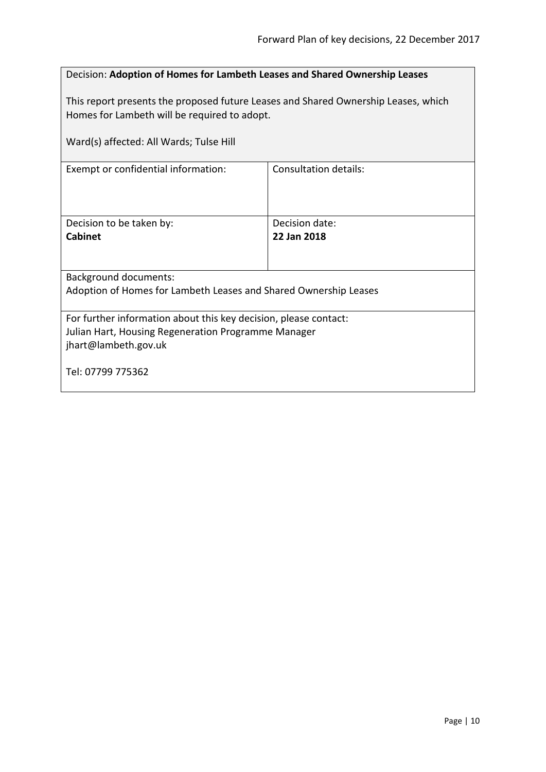<span id="page-9-0"></span>

| Decision: Adoption of Homes for Lambeth Leases and Shared Ownership Leases                                                                      |                               |  |
|-------------------------------------------------------------------------------------------------------------------------------------------------|-------------------------------|--|
| This report presents the proposed future Leases and Shared Ownership Leases, which<br>Homes for Lambeth will be required to adopt.              |                               |  |
| Ward(s) affected: All Wards; Tulse Hill                                                                                                         |                               |  |
| Exempt or confidential information:                                                                                                             | Consultation details:         |  |
| Decision to be taken by:<br>Cabinet                                                                                                             | Decision date:<br>22 Jan 2018 |  |
| Background documents:                                                                                                                           |                               |  |
| Adoption of Homes for Lambeth Leases and Shared Ownership Leases                                                                                |                               |  |
| For further information about this key decision, please contact:<br>Julian Hart, Housing Regeneration Programme Manager<br>jhart@lambeth.gov.uk |                               |  |
| Tel: 07799 775362                                                                                                                               |                               |  |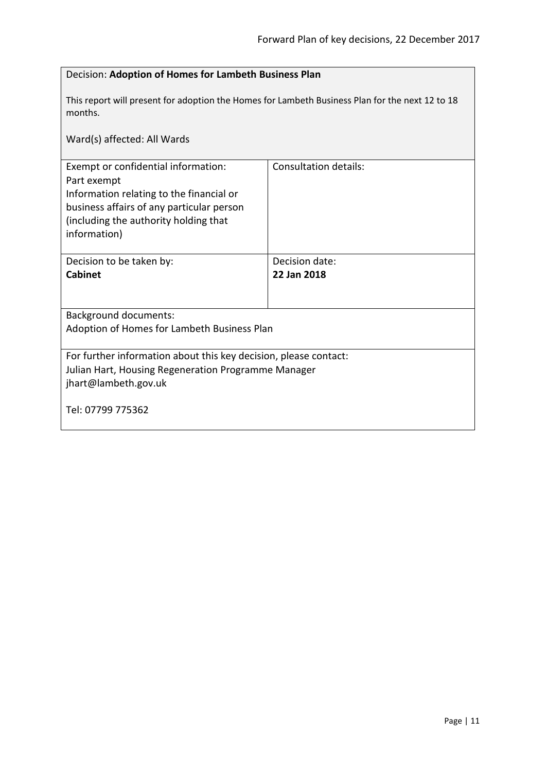<span id="page-10-0"></span>

| Decision: Adoption of Homes for Lambeth Business Plan                                                                                                                                                |                               |  |
|------------------------------------------------------------------------------------------------------------------------------------------------------------------------------------------------------|-------------------------------|--|
| This report will present for adoption the Homes for Lambeth Business Plan for the next 12 to 18<br>months.                                                                                           |                               |  |
| Ward(s) affected: All Wards                                                                                                                                                                          |                               |  |
| Exempt or confidential information:<br>Part exempt<br>Information relating to the financial or<br>business affairs of any particular person<br>(including the authority holding that<br>information) | <b>Consultation details:</b>  |  |
| Decision to be taken by:<br><b>Cabinet</b>                                                                                                                                                           | Decision date:<br>22 Jan 2018 |  |
| <b>Background documents:</b><br>Adoption of Homes for Lambeth Business Plan                                                                                                                          |                               |  |
| For further information about this key decision, please contact:<br>Julian Hart, Housing Regeneration Programme Manager<br>jhart@lambeth.gov.uk<br>Tel: 07799 775362                                 |                               |  |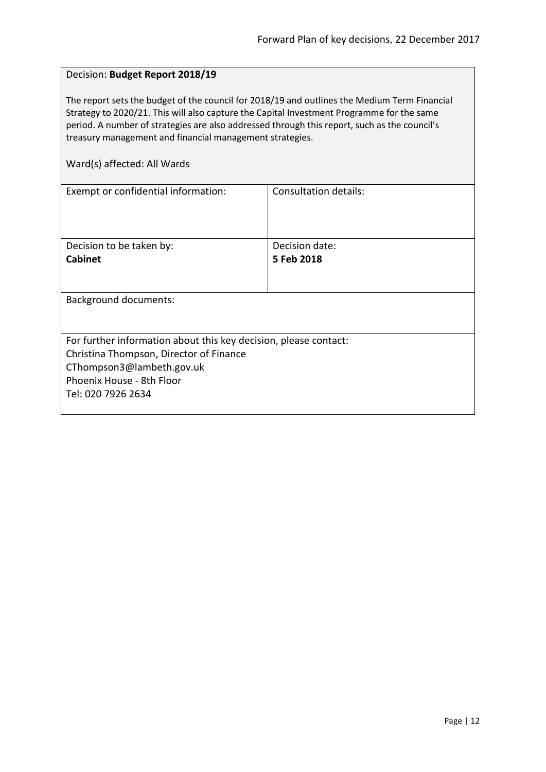## <span id="page-11-0"></span>Decision: **Budget Report 2018/19**

The report sets the budget of the council for 2018/19 and outlines the Medium Term Financial Strategy to 2020/21. This will also capture the Capital Investment Programme for the same period. A number of strategies are also addressed through this report, such as the council's treasury management and financial management strategies.

| Exempt or confidential information:<br>Consultation details:     |  |  |
|------------------------------------------------------------------|--|--|
|                                                                  |  |  |
|                                                                  |  |  |
|                                                                  |  |  |
| Decision date:<br>Decision to be taken by:                       |  |  |
| 5 Feb 2018                                                       |  |  |
|                                                                  |  |  |
|                                                                  |  |  |
| <b>Background documents:</b>                                     |  |  |
|                                                                  |  |  |
|                                                                  |  |  |
| For further information about this key decision, please contact: |  |  |
| Christina Thompson, Director of Finance                          |  |  |
| CThompson3@lambeth.gov.uk                                        |  |  |
| Phoenix House - 8th Floor                                        |  |  |
| Tel: 020 7926 2634                                               |  |  |
|                                                                  |  |  |
|                                                                  |  |  |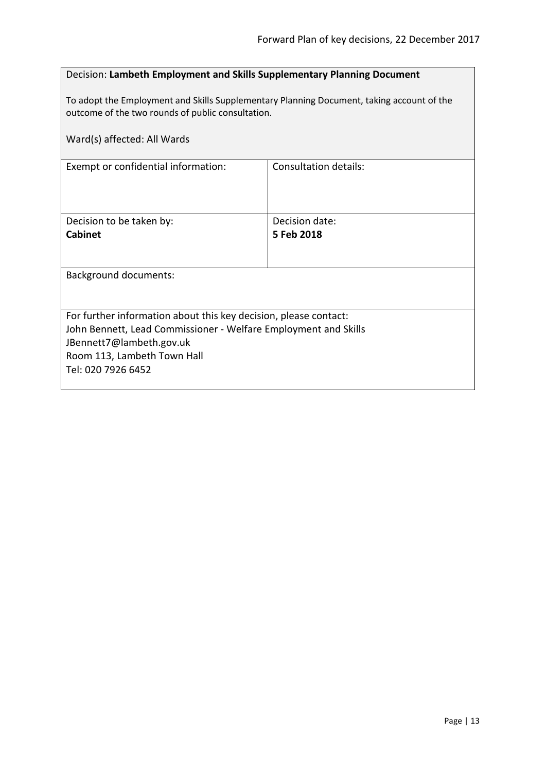## <span id="page-12-0"></span>Decision: **Lambeth Employment and Skills Supplementary Planning Document**

To adopt the Employment and Skills Supplementary Planning Document, taking account of the outcome of the two rounds of public consultation.

| Ward(s) affected: All Wards                                                                                                                                                                                          |                              |  |
|----------------------------------------------------------------------------------------------------------------------------------------------------------------------------------------------------------------------|------------------------------|--|
| Exempt or confidential information:                                                                                                                                                                                  | <b>Consultation details:</b> |  |
| Decision to be taken by:<br><b>Cabinet</b>                                                                                                                                                                           | Decision date:<br>5 Feb 2018 |  |
| <b>Background documents:</b>                                                                                                                                                                                         |                              |  |
| For further information about this key decision, please contact:<br>John Bennett, Lead Commissioner - Welfare Employment and Skills<br>JBennett7@lambeth.gov.uk<br>Room 113, Lambeth Town Hall<br>Tel: 020 7926 6452 |                              |  |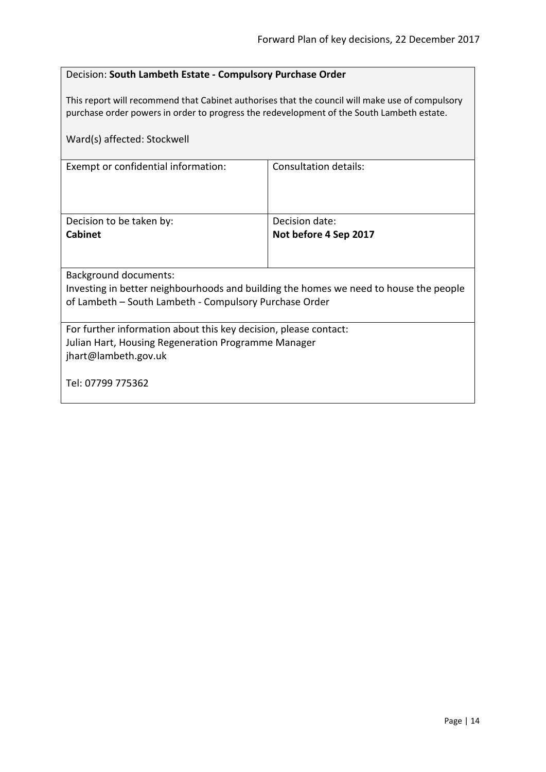## <span id="page-13-0"></span>Decision: **South Lambeth Estate - Compulsory Purchase Order**

This report will recommend that Cabinet authorises that the council will make use of compulsory purchase order powers in order to progress the redevelopment of the South Lambeth estate.

| Ward(s) affected: Stockwell                                                                                                                                              |                       |  |
|--------------------------------------------------------------------------------------------------------------------------------------------------------------------------|-----------------------|--|
| Exempt or confidential information:                                                                                                                                      | Consultation details: |  |
| Decision to be taken by:                                                                                                                                                 | Decision date:        |  |
| <b>Cabinet</b>                                                                                                                                                           | Not before 4 Sep 2017 |  |
| Background documents:<br>Investing in better neighbourhoods and building the homes we need to house the people<br>of Lambeth – South Lambeth - Compulsory Purchase Order |                       |  |
|                                                                                                                                                                          |                       |  |
| For further information about this key decision, please contact:<br>Julian Hart, Housing Regeneration Programme Manager<br>jhart@lambeth.gov.uk                          |                       |  |
| Tel: 07799 775362                                                                                                                                                        |                       |  |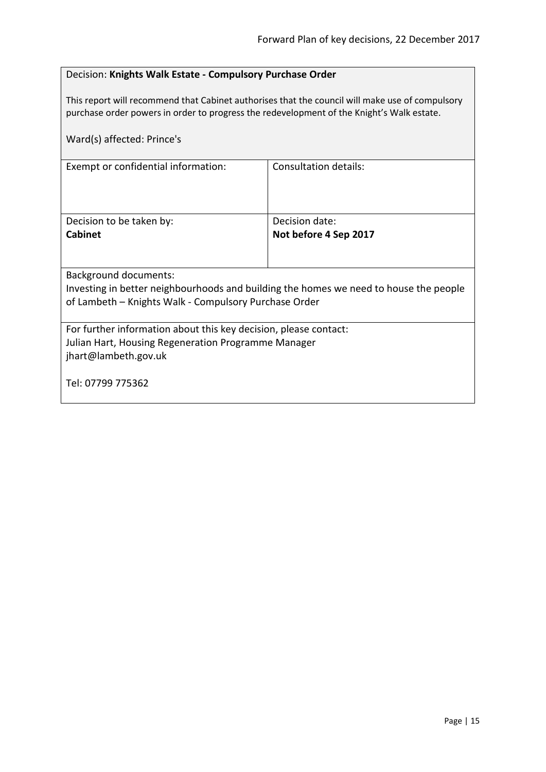## <span id="page-14-0"></span>Decision: **Knights Walk Estate - Compulsory Purchase Order**

This report will recommend that Cabinet authorises that the council will make use of compulsory purchase order powers in order to progress the redevelopment of the Knight's Walk estate.

| Ward(s) affected: Prince's                                                                                                                                                     |                       |
|--------------------------------------------------------------------------------------------------------------------------------------------------------------------------------|-----------------------|
| Exempt or confidential information:                                                                                                                                            | Consultation details: |
| Decision to be taken by:                                                                                                                                                       | Decision date:        |
| <b>Cabinet</b>                                                                                                                                                                 | Not before 4 Sep 2017 |
| <b>Background documents:</b><br>Investing in better neighbourhoods and building the homes we need to house the people<br>of Lambeth - Knights Walk - Compulsory Purchase Order |                       |
| For further information about this key decision, please contact:<br>Julian Hart, Housing Regeneration Programme Manager<br>jhart@lambeth.gov.uk                                |                       |
| Tel: 07799 775362                                                                                                                                                              |                       |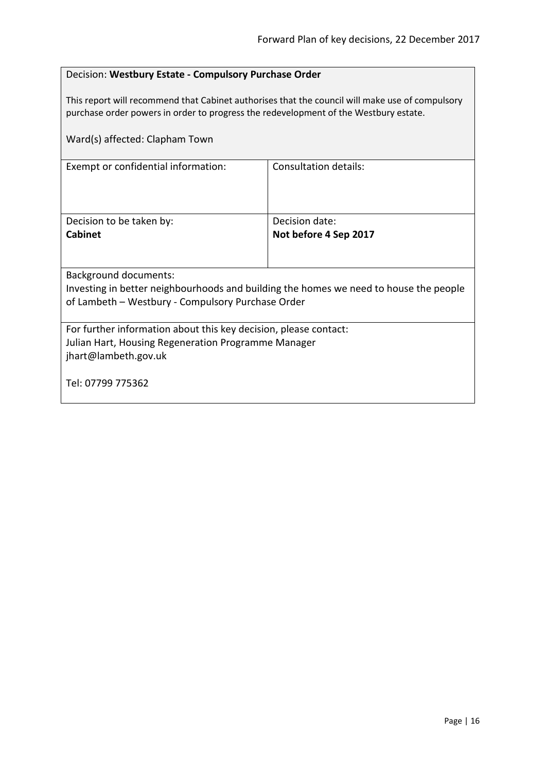## <span id="page-15-0"></span>Decision: **Westbury Estate - Compulsory Purchase Order**

This report will recommend that Cabinet authorises that the council will make use of compulsory purchase order powers in order to progress the redevelopment of the Westbury estate.

| Ward(s) affected: Clapham Town                                                        |                              |  |
|---------------------------------------------------------------------------------------|------------------------------|--|
| Exempt or confidential information:                                                   | <b>Consultation details:</b> |  |
| Decision to be taken by:                                                              | Decision date:               |  |
| <b>Cabinet</b>                                                                        | Not before 4 Sep 2017        |  |
|                                                                                       |                              |  |
| <b>Background documents:</b>                                                          |                              |  |
| Investing in better neighbourhoods and building the homes we need to house the people |                              |  |
| of Lambeth - Westbury - Compulsory Purchase Order                                     |                              |  |
| For further information about this key decision, please contact:                      |                              |  |
| Julian Hart, Housing Regeneration Programme Manager                                   |                              |  |
| jhart@lambeth.gov.uk                                                                  |                              |  |
|                                                                                       |                              |  |
| Tel: 07799 775362                                                                     |                              |  |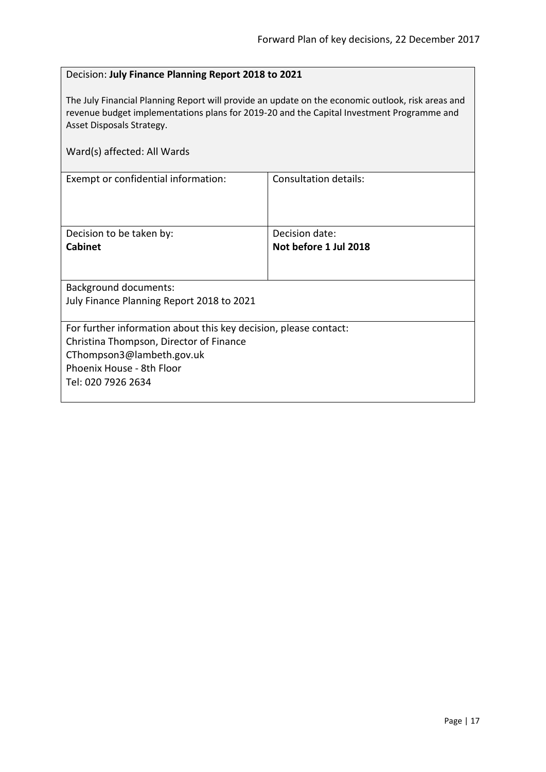## <span id="page-16-0"></span>Decision: **July Finance Planning Report 2018 to 2021**

The July Financial Planning Report will provide an update on the economic outlook, risk areas and revenue budget implementations plans for 2019-20 and the Capital Investment Programme and Asset Disposals Strategy.

| Ward(s) affected: All Wards                                                                                                                                                                 |                                         |
|---------------------------------------------------------------------------------------------------------------------------------------------------------------------------------------------|-----------------------------------------|
| Exempt or confidential information:                                                                                                                                                         | <b>Consultation details:</b>            |
| Decision to be taken by:<br><b>Cabinet</b>                                                                                                                                                  | Decision date:<br>Not before 1 Jul 2018 |
| <b>Background documents:</b><br>July Finance Planning Report 2018 to 2021                                                                                                                   |                                         |
| For further information about this key decision, please contact:<br>Christina Thompson, Director of Finance<br>CThompson3@lambeth.gov.uk<br>Phoenix House - 8th Floor<br>Tel: 020 7926 2634 |                                         |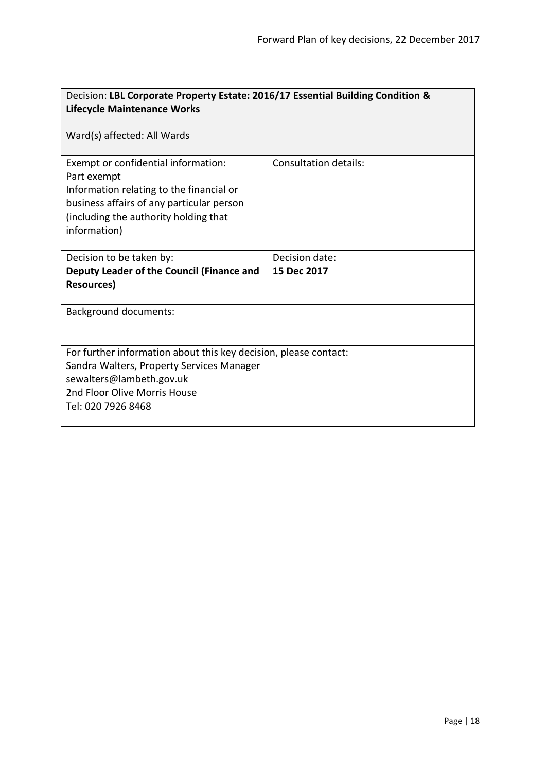<span id="page-17-0"></span>

| Decision: LBL Corporate Property Estate: 2016/17 Essential Building Condition & |                       |  |
|---------------------------------------------------------------------------------|-----------------------|--|
| <b>Lifecycle Maintenance Works</b>                                              |                       |  |
| Ward(s) affected: All Wards                                                     |                       |  |
| Exempt or confidential information:                                             | Consultation details: |  |
| Part exempt                                                                     |                       |  |
| Information relating to the financial or                                        |                       |  |
| business affairs of any particular person                                       |                       |  |
| (including the authority holding that                                           |                       |  |
| information)                                                                    |                       |  |
|                                                                                 |                       |  |
| Decision to be taken by:                                                        | Decision date:        |  |
| Deputy Leader of the Council (Finance and                                       | 15 Dec 2017           |  |
| <b>Resources)</b>                                                               |                       |  |
|                                                                                 |                       |  |
| <b>Background documents:</b>                                                    |                       |  |
|                                                                                 |                       |  |
| For further information about this key decision, please contact:                |                       |  |
| Sandra Walters, Property Services Manager                                       |                       |  |
| sewalters@lambeth.gov.uk                                                        |                       |  |
| 2nd Floor Olive Morris House                                                    |                       |  |
| Tel: 020 7926 8468                                                              |                       |  |
|                                                                                 |                       |  |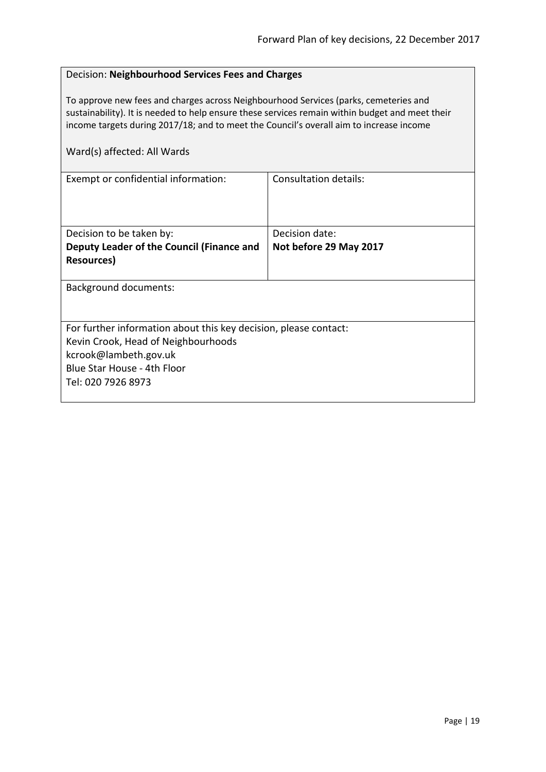## <span id="page-18-0"></span>Decision: **Neighbourhood Services Fees and Charges**

To approve new fees and charges across Neighbourhood Services (parks, cemeteries and sustainability). It is needed to help ensure these services remain within budget and meet their income targets during 2017/18; and to meet the Council's overall aim to increase income

| Exempt or confidential information:                              | Consultation details:  |
|------------------------------------------------------------------|------------------------|
|                                                                  |                        |
|                                                                  |                        |
|                                                                  |                        |
| Decision to be taken by:                                         | Decision date:         |
| Deputy Leader of the Council (Finance and                        | Not before 29 May 2017 |
| Resources)                                                       |                        |
|                                                                  |                        |
| <b>Background documents:</b>                                     |                        |
|                                                                  |                        |
|                                                                  |                        |
| For further information about this key decision, please contact: |                        |
| Kevin Crook, Head of Neighbourhoods                              |                        |
| kcrook@lambeth.gov.uk                                            |                        |
| Blue Star House - 4th Floor                                      |                        |
| Tel: 020 7926 8973                                               |                        |
|                                                                  |                        |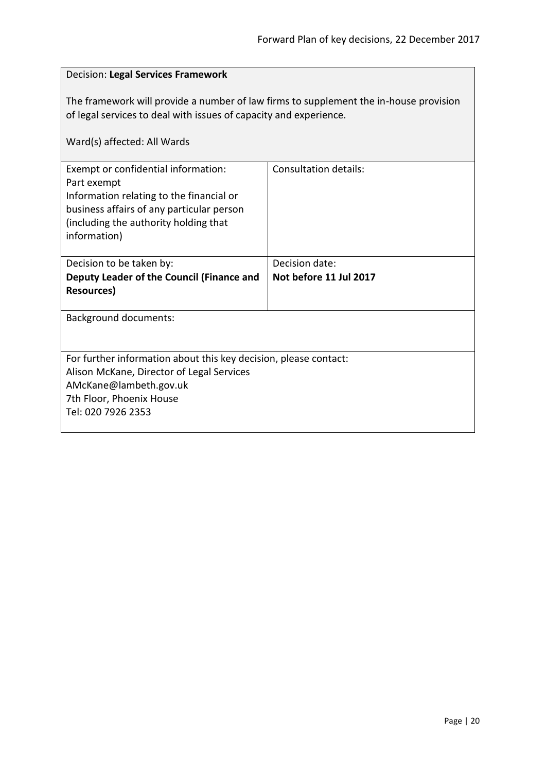# <span id="page-19-0"></span>Decision: **Legal Services Framework** The framework will provide a number of law firms to supplement the in-house provision of legal services to deal with issues of capacity and experience. Ward(s) affected: All Wards Exempt or confidential information: Part exempt Information relating to the financial or business affairs of any particular person (including the authority holding that information) Consultation details: Decision to be taken by: **Deputy Leader of the Council (Finance and Resources)** Decision date: **Not before 11 Jul 2017** Background documents: For further information about this key decision, please contact: Alison McKane, Director of Legal Services AMcKane@lambeth.gov.uk 7th Floor, Phoenix House Tel: 020 7926 2353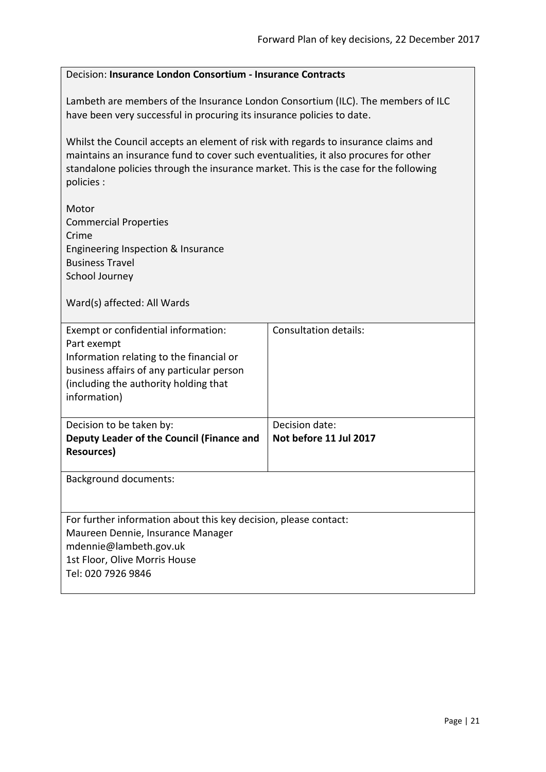# <span id="page-20-0"></span>Decision: **Insurance London Consortium - Insurance Contracts** Lambeth are members of the Insurance London Consortium (ILC). The members of ILC have been very successful in procuring its insurance policies to date. Whilst the Council accepts an element of risk with regards to insurance claims and maintains an insurance fund to cover such eventualities, it also procures for other standalone policies through the insurance market. This is the case for the following policies : Motor Commercial Properties Crime Engineering Inspection & Insurance Business Travel School Journey Ward(s) affected: All Wards Exempt or confidential information: Part exempt Information relating to the financial or business affairs of any particular person (including the authority holding that information) Consultation details: Decision to be taken by: **Deputy Leader of the Council (Finance and Resources)** Decision date: **Not before 11 Jul 2017** Background documents: For further information about this key decision, please contact: Maureen Dennie, Insurance Manager mdennie@lambeth.gov.uk 1st Floor, Olive Morris House Tel: 020 7926 9846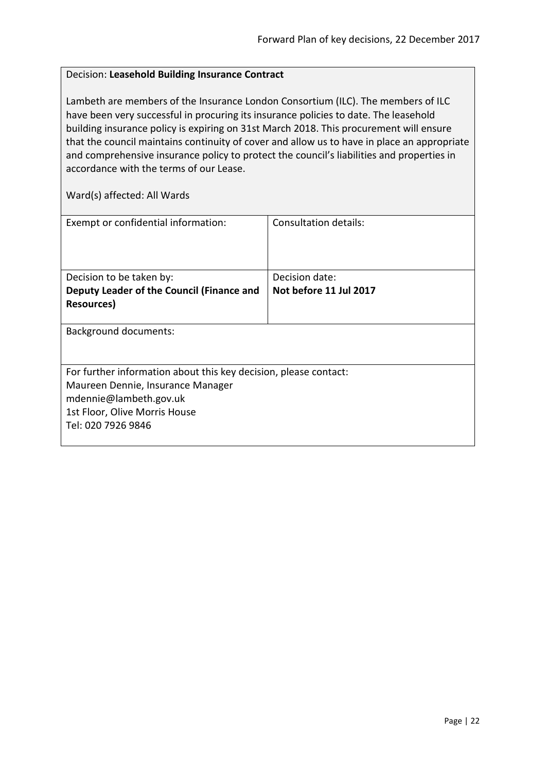## <span id="page-21-0"></span>Decision: **Leasehold Building Insurance Contract**

Lambeth are members of the Insurance London Consortium (ILC). The members of ILC have been very successful in procuring its insurance policies to date. The leasehold building insurance policy is expiring on 31st March 2018. This procurement will ensure that the council maintains continuity of cover and allow us to have in place an appropriate and comprehensive insurance policy to protect the council's liabilities and properties in accordance with the terms of our Lease.

| Exempt or confidential information:                              | Consultation details:  |  |
|------------------------------------------------------------------|------------------------|--|
|                                                                  |                        |  |
|                                                                  |                        |  |
| Decision to be taken by:                                         | Decision date:         |  |
| Deputy Leader of the Council (Finance and                        | Not before 11 Jul 2017 |  |
| Resources)                                                       |                        |  |
|                                                                  |                        |  |
| <b>Background documents:</b>                                     |                        |  |
|                                                                  |                        |  |
|                                                                  |                        |  |
| For further information about this key decision, please contact: |                        |  |
| Maureen Dennie, Insurance Manager                                |                        |  |
| mdennie@lambeth.gov.uk                                           |                        |  |
| 1st Floor, Olive Morris House                                    |                        |  |
| Tel: 020 7926 9846                                               |                        |  |
|                                                                  |                        |  |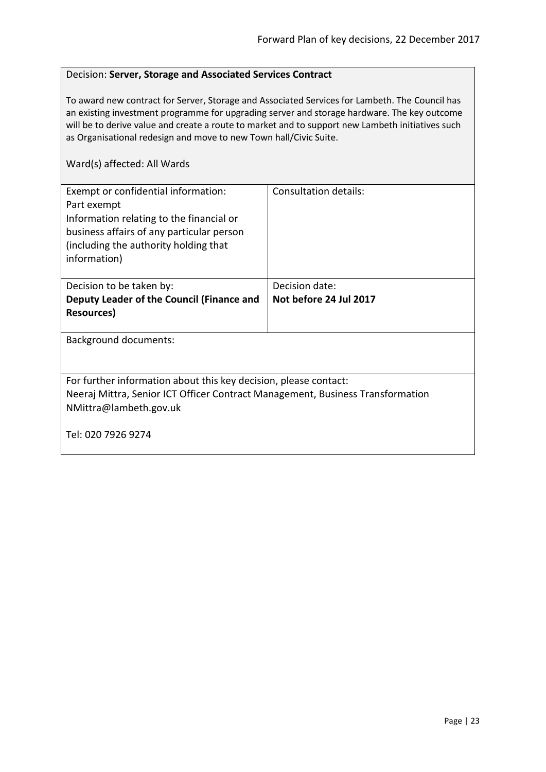## <span id="page-22-0"></span>Decision: **Server, Storage and Associated Services Contract**

To award new contract for Server, Storage and Associated Services for Lambeth. The Council has an existing investment programme for upgrading server and storage hardware. The key outcome will be to derive value and create a route to market and to support new Lambeth initiatives such as Organisational redesign and move to new Town hall/Civic Suite.

| Exempt or confidential information:<br>Part exempt<br>Information relating to the financial or<br>business affairs of any particular person<br>(including the authority holding that)<br>information) | Consultation details:  |
|-------------------------------------------------------------------------------------------------------------------------------------------------------------------------------------------------------|------------------------|
| Decision to be taken by:                                                                                                                                                                              | Decision date:         |
| Deputy Leader of the Council (Finance and                                                                                                                                                             | Not before 24 Jul 2017 |
| Resources)                                                                                                                                                                                            |                        |
| <b>Background documents:</b>                                                                                                                                                                          |                        |
| For further information about this key decision, please contact:<br>Neeraj Mittra, Senior ICT Officer Contract Management, Business Transformation<br>NMittra@lambeth.gov.uk                          |                        |
| Tel: 020 7926 9274                                                                                                                                                                                    |                        |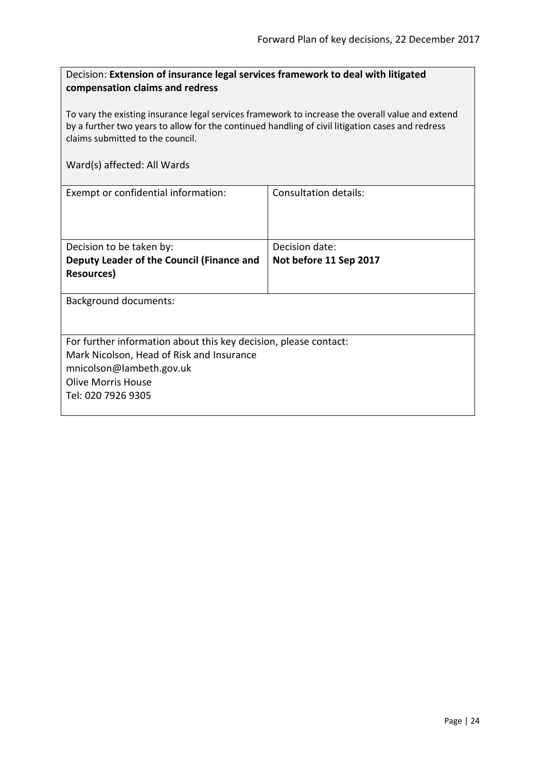<span id="page-23-0"></span>

| Decision: Extension of insurance legal services framework to deal with litigated |  |
|----------------------------------------------------------------------------------|--|
| compensation claims and redress                                                  |  |

To vary the existing insurance legal services framework to increase the overall value and extend by a further two years to allow for the continued handling of civil litigation cases and redress claims submitted to the council.

| Exempt or confidential information:                              | Consultation details:  |  |
|------------------------------------------------------------------|------------------------|--|
|                                                                  |                        |  |
|                                                                  |                        |  |
|                                                                  |                        |  |
| Decision to be taken by:                                         | Decision date:         |  |
| Deputy Leader of the Council (Finance and                        | Not before 11 Sep 2017 |  |
| Resources)                                                       |                        |  |
|                                                                  |                        |  |
| <b>Background documents:</b>                                     |                        |  |
|                                                                  |                        |  |
|                                                                  |                        |  |
| For further information about this key decision, please contact: |                        |  |
| Mark Nicolson, Head of Risk and Insurance                        |                        |  |
| mnicolson@lambeth.gov.uk                                         |                        |  |
| Olive Morris House                                               |                        |  |
| Tel: 020 7926 9305                                               |                        |  |
|                                                                  |                        |  |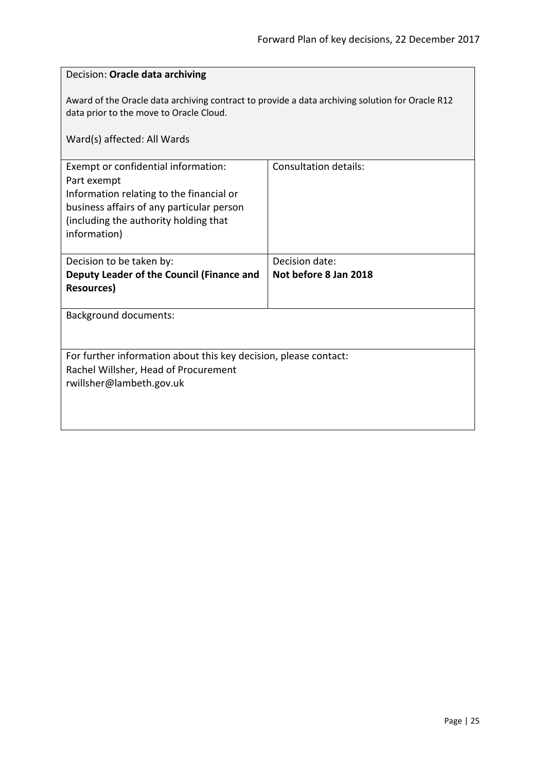<span id="page-24-0"></span>

| Decision: Oracle data archiving                                                                                                                                                                      |                              |  |
|------------------------------------------------------------------------------------------------------------------------------------------------------------------------------------------------------|------------------------------|--|
| Award of the Oracle data archiving contract to provide a data archiving solution for Oracle R12<br>data prior to the move to Oracle Cloud.                                                           |                              |  |
| Ward(s) affected: All Wards                                                                                                                                                                          |                              |  |
| Exempt or confidential information:<br>Part exempt<br>Information relating to the financial or<br>business affairs of any particular person<br>(including the authority holding that<br>information) | <b>Consultation details:</b> |  |
| Decision to be taken by:                                                                                                                                                                             | Decision date:               |  |
| Deputy Leader of the Council (Finance and                                                                                                                                                            | Not before 8 Jan 2018        |  |
| <b>Resources</b> )                                                                                                                                                                                   |                              |  |
| <b>Background documents:</b>                                                                                                                                                                         |                              |  |
| For further information about this key decision, please contact:<br>Rachel Willsher, Head of Procurement<br>rwillsher@lambeth.gov.uk                                                                 |                              |  |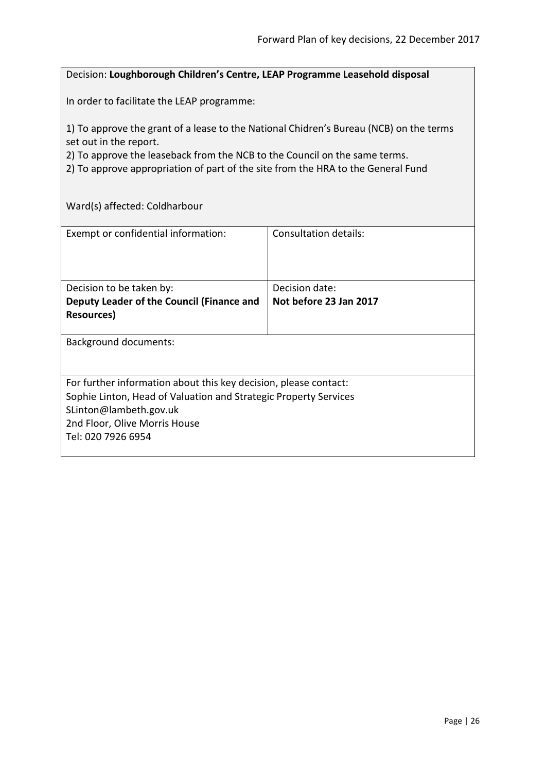## <span id="page-25-0"></span>Decision: **Loughborough Children's Centre, LEAP Programme Leasehold disposal**

In order to facilitate the LEAP programme:

1) To approve the grant of a lease to the National Chidren's Bureau (NCB) on the terms set out in the report.

2) To approve the leaseback from the NCB to the Council on the same terms.

2) To approve appropriation of part of the site from the HRA to the General Fund

Ward(s) affected: Coldharbour

| Exempt or confidential information:                              | Consultation details:  |
|------------------------------------------------------------------|------------------------|
| Decision to be taken by:                                         | Decision date:         |
| Deputy Leader of the Council (Finance and<br><b>Resources</b> )  | Not before 23 Jan 2017 |
|                                                                  |                        |
| <b>Background documents:</b>                                     |                        |
|                                                                  |                        |
| For further information about this key decision, please contact: |                        |
| Sophie Linton, Head of Valuation and Strategic Property Services |                        |
| SLinton@lambeth.gov.uk                                           |                        |
| 2nd Floor, Olive Morris House                                    |                        |
| Tel: 020 7926 6954                                               |                        |
|                                                                  |                        |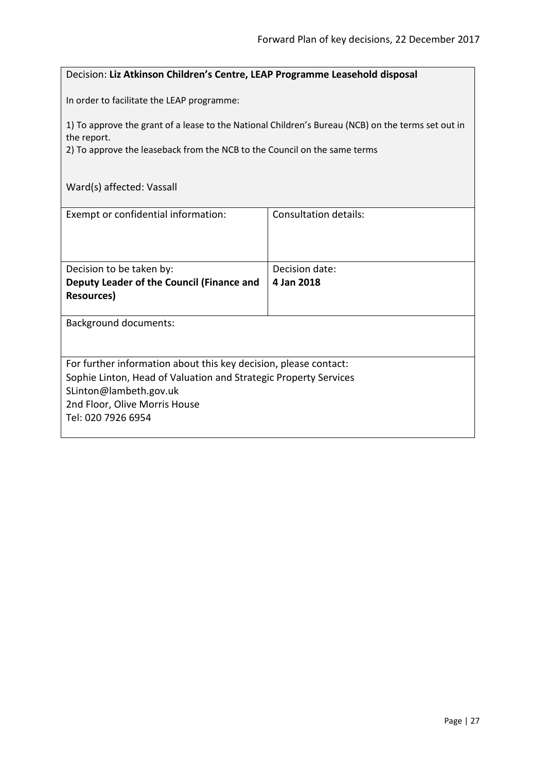## <span id="page-26-0"></span>Decision: **Liz Atkinson Children's Centre, LEAP Programme Leasehold disposal**

In order to facilitate the LEAP programme:

1) To approve the grant of a lease to the National Children's Bureau (NCB) on the terms set out in the report.

2) To approve the leaseback from the NCB to the Council on the same terms

## Ward(s) affected: Vassall

| Exempt or confidential information:                              | Consultation details: |  |
|------------------------------------------------------------------|-----------------------|--|
|                                                                  |                       |  |
|                                                                  |                       |  |
| Decision to be taken by:                                         | Decision date:        |  |
| Deputy Leader of the Council (Finance and                        | 4 Jan 2018            |  |
| Resources)                                                       |                       |  |
|                                                                  |                       |  |
| <b>Background documents:</b>                                     |                       |  |
|                                                                  |                       |  |
|                                                                  |                       |  |
| For further information about this key decision, please contact: |                       |  |
| Sophie Linton, Head of Valuation and Strategic Property Services |                       |  |
| SLinton@lambeth.gov.uk                                           |                       |  |
| 2nd Floor, Olive Morris House                                    |                       |  |
| Tel: 020 7926 6954                                               |                       |  |
|                                                                  |                       |  |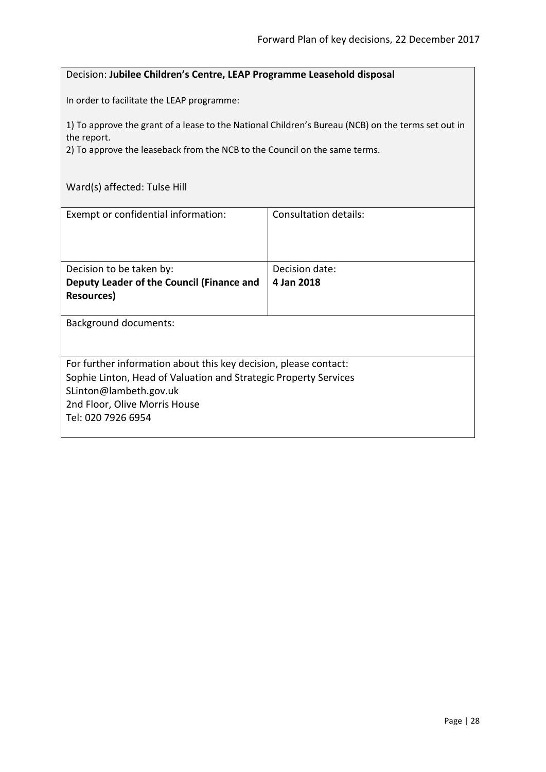## <span id="page-27-0"></span>Decision: **Jubilee Children's Centre, LEAP Programme Leasehold disposal**

In order to facilitate the LEAP programme:

1) To approve the grant of a lease to the National Children's Bureau (NCB) on the terms set out in the report.

2) To approve the leaseback from the NCB to the Council on the same terms.

## Ward(s) affected: Tulse Hill

| Exempt or confidential information:                              | Consultation details: |
|------------------------------------------------------------------|-----------------------|
| Decision to be taken by:                                         | Decision date:        |
| Deputy Leader of the Council (Finance and                        | 4 Jan 2018            |
|                                                                  |                       |
| Resources)                                                       |                       |
| <b>Background documents:</b>                                     |                       |
| For further information about this key decision, please contact: |                       |
| Sophie Linton, Head of Valuation and Strategic Property Services |                       |
| SLinton@lambeth.gov.uk                                           |                       |
| 2nd Floor, Olive Morris House                                    |                       |
|                                                                  |                       |
| Tel: 020 7926 6954                                               |                       |
|                                                                  |                       |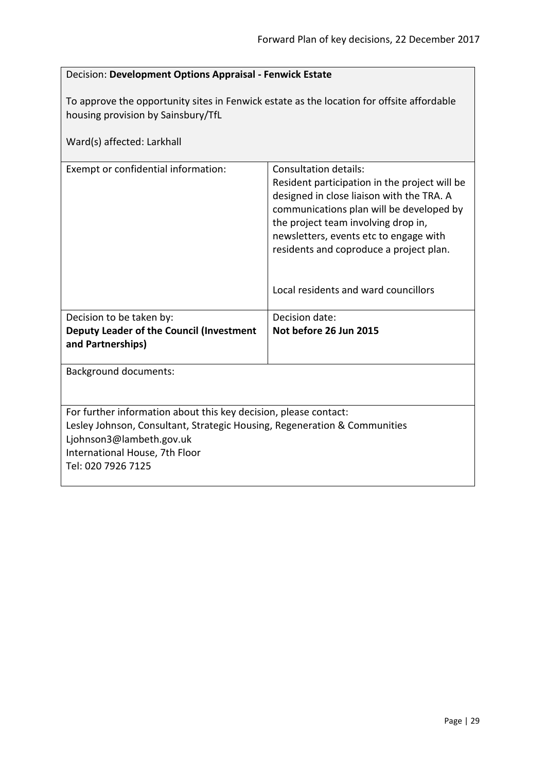<span id="page-28-0"></span>

| Decision: Development Options Appraisal - Fenwick Estate                                                                                                                                                                          |                                                                                                                                                                                                                                                                                                                                            |  |
|-----------------------------------------------------------------------------------------------------------------------------------------------------------------------------------------------------------------------------------|--------------------------------------------------------------------------------------------------------------------------------------------------------------------------------------------------------------------------------------------------------------------------------------------------------------------------------------------|--|
| To approve the opportunity sites in Fenwick estate as the location for offsite affordable<br>housing provision by Sainsbury/TfL<br>Ward(s) affected: Larkhall                                                                     |                                                                                                                                                                                                                                                                                                                                            |  |
| Exempt or confidential information:                                                                                                                                                                                               | <b>Consultation details:</b><br>Resident participation in the project will be<br>designed in close liaison with the TRA. A<br>communications plan will be developed by<br>the project team involving drop in,<br>newsletters, events etc to engage with<br>residents and coproduce a project plan.<br>Local residents and ward councillors |  |
| Decision to be taken by:                                                                                                                                                                                                          | Decision date:                                                                                                                                                                                                                                                                                                                             |  |
| Deputy Leader of the Council (Investment<br>and Partnerships)                                                                                                                                                                     | Not before 26 Jun 2015                                                                                                                                                                                                                                                                                                                     |  |
| <b>Background documents:</b>                                                                                                                                                                                                      |                                                                                                                                                                                                                                                                                                                                            |  |
| For further information about this key decision, please contact:<br>Lesley Johnson, Consultant, Strategic Housing, Regeneration & Communities<br>Ljohnson3@lambeth.gov.uk<br>International House, 7th Floor<br>Tel: 020 7926 7125 |                                                                                                                                                                                                                                                                                                                                            |  |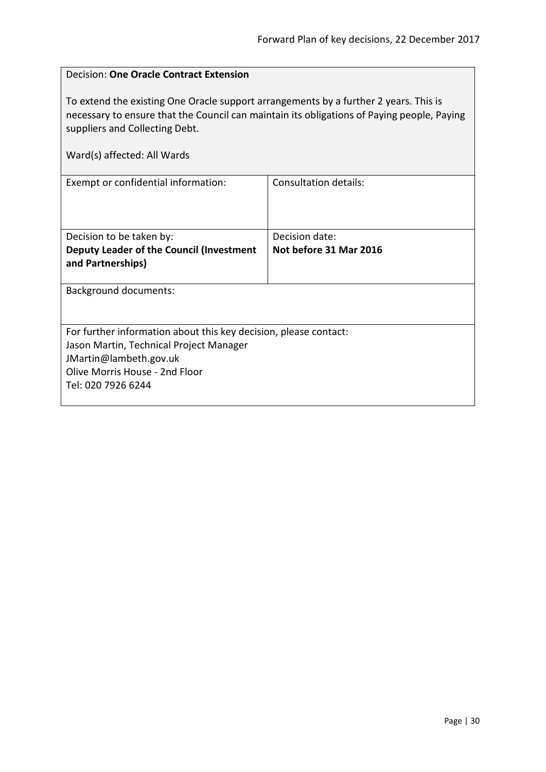<span id="page-29-0"></span>

| <b>Decision: One Oracle Contract Extension</b>                                                                                                                                                                                                      |                        |  |
|-----------------------------------------------------------------------------------------------------------------------------------------------------------------------------------------------------------------------------------------------------|------------------------|--|
| To extend the existing One Oracle support arrangements by a further 2 years. This is<br>necessary to ensure that the Council can maintain its obligations of Paying people, Paying<br>suppliers and Collecting Debt.<br>Ward(s) affected: All Wards |                        |  |
| Exempt or confidential information:                                                                                                                                                                                                                 | Consultation details:  |  |
|                                                                                                                                                                                                                                                     |                        |  |
| Decision to be taken by:                                                                                                                                                                                                                            | Decision date:         |  |
| Deputy Leader of the Council (Investment<br>and Partnerships)                                                                                                                                                                                       | Not before 31 Mar 2016 |  |
| <b>Background documents:</b>                                                                                                                                                                                                                        |                        |  |
|                                                                                                                                                                                                                                                     |                        |  |
| For further information about this key decision, please contact:                                                                                                                                                                                    |                        |  |
| Jason Martin, Technical Project Manager                                                                                                                                                                                                             |                        |  |
| JMartin@lambeth.gov.uk                                                                                                                                                                                                                              |                        |  |
| Olive Morris House - 2nd Floor                                                                                                                                                                                                                      |                        |  |
| Tel: 020 7926 6244                                                                                                                                                                                                                                  |                        |  |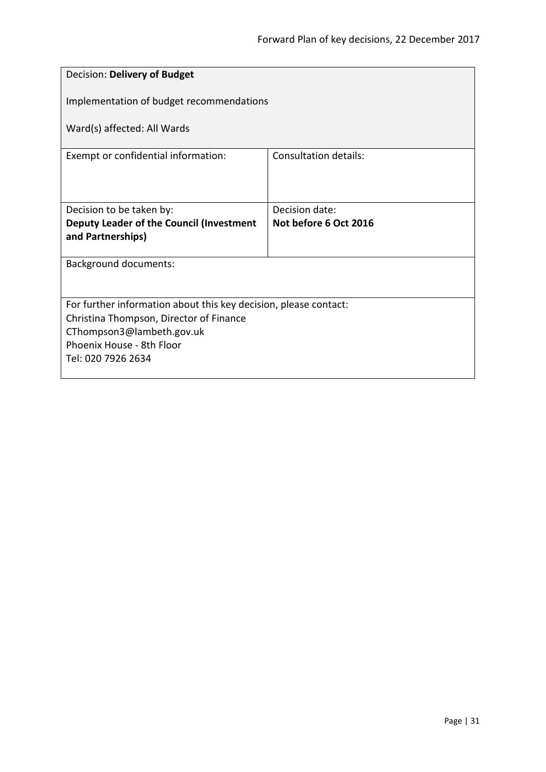<span id="page-30-0"></span>

| Decision: Delivery of Budget                                     |                       |  |
|------------------------------------------------------------------|-----------------------|--|
| Implementation of budget recommendations                         |                       |  |
| Ward(s) affected: All Wards                                      |                       |  |
| Exempt or confidential information:                              | Consultation details: |  |
|                                                                  |                       |  |
| Decision to be taken by:                                         | Decision date:        |  |
| Deputy Leader of the Council (Investment                         | Not before 6 Oct 2016 |  |
| and Partnerships)                                                |                       |  |
| Background documents:                                            |                       |  |
|                                                                  |                       |  |
| For further information about this key decision, please contact: |                       |  |
| Christina Thompson, Director of Finance                          |                       |  |
| CThompson3@lambeth.gov.uk<br>Phoenix House - 8th Floor           |                       |  |
| Tel: 020 7926 2634                                               |                       |  |
|                                                                  |                       |  |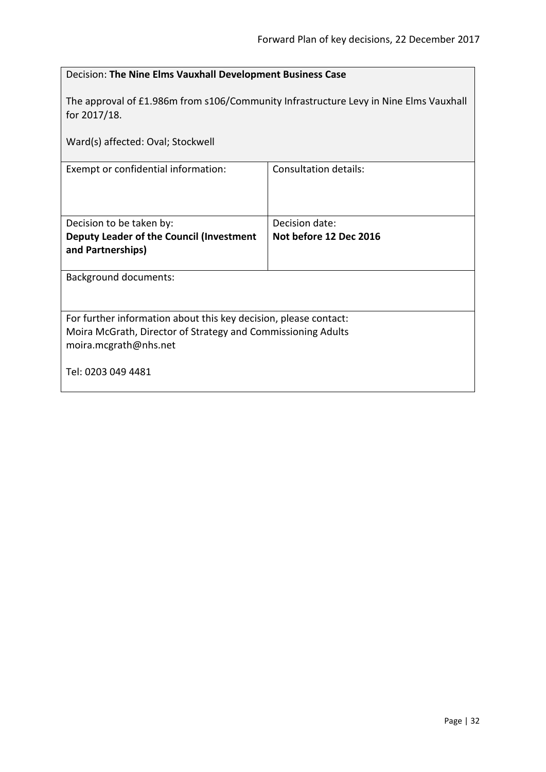<span id="page-31-0"></span>

| Decision: The Nine Elms Vauxhall Development Business Case                                                                                                |                                          |  |
|-----------------------------------------------------------------------------------------------------------------------------------------------------------|------------------------------------------|--|
| The approval of £1.986m from s106/Community Infrastructure Levy in Nine Elms Vauxhall<br>for 2017/18.                                                     |                                          |  |
| Ward(s) affected: Oval; Stockwell                                                                                                                         |                                          |  |
| Exempt or confidential information:                                                                                                                       | <b>Consultation details:</b>             |  |
| Decision to be taken by:<br>Deputy Leader of the Council (Investment<br>and Partnerships)                                                                 | Decision date:<br>Not before 12 Dec 2016 |  |
| <b>Background documents:</b>                                                                                                                              |                                          |  |
| For further information about this key decision, please contact:<br>Moira McGrath, Director of Strategy and Commissioning Adults<br>moira.mcgrath@nhs.net |                                          |  |
| Tel: 0203 049 4481                                                                                                                                        |                                          |  |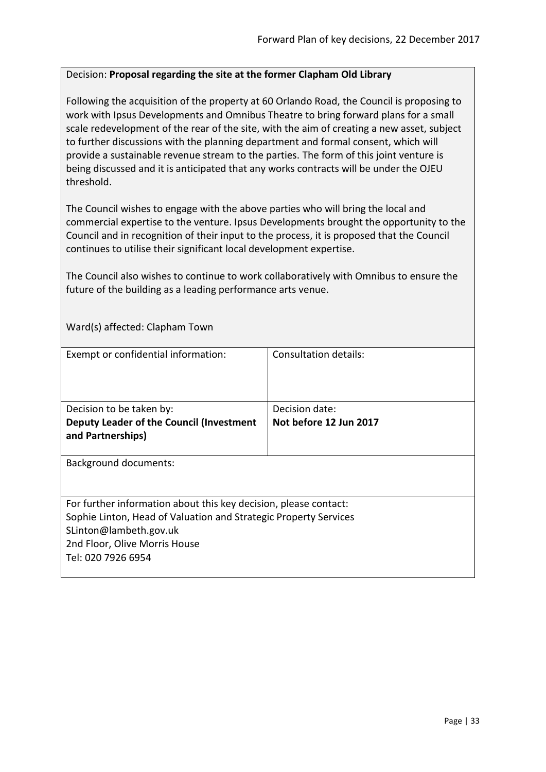## <span id="page-32-0"></span>Decision: **Proposal regarding the site at the former Clapham Old Library**

Following the acquisition of the property at 60 Orlando Road, the Council is proposing to work with Ipsus Developments and Omnibus Theatre to bring forward plans for a small scale redevelopment of the rear of the site, with the aim of creating a new asset, subject to further discussions with the planning department and formal consent, which will provide a sustainable revenue stream to the parties. The form of this joint venture is being discussed and it is anticipated that any works contracts will be under the OJEU threshold.

The Council wishes to engage with the above parties who will bring the local and commercial expertise to the venture. Ipsus Developments brought the opportunity to the Council and in recognition of their input to the process, it is proposed that the Council continues to utilise their significant local development expertise.

The Council also wishes to continue to work collaboratively with Omnibus to ensure the future of the building as a leading performance arts venue.

Ward(s) affected: Clapham Town

| Exempt or confidential information:                                                                                                                                                                                   | Consultation details:  |
|-----------------------------------------------------------------------------------------------------------------------------------------------------------------------------------------------------------------------|------------------------|
| Decision to be taken by:                                                                                                                                                                                              | Decision date:         |
| Deputy Leader of the Council (Investment<br>and Partnerships)                                                                                                                                                         | Not before 12 Jun 2017 |
| <b>Background documents:</b>                                                                                                                                                                                          |                        |
| For further information about this key decision, please contact:<br>Sophie Linton, Head of Valuation and Strategic Property Services<br>SLinton@lambeth.gov.uk<br>2nd Floor, Olive Morris House<br>Tel: 020 7926 6954 |                        |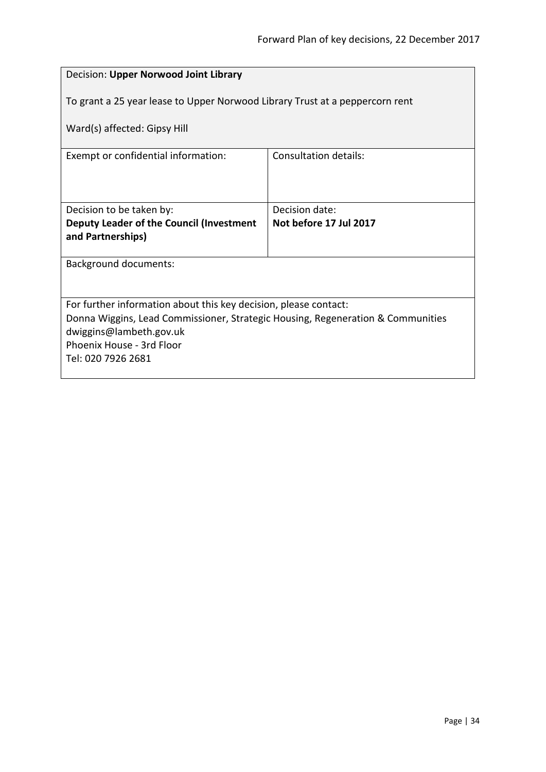<span id="page-33-0"></span>

| Decision: Upper Norwood Joint Library                                           |                        |  |
|---------------------------------------------------------------------------------|------------------------|--|
| To grant a 25 year lease to Upper Norwood Library Trust at a peppercorn rent    |                        |  |
| Ward(s) affected: Gipsy Hill                                                    |                        |  |
| Exempt or confidential information:                                             | Consultation details:  |  |
|                                                                                 |                        |  |
| Decision to be taken by:                                                        | Decision date:         |  |
| Deputy Leader of the Council (Investment                                        | Not before 17 Jul 2017 |  |
| and Partnerships)                                                               |                        |  |
| <b>Background documents:</b>                                                    |                        |  |
|                                                                                 |                        |  |
| For further information about this key decision, please contact:                |                        |  |
| Donna Wiggins, Lead Commissioner, Strategic Housing, Regeneration & Communities |                        |  |
| dwiggins@lambeth.gov.uk<br>Phoenix House - 3rd Floor                            |                        |  |
| Tel: 020 7926 2681                                                              |                        |  |
|                                                                                 |                        |  |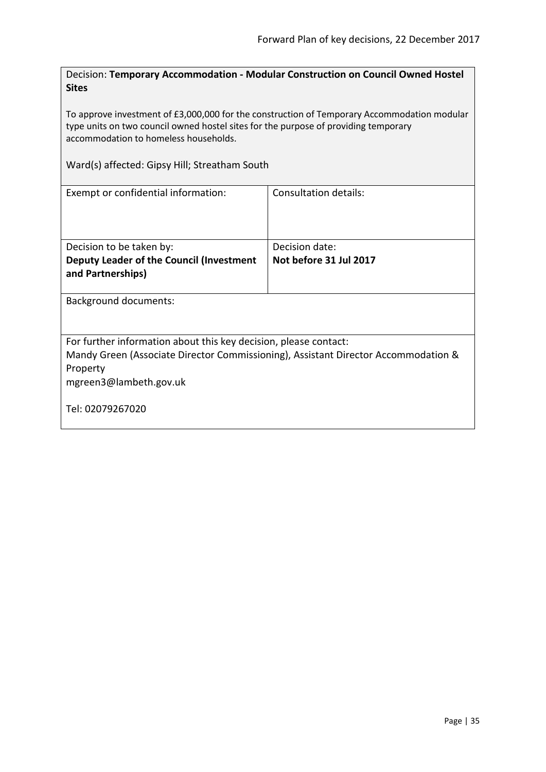<span id="page-34-0"></span>Decision: **Temporary Accommodation - Modular Construction on Council Owned Hostel Sites**

To approve investment of £3,000,000 for the construction of Temporary Accommodation modular type units on two council owned hostel sites for the purpose of providing temporary accommodation to homeless households.

Ward(s) affected: Gipsy Hill; Streatham South

| Exempt or confidential information:                                                                                                                                                                              | Consultation details:                    |
|------------------------------------------------------------------------------------------------------------------------------------------------------------------------------------------------------------------|------------------------------------------|
| Decision to be taken by:<br>Deputy Leader of the Council (Investment<br>and Partnerships)                                                                                                                        | Decision date:<br>Not before 31 Jul 2017 |
| Background documents:                                                                                                                                                                                            |                                          |
| For further information about this key decision, please contact:<br>Mandy Green (Associate Director Commissioning), Assistant Director Accommodation &<br>Property<br>mgreen3@lambeth.gov.uk<br>Tel: 02079267020 |                                          |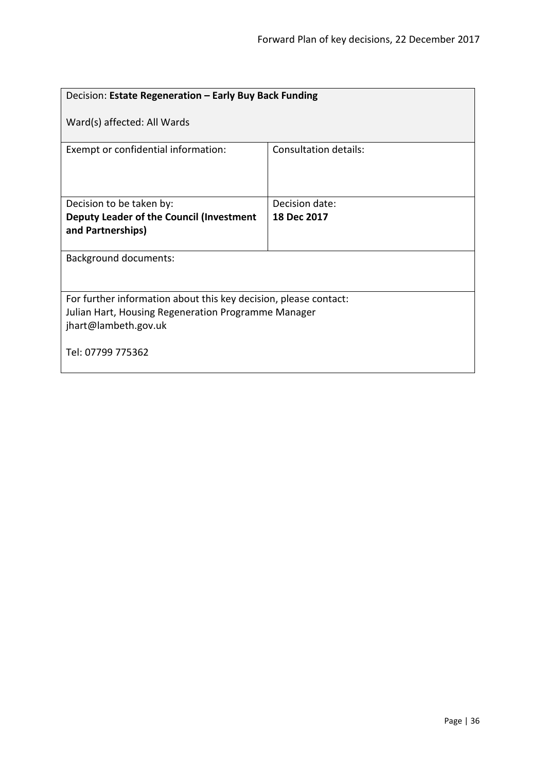<span id="page-35-0"></span>

| Decision: Estate Regeneration - Early Buy Back Funding                                                                                          |                              |  |
|-------------------------------------------------------------------------------------------------------------------------------------------------|------------------------------|--|
| Ward(s) affected: All Wards                                                                                                                     |                              |  |
| Exempt or confidential information:                                                                                                             | <b>Consultation details:</b> |  |
| Decision to be taken by:                                                                                                                        | Decision date:               |  |
| Deputy Leader of the Council (Investment<br>and Partnerships)                                                                                   | 18 Dec 2017                  |  |
| <b>Background documents:</b>                                                                                                                    |                              |  |
| For further information about this key decision, please contact:<br>Julian Hart, Housing Regeneration Programme Manager<br>jhart@lambeth.gov.uk |                              |  |
| Tel: 07799 775362                                                                                                                               |                              |  |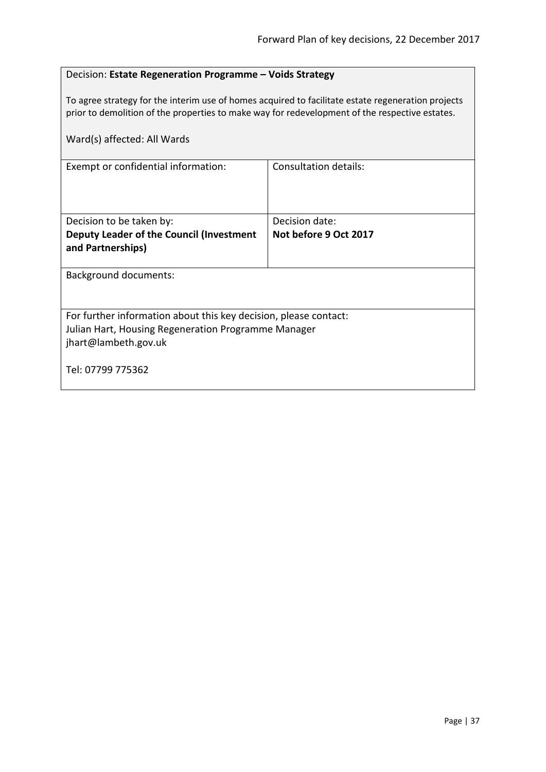# Decision: **Estate Regeneration Programme – Voids Strategy**

To agree strategy for the interim use of homes acquired to facilitate estate regeneration projects prior to demolition of the properties to make way for redevelopment of the respective estates.

| Ward(s) affected: All Wards                                                                                                                     |                       |  |
|-------------------------------------------------------------------------------------------------------------------------------------------------|-----------------------|--|
| Exempt or confidential information:                                                                                                             | Consultation details: |  |
| Decision to be taken by:                                                                                                                        | Decision date:        |  |
| Deputy Leader of the Council (Investment<br>and Partnerships)                                                                                   | Not before 9 Oct 2017 |  |
| <b>Background documents:</b>                                                                                                                    |                       |  |
| For further information about this key decision, please contact:<br>Julian Hart, Housing Regeneration Programme Manager<br>jhart@lambeth.gov.uk |                       |  |
| Tel: 07799 775362                                                                                                                               |                       |  |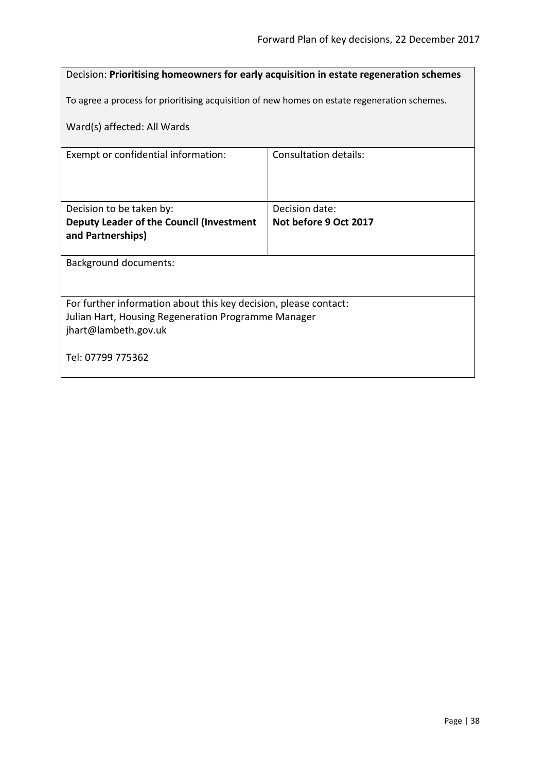| Decision: Prioritising homeowners for early acquisition in estate regeneration schemes |                                                                                              |  |
|----------------------------------------------------------------------------------------|----------------------------------------------------------------------------------------------|--|
|                                                                                        | To agree a process for prioritising acquisition of new homes on estate regeneration schemes. |  |
| Ward(s) affected: All Wards                                                            |                                                                                              |  |
| Exempt or confidential information:                                                    | Consultation details:                                                                        |  |
|                                                                                        |                                                                                              |  |
| Decision to be taken by:                                                               | Decision date:                                                                               |  |
| Deputy Leader of the Council (Investment<br>and Partnerships)                          | Not before 9 Oct 2017                                                                        |  |
| <b>Background documents:</b>                                                           |                                                                                              |  |
|                                                                                        |                                                                                              |  |
| For further information about this key decision, please contact:                       |                                                                                              |  |
| Julian Hart, Housing Regeneration Programme Manager<br>jhart@lambeth.gov.uk            |                                                                                              |  |
| Tel: 07799 775362                                                                      |                                                                                              |  |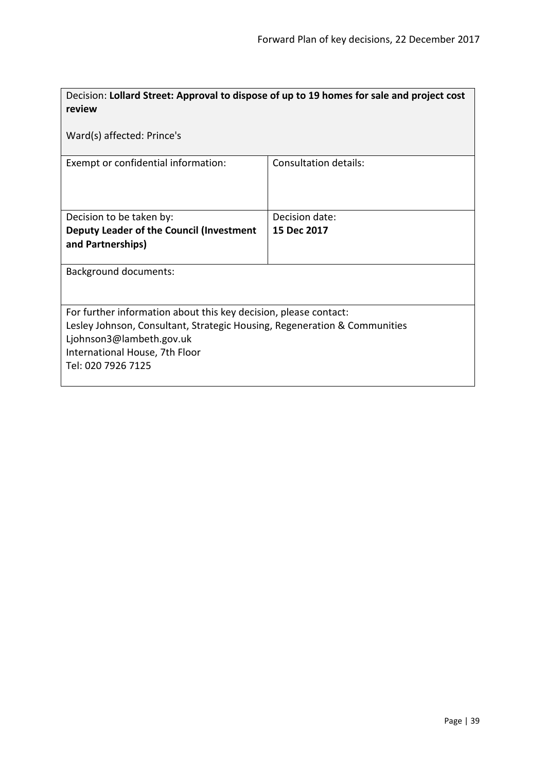| Decision: Lollard Street: Approval to dispose of up to 19 homes for sale and project cost<br>review                                                                                                                               |                              |  |
|-----------------------------------------------------------------------------------------------------------------------------------------------------------------------------------------------------------------------------------|------------------------------|--|
| Ward(s) affected: Prince's                                                                                                                                                                                                        |                              |  |
| Exempt or confidential information:                                                                                                                                                                                               | <b>Consultation details:</b> |  |
| Decision to be taken by:                                                                                                                                                                                                          | Decision date:               |  |
| Deputy Leader of the Council (Investment                                                                                                                                                                                          | 15 Dec 2017                  |  |
| and Partnerships)                                                                                                                                                                                                                 |                              |  |
| Background documents:                                                                                                                                                                                                             |                              |  |
| For further information about this key decision, please contact:<br>Lesley Johnson, Consultant, Strategic Housing, Regeneration & Communities<br>Ljohnson3@lambeth.gov.uk<br>International House, 7th Floor<br>Tel: 020 7926 7125 |                              |  |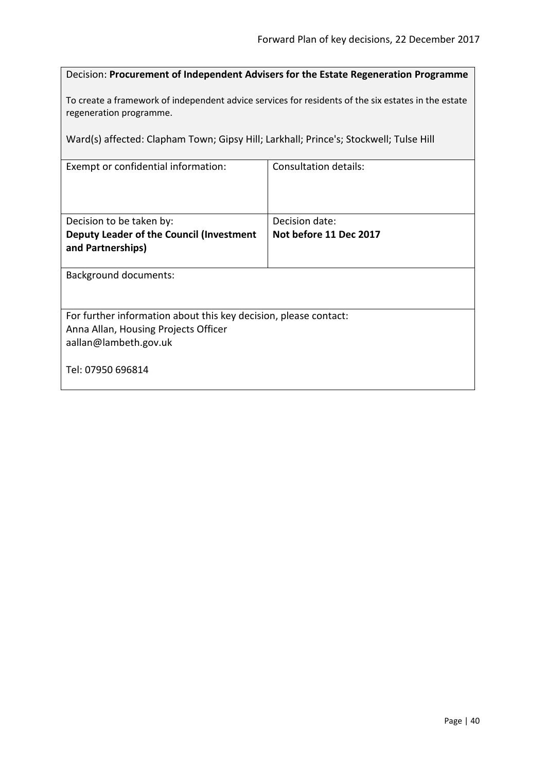| Decision: Procurement of Independent Advisers for the Estate Regeneration Programme |  |
|-------------------------------------------------------------------------------------|--|
|-------------------------------------------------------------------------------------|--|

To create a framework of independent advice services for residents of the six estates in the estate regeneration programme.

Ward(s) affected: Clapham Town; Gipsy Hill; Larkhall; Prince's; Stockwell; Tulse Hill

| Exempt or confidential information:                              | <b>Consultation details:</b> |  |
|------------------------------------------------------------------|------------------------------|--|
| Decision to be taken by:                                         | Decision date:               |  |
| Deputy Leader of the Council (Investment<br>and Partnerships)    | Not before 11 Dec 2017       |  |
| <b>Background documents:</b>                                     |                              |  |
| For further information about this key decision, please contact: |                              |  |
| Anna Allan, Housing Projects Officer                             |                              |  |
| aallan@lambeth.gov.uk                                            |                              |  |
| Tel: 07950 696814                                                |                              |  |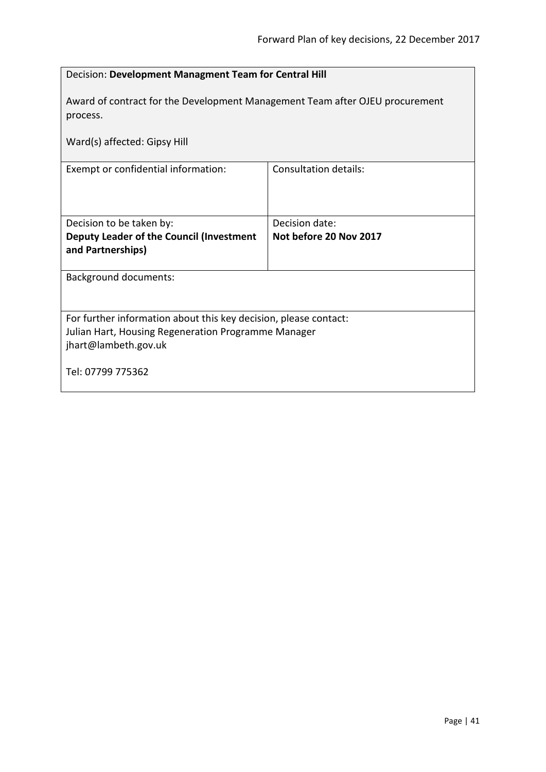| Decision: Development Managment Team for Central Hill                                                                                           |                              |  |
|-------------------------------------------------------------------------------------------------------------------------------------------------|------------------------------|--|
| Award of contract for the Development Management Team after OJEU procurement<br>process.                                                        |                              |  |
| Ward(s) affected: Gipsy Hill                                                                                                                    |                              |  |
| Exempt or confidential information:                                                                                                             | <b>Consultation details:</b> |  |
| Decision date:<br>Decision to be taken by:                                                                                                      |                              |  |
| Deputy Leader of the Council (Investment<br>and Partnerships)                                                                                   | Not before 20 Nov 2017       |  |
| <b>Background documents:</b>                                                                                                                    |                              |  |
| For further information about this key decision, please contact:<br>Julian Hart, Housing Regeneration Programme Manager<br>jhart@lambeth.gov.uk |                              |  |
| Tel: 07799 775362                                                                                                                               |                              |  |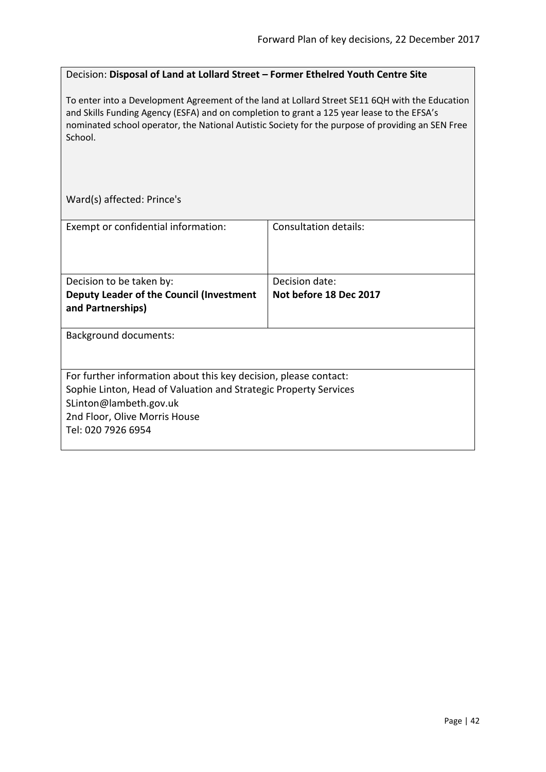#### Decision: **Disposal of Land at Lollard Street – Former Ethelred Youth Centre Site**

To enter into a Development Agreement of the land at Lollard Street SE11 6QH with the Education and Skills Funding Agency (ESFA) and on completion to grant a 125 year lease to the EFSA's nominated school operator, the National Autistic Society for the purpose of providing an SEN Free School.

Ward(s) affected: Prince's

| Exempt or confidential information:                              | Consultation details:  |  |
|------------------------------------------------------------------|------------------------|--|
|                                                                  |                        |  |
| Decision to be taken by:                                         | Decision date:         |  |
| Deputy Leader of the Council (Investment<br>and Partnerships)    | Not before 18 Dec 2017 |  |
|                                                                  |                        |  |
| <b>Background documents:</b>                                     |                        |  |
|                                                                  |                        |  |
| For further information about this key decision, please contact: |                        |  |
| Sophie Linton, Head of Valuation and Strategic Property Services |                        |  |
| SLinton@lambeth.gov.uk                                           |                        |  |
| 2nd Floor, Olive Morris House                                    |                        |  |
| Tel: 020 7926 6954                                               |                        |  |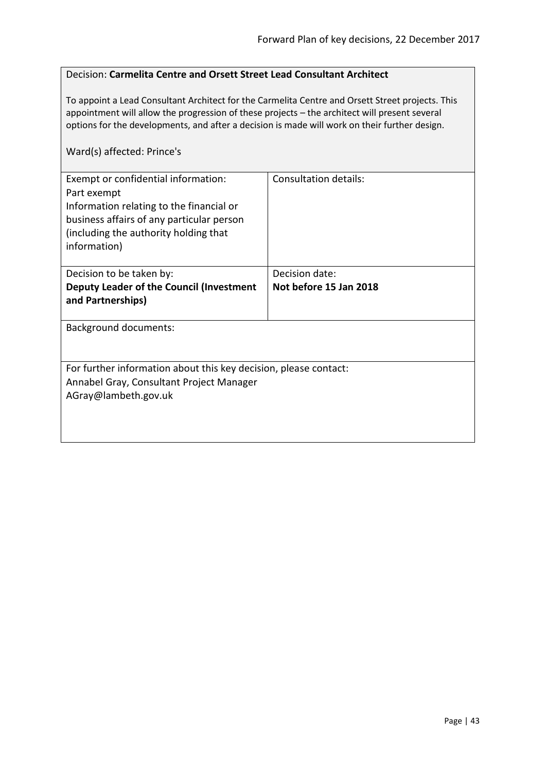#### Decision: **Carmelita Centre and Orsett Street Lead Consultant Architect**

To appoint a Lead Consultant Architect for the Carmelita Centre and Orsett Street projects. This appointment will allow the progression of these projects – the architect will present several options for the developments, and after a decision is made will work on their further design.

### Ward(s) affected: Prince's

| Exempt or confidential information:<br>Part exempt<br>Information relating to the financial or<br>business affairs of any particular person<br>(including the authority holding that<br>information) | Consultation details:  |
|------------------------------------------------------------------------------------------------------------------------------------------------------------------------------------------------------|------------------------|
| Decision to be taken by:                                                                                                                                                                             | Decision date:         |
| Deputy Leader of the Council (Investment<br>and Partnerships)                                                                                                                                        | Not before 15 Jan 2018 |
| <b>Background documents:</b>                                                                                                                                                                         |                        |
| For further information about this key decision, please contact:<br>Annabel Gray, Consultant Project Manager<br>AGray@lambeth.gov.uk                                                                 |                        |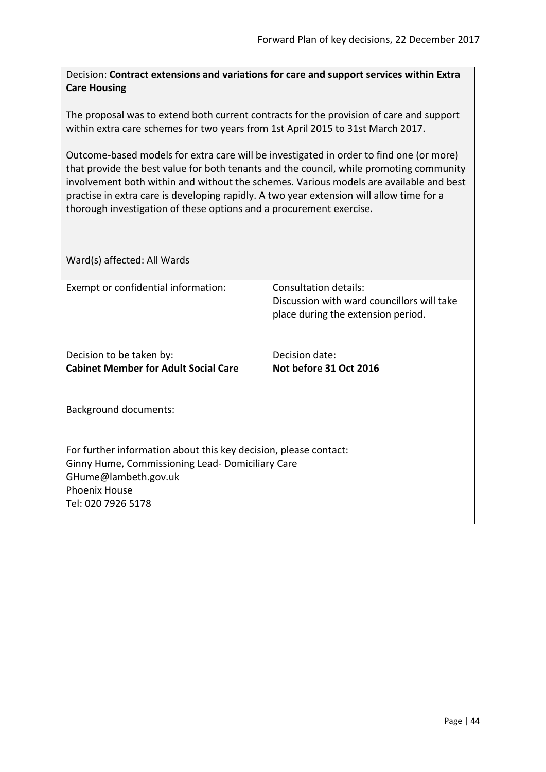Decision: **Contract extensions and variations for care and support services within Extra Care Housing**

The proposal was to extend both current contracts for the provision of care and support within extra care schemes for two years from 1st April 2015 to 31st March 2017.

Outcome-based models for extra care will be investigated in order to find one (or more) that provide the best value for both tenants and the council, while promoting community involvement both within and without the schemes. Various models are available and best practise in extra care is developing rapidly. A two year extension will allow time for a thorough investigation of these options and a procurement exercise.

| Exempt or confidential information:                              | Consultation details:                      |  |
|------------------------------------------------------------------|--------------------------------------------|--|
|                                                                  | Discussion with ward councillors will take |  |
|                                                                  | place during the extension period.         |  |
|                                                                  |                                            |  |
|                                                                  |                                            |  |
| Decision to be taken by:                                         | Decision date:                             |  |
| <b>Cabinet Member for Adult Social Care</b>                      | Not before 31 Oct 2016                     |  |
|                                                                  |                                            |  |
|                                                                  |                                            |  |
| <b>Background documents:</b>                                     |                                            |  |
|                                                                  |                                            |  |
|                                                                  |                                            |  |
| For further information about this key decision, please contact: |                                            |  |
| Ginny Hume, Commissioning Lead- Domiciliary Care                 |                                            |  |
| GHume@lambeth.gov.uk                                             |                                            |  |
| <b>Phoenix House</b>                                             |                                            |  |
| Tel: 020 7926 5178                                               |                                            |  |
|                                                                  |                                            |  |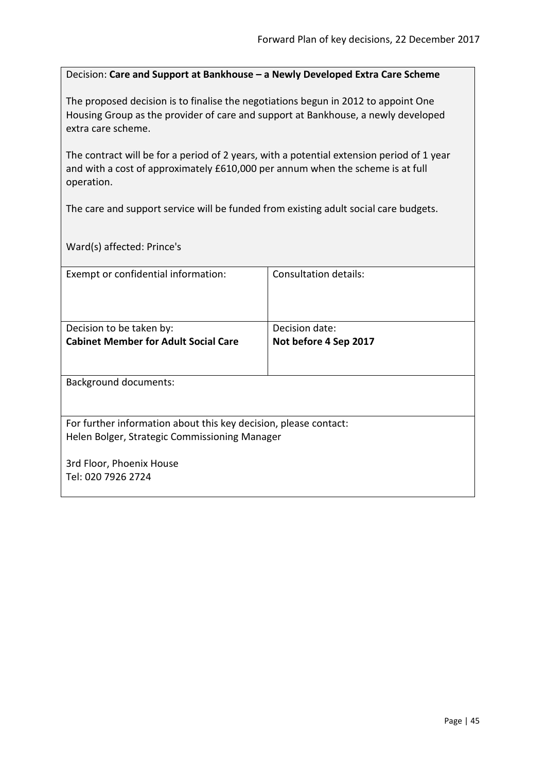Decision: **Care and Support at Bankhouse – a Newly Developed Extra Care Scheme**

The proposed decision is to finalise the negotiations begun in 2012 to appoint One Housing Group as the provider of care and support at Bankhouse, a newly developed extra care scheme.

The contract will be for a period of 2 years, with a potential extension period of 1 year and with a cost of approximately £610,000 per annum when the scheme is at full operation.

The care and support service will be funded from existing adult social care budgets.

Ward(s) affected: Prince's

| Exempt or confidential information:                              | Consultation details: |
|------------------------------------------------------------------|-----------------------|
|                                                                  |                       |
|                                                                  |                       |
| Decision to be taken by:                                         | Decision date:        |
| <b>Cabinet Member for Adult Social Care</b>                      | Not before 4 Sep 2017 |
|                                                                  |                       |
|                                                                  |                       |
| <b>Background documents:</b>                                     |                       |
|                                                                  |                       |
| For further information about this key decision, please contact: |                       |
| Helen Bolger, Strategic Commissioning Manager                    |                       |
|                                                                  |                       |
| 3rd Floor, Phoenix House                                         |                       |
| Tel: 020 7926 2724                                               |                       |
|                                                                  |                       |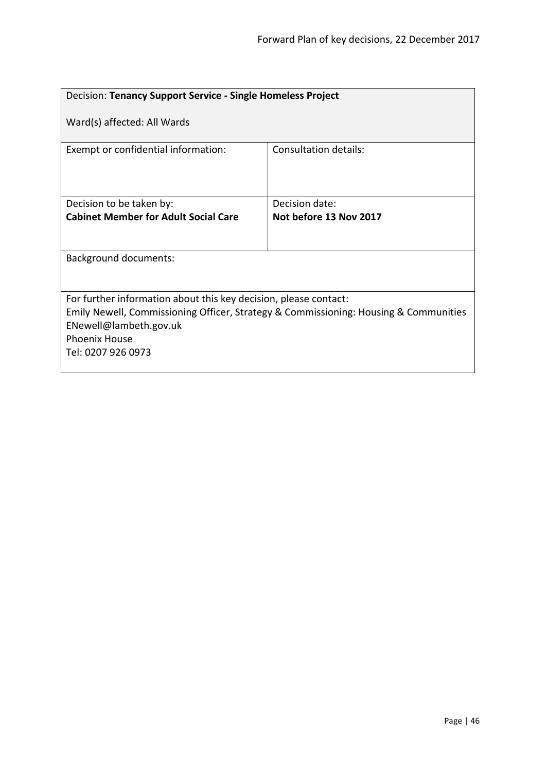| Decision: Tenancy Support Service - Single Homeless Project                                                                                                                                                                      |                        |  |
|----------------------------------------------------------------------------------------------------------------------------------------------------------------------------------------------------------------------------------|------------------------|--|
| Ward(s) affected: All Wards                                                                                                                                                                                                      |                        |  |
| Exempt or confidential information:                                                                                                                                                                                              | Consultation details:  |  |
| Decision to be taken by:                                                                                                                                                                                                         | Decision date:         |  |
| <b>Cabinet Member for Adult Social Care</b>                                                                                                                                                                                      | Not before 13 Nov 2017 |  |
|                                                                                                                                                                                                                                  |                        |  |
| <b>Background documents:</b>                                                                                                                                                                                                     |                        |  |
|                                                                                                                                                                                                                                  |                        |  |
| For further information about this key decision, please contact:<br>Emily Newell, Commissioning Officer, Strategy & Commissioning: Housing & Communities<br>ENewell@lambeth.gov.uk<br><b>Phoenix House</b><br>Tel: 0207 926 0973 |                        |  |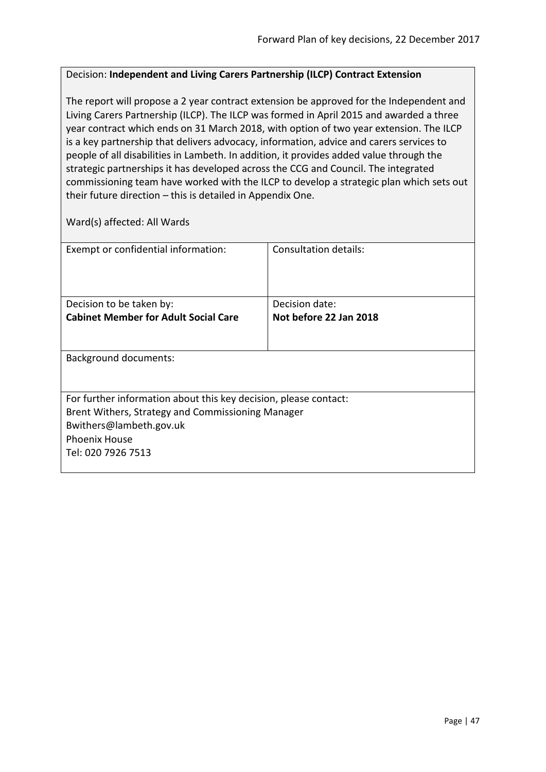## Decision: **Independent and Living Carers Partnership (ILCP) Contract Extension**

The report will propose a 2 year contract extension be approved for the Independent and Living Carers Partnership (ILCP). The ILCP was formed in April 2015 and awarded a three year contract which ends on 31 March 2018, with option of two year extension. The ILCP is a key partnership that delivers advocacy, information, advice and carers services to people of all disabilities in Lambeth. In addition, it provides added value through the strategic partnerships it has developed across the CCG and Council. The integrated commissioning team have worked with the ILCP to develop a strategic plan which sets out their future direction – this is detailed in Appendix One.

| Exempt or confidential information:                              | Consultation details:  |  |
|------------------------------------------------------------------|------------------------|--|
|                                                                  |                        |  |
|                                                                  |                        |  |
| Decision to be taken by:                                         | Decision date:         |  |
| <b>Cabinet Member for Adult Social Care</b>                      | Not before 22 Jan 2018 |  |
|                                                                  |                        |  |
|                                                                  |                        |  |
| <b>Background documents:</b>                                     |                        |  |
|                                                                  |                        |  |
|                                                                  |                        |  |
| For further information about this key decision, please contact: |                        |  |
| Brent Withers, Strategy and Commissioning Manager                |                        |  |
| Bwithers@lambeth.gov.uk                                          |                        |  |
| <b>Phoenix House</b>                                             |                        |  |
| Tel: 020 7926 7513                                               |                        |  |
|                                                                  |                        |  |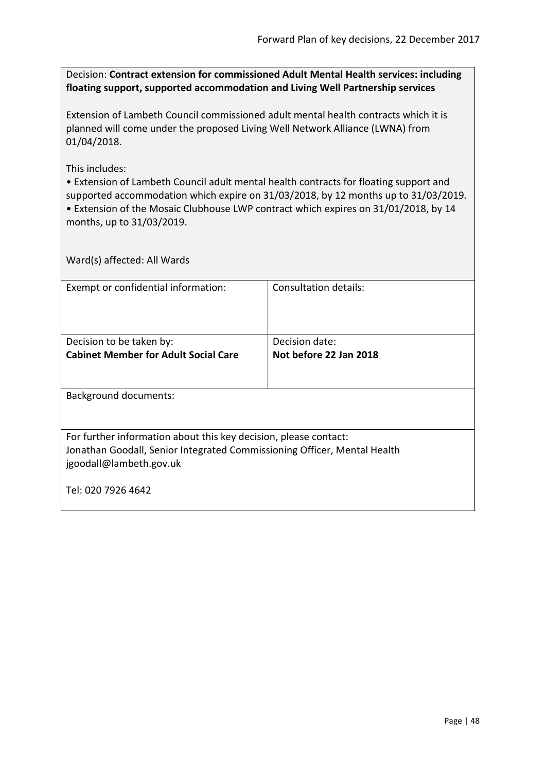Decision: **Contract extension for commissioned Adult Mental Health services: including floating support, supported accommodation and Living Well Partnership services**

Extension of Lambeth Council commissioned adult mental health contracts which it is planned will come under the proposed Living Well Network Alliance (LWNA) from 01/04/2018.

This includes:

• Extension of Lambeth Council adult mental health contracts for floating support and supported accommodation which expire on 31/03/2018, by 12 months up to 31/03/2019. • Extension of the Mosaic Clubhouse LWP contract which expires on 31/01/2018, by 14

months, up to 31/03/2019.

| Exempt or confidential information:                                                                                                                                     | Consultation details:  |  |
|-------------------------------------------------------------------------------------------------------------------------------------------------------------------------|------------------------|--|
|                                                                                                                                                                         |                        |  |
| Decision to be taken by:                                                                                                                                                | Decision date:         |  |
| <b>Cabinet Member for Adult Social Care</b>                                                                                                                             | Not before 22 Jan 2018 |  |
| <b>Background documents:</b>                                                                                                                                            |                        |  |
| For further information about this key decision, please contact:<br>Jonathan Goodall, Senior Integrated Commissioning Officer, Mental Health<br>jgoodall@lambeth.gov.uk |                        |  |
| Tel: 020 7926 4642                                                                                                                                                      |                        |  |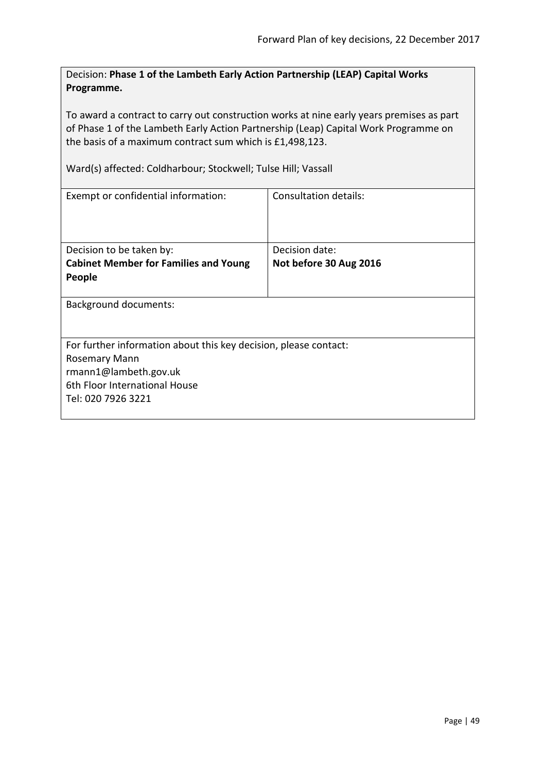Decision: **Phase 1 of the Lambeth Early Action Partnership (LEAP) Capital Works Programme.**

To award a contract to carry out construction works at nine early years premises as part of Phase 1 of the Lambeth Early Action Partnership (Leap) Capital Work Programme on the basis of a maximum contract sum which is £1,498,123.

Ward(s) affected: Coldharbour; Stockwell; Tulse Hill; Vassall

| Exempt or confidential information:                                                                                                                               | Consultation details:                    |
|-------------------------------------------------------------------------------------------------------------------------------------------------------------------|------------------------------------------|
| Decision to be taken by:<br><b>Cabinet Member for Families and Young</b><br>People                                                                                | Decision date:<br>Not before 30 Aug 2016 |
| <b>Background documents:</b>                                                                                                                                      |                                          |
| For further information about this key decision, please contact:<br>Rosemary Mann<br>rmann1@lambeth.gov.uk<br>6th Floor International House<br>Tel: 020 7926 3221 |                                          |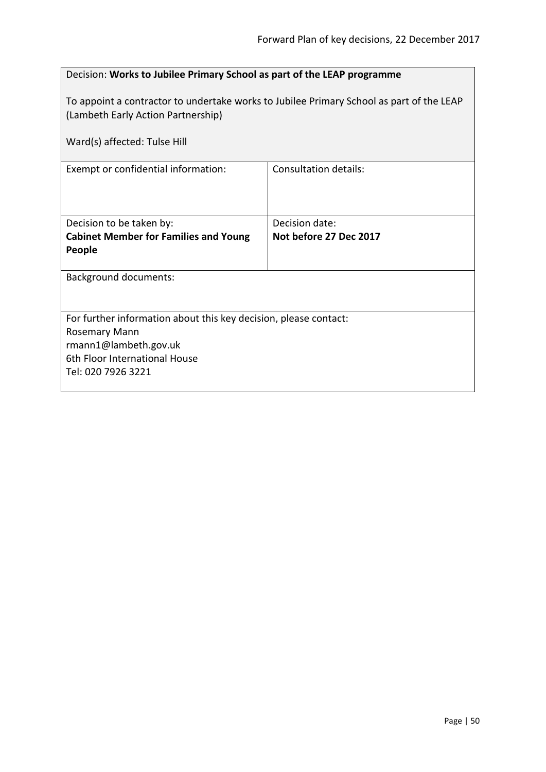| Decision: Works to Jubilee Primary School as part of the LEAP programme                                                                                           |                                          |  |
|-------------------------------------------------------------------------------------------------------------------------------------------------------------------|------------------------------------------|--|
| To appoint a contractor to undertake works to Jubilee Primary School as part of the LEAP<br>(Lambeth Early Action Partnership)                                    |                                          |  |
| Ward(s) affected: Tulse Hill                                                                                                                                      |                                          |  |
| Exempt or confidential information:                                                                                                                               | <b>Consultation details:</b>             |  |
| Decision to be taken by:<br><b>Cabinet Member for Families and Young</b><br>People                                                                                | Decision date:<br>Not before 27 Dec 2017 |  |
| <b>Background documents:</b>                                                                                                                                      |                                          |  |
| For further information about this key decision, please contact:<br>Rosemary Mann<br>rmann1@lambeth.gov.uk<br>6th Floor International House<br>Tel: 020 7926 3221 |                                          |  |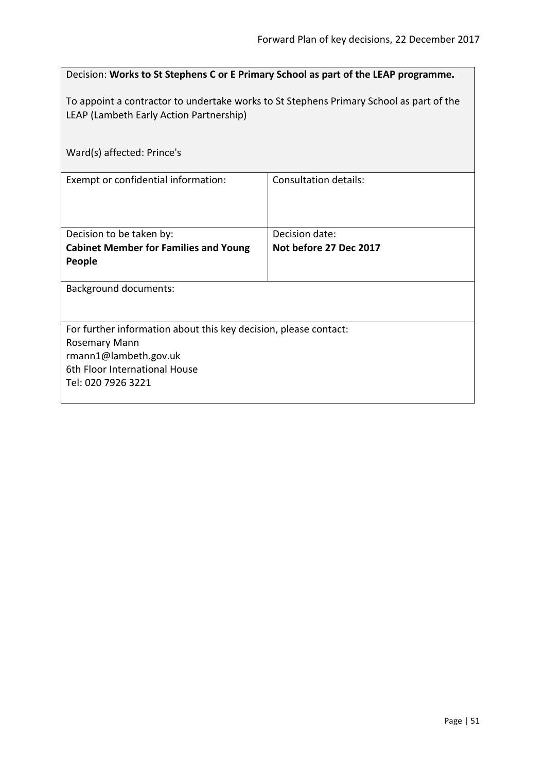| Decision: Works to St Stephens C or E Primary School as part of the LEAP programme.                                                                                      |                                          |  |
|--------------------------------------------------------------------------------------------------------------------------------------------------------------------------|------------------------------------------|--|
| To appoint a contractor to undertake works to St Stephens Primary School as part of the<br>LEAP (Lambeth Early Action Partnership)                                       |                                          |  |
| Ward(s) affected: Prince's                                                                                                                                               |                                          |  |
| Exempt or confidential information:                                                                                                                                      | Consultation details:                    |  |
| Decision to be taken by:<br><b>Cabinet Member for Families and Young</b><br>People                                                                                       | Decision date:<br>Not before 27 Dec 2017 |  |
| <b>Background documents:</b>                                                                                                                                             |                                          |  |
| For further information about this key decision, please contact:<br><b>Rosemary Mann</b><br>rmann1@lambeth.gov.uk<br>6th Floor International House<br>Tel: 020 7926 3221 |                                          |  |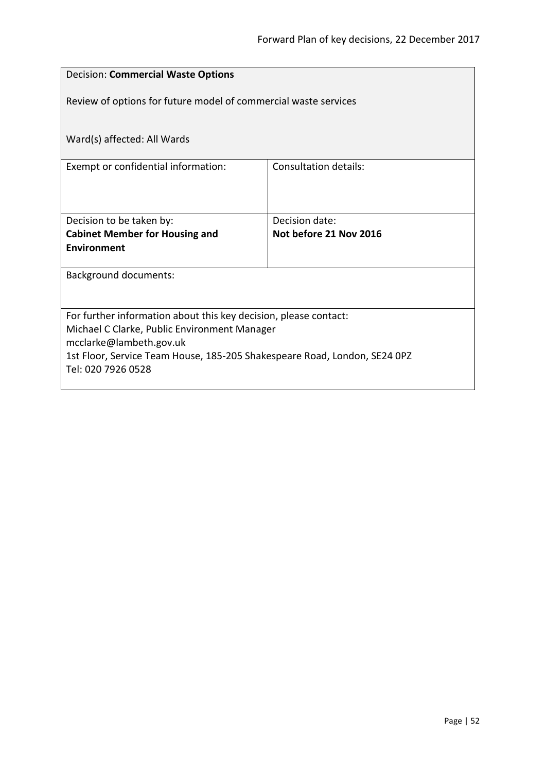| <b>Decision: Commercial Waste Options</b>                                 |                              |  |  |
|---------------------------------------------------------------------------|------------------------------|--|--|
| Review of options for future model of commercial waste services           |                              |  |  |
| Ward(s) affected: All Wards                                               |                              |  |  |
| Exempt or confidential information:                                       | <b>Consultation details:</b> |  |  |
|                                                                           |                              |  |  |
| Decision to be taken by:                                                  | Decision date:               |  |  |
| <b>Cabinet Member for Housing and</b>                                     | Not before 21 Nov 2016       |  |  |
| Environment                                                               |                              |  |  |
| <b>Background documents:</b>                                              |                              |  |  |
|                                                                           |                              |  |  |
| For further information about this key decision, please contact:          |                              |  |  |
| Michael C Clarke, Public Environment Manager<br>mcclarke@lambeth.gov.uk   |                              |  |  |
| 1st Floor, Service Team House, 185-205 Shakespeare Road, London, SE24 0PZ |                              |  |  |
| Tel: 020 7926 0528                                                        |                              |  |  |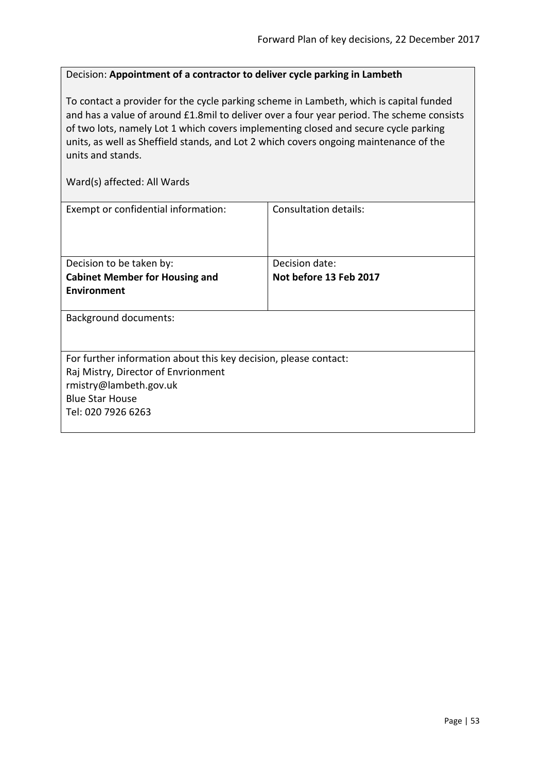# Decision: **Appointment of a contractor to deliver cycle parking in Lambeth**

To contact a provider for the cycle parking scheme in Lambeth, which is capital funded and has a value of around £1.8mil to deliver over a four year period. The scheme consists of two lots, namely Lot 1 which covers implementing closed and secure cycle parking units, as well as Sheffield stands, and Lot 2 which covers ongoing maintenance of the units and stands.

| Exempt or confidential information:                              | Consultation details:  |
|------------------------------------------------------------------|------------------------|
| Decision to be taken by:                                         | Decision date:         |
| <b>Cabinet Member for Housing and</b>                            | Not before 13 Feb 2017 |
| <b>Environment</b>                                               |                        |
| <b>Background documents:</b>                                     |                        |
| For further information about this key decision, please contact: |                        |
| Raj Mistry, Director of Envrionment                              |                        |
| rmistry@lambeth.gov.uk                                           |                        |
| <b>Blue Star House</b>                                           |                        |
| Tel: 020 7926 6263                                               |                        |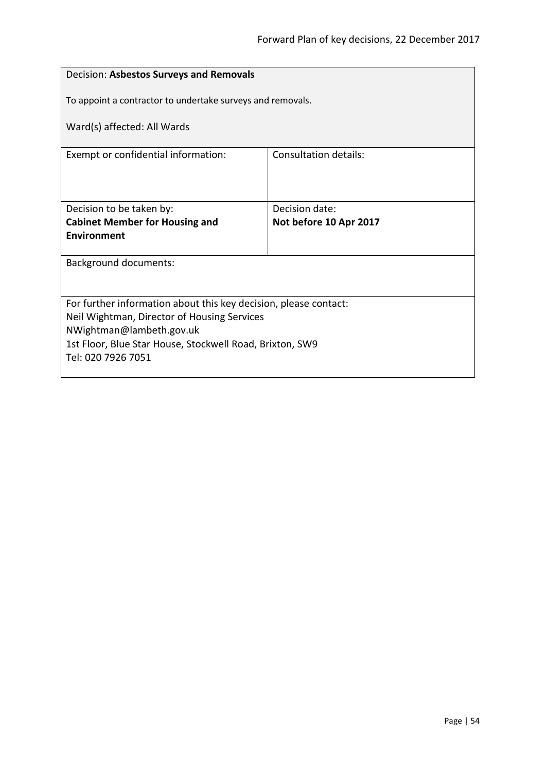| Decision: Asbestos Surveys and Removals                                 |  |  |
|-------------------------------------------------------------------------|--|--|
| To appoint a contractor to undertake surveys and removals.              |  |  |
| Ward(s) affected: All Wards                                             |  |  |
| <b>Consultation details:</b>                                            |  |  |
|                                                                         |  |  |
| Decision date:<br>Not before 10 Apr 2017                                |  |  |
|                                                                         |  |  |
| <b>Background documents:</b>                                            |  |  |
|                                                                         |  |  |
| For further information about this key decision, please contact:        |  |  |
| Neil Wightman, Director of Housing Services<br>NWightman@lambeth.gov.uk |  |  |
| 1st Floor, Blue Star House, Stockwell Road, Brixton, SW9                |  |  |
|                                                                         |  |  |
|                                                                         |  |  |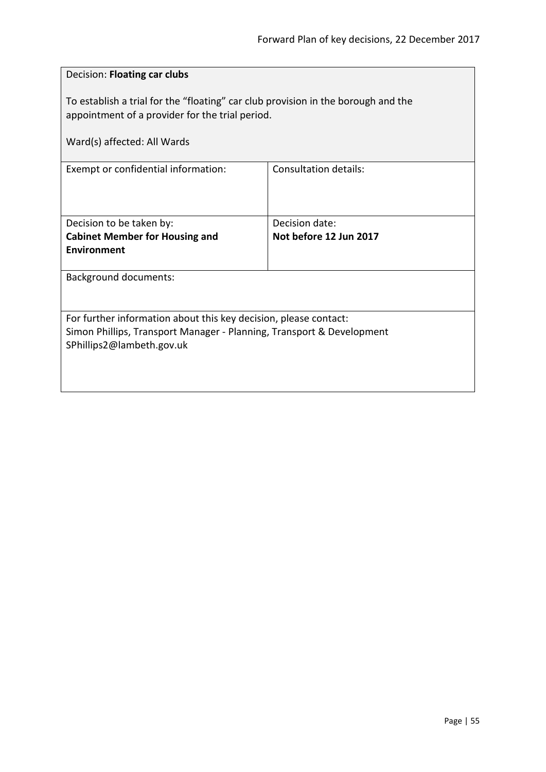| Decision: Floating car clubs                                                                                                                                           |                              |  |
|------------------------------------------------------------------------------------------------------------------------------------------------------------------------|------------------------------|--|
| To establish a trial for the "floating" car club provision in the borough and the<br>appointment of a provider for the trial period.                                   |                              |  |
| Ward(s) affected: All Wards                                                                                                                                            |                              |  |
| Exempt or confidential information:                                                                                                                                    | <b>Consultation details:</b> |  |
| Decision to be taken by:                                                                                                                                               | Decision date:               |  |
| <b>Cabinet Member for Housing and</b><br><b>Environment</b>                                                                                                            | Not before 12 Jun 2017       |  |
| <b>Background documents:</b>                                                                                                                                           |                              |  |
| For further information about this key decision, please contact:<br>Simon Phillips, Transport Manager - Planning, Transport & Development<br>SPhillips2@lambeth.gov.uk |                              |  |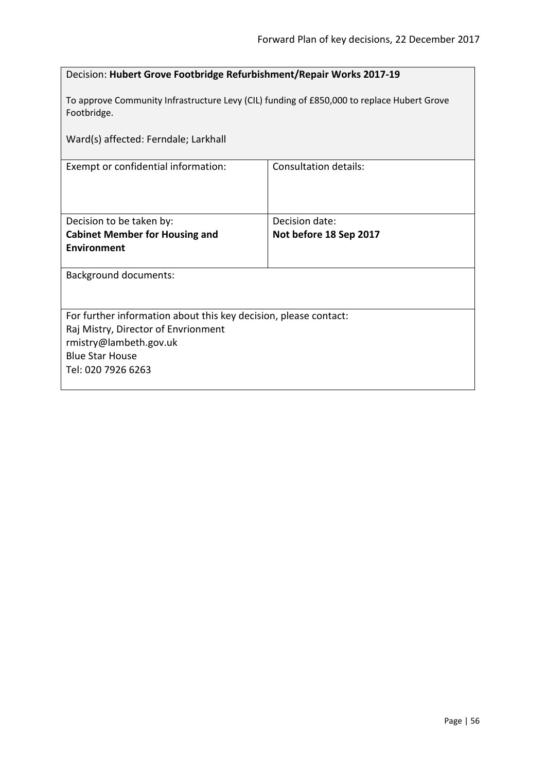| Decision: Hubert Grove Footbridge Refurbishment/Repair Works 2017-19                                      |                              |  |
|-----------------------------------------------------------------------------------------------------------|------------------------------|--|
| To approve Community Infrastructure Levy (CIL) funding of £850,000 to replace Hubert Grove<br>Footbridge. |                              |  |
| Ward(s) affected: Ferndale; Larkhall                                                                      |                              |  |
| Exempt or confidential information:                                                                       | <b>Consultation details:</b> |  |
|                                                                                                           |                              |  |
| Decision to be taken by:                                                                                  | Decision date:               |  |
| <b>Cabinet Member for Housing and</b>                                                                     | Not before 18 Sep 2017       |  |
| <b>Environment</b>                                                                                        |                              |  |
| <b>Background documents:</b>                                                                              |                              |  |
|                                                                                                           |                              |  |
| For further information about this key decision, please contact:                                          |                              |  |
| Raj Mistry, Director of Envrionment                                                                       |                              |  |
| rmistry@lambeth.gov.uk<br><b>Blue Star House</b>                                                          |                              |  |
| Tel: 020 7926 6263                                                                                        |                              |  |
|                                                                                                           |                              |  |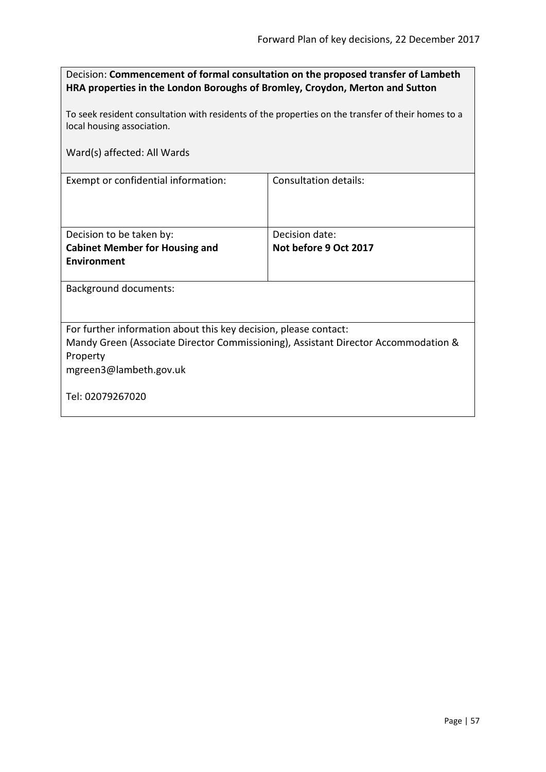| Decision: Commencement of formal consultation on the proposed transfer of Lambeth |
|-----------------------------------------------------------------------------------|
| HRA properties in the London Boroughs of Bromley, Croydon, Merton and Sutton      |

To seek resident consultation with residents of the properties on the transfer of their homes to a local housing association.

|  |  | Ward(s) affected: All Wards |
|--|--|-----------------------------|
|--|--|-----------------------------|

| Exempt or confidential information: |  |
|-------------------------------------|--|
|-------------------------------------|--|

| Decision to be taken by:              | Decision date:        |
|---------------------------------------|-----------------------|
| <b>Cabinet Member for Housing and</b> | Not before 9 Oct 2017 |
| <b>Environment</b>                    |                       |
|                                       |                       |

**Consultation details:** 

Background documents:

For further information about this key decision, please contact:

Mandy Green (Associate Director Commissioning), Assistant Director Accommodation & Property

mgreen3@lambeth.gov.uk

Tel: 02079267020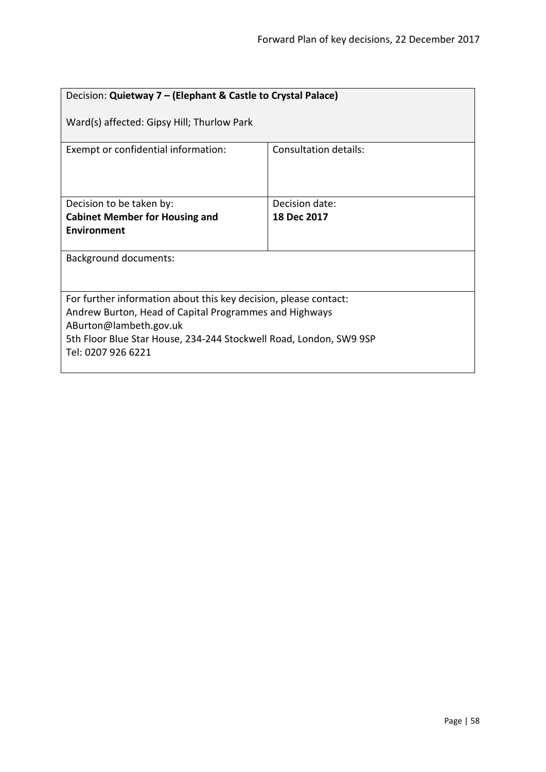| Decision: Quietway 7 – (Elephant & Castle to Crystal Palace)                                                                                                                                                                                     |                       |  |
|--------------------------------------------------------------------------------------------------------------------------------------------------------------------------------------------------------------------------------------------------|-----------------------|--|
| Ward(s) affected: Gipsy Hill; Thurlow Park                                                                                                                                                                                                       |                       |  |
| Exempt or confidential information:                                                                                                                                                                                                              | Consultation details: |  |
| Decision to be taken by:                                                                                                                                                                                                                         | Decision date:        |  |
| <b>Cabinet Member for Housing and</b>                                                                                                                                                                                                            | 18 Dec 2017           |  |
| Environment                                                                                                                                                                                                                                      |                       |  |
| Background documents:                                                                                                                                                                                                                            |                       |  |
| For further information about this key decision, please contact:<br>Andrew Burton, Head of Capital Programmes and Highways<br>ABurton@lambeth.gov.uk<br>5th Floor Blue Star House, 234-244 Stockwell Road, London, SW9 9SP<br>Tel: 0207 926 6221 |                       |  |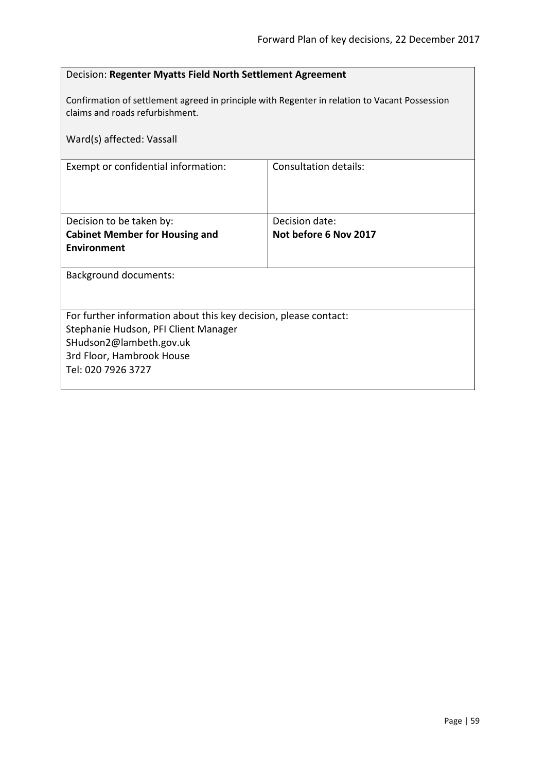| Decision: Regenter Myatts Field North Settlement Agreement                                                                       |                              |  |
|----------------------------------------------------------------------------------------------------------------------------------|------------------------------|--|
| Confirmation of settlement agreed in principle with Regenter in relation to Vacant Possession<br>claims and roads refurbishment. |                              |  |
| Ward(s) affected: Vassall                                                                                                        |                              |  |
| Exempt or confidential information:                                                                                              | <b>Consultation details:</b> |  |
|                                                                                                                                  |                              |  |
| Decision to be taken by:                                                                                                         | Decision date:               |  |
| <b>Cabinet Member for Housing and</b>                                                                                            | Not before 6 Nov 2017        |  |
| Environment                                                                                                                      |                              |  |
| <b>Background documents:</b>                                                                                                     |                              |  |
|                                                                                                                                  |                              |  |
| For further information about this key decision, please contact:                                                                 |                              |  |
| Stephanie Hudson, PFI Client Manager                                                                                             |                              |  |
| SHudson2@lambeth.gov.uk                                                                                                          |                              |  |
| 3rd Floor, Hambrook House                                                                                                        |                              |  |
| Tel: 020 7926 3727                                                                                                               |                              |  |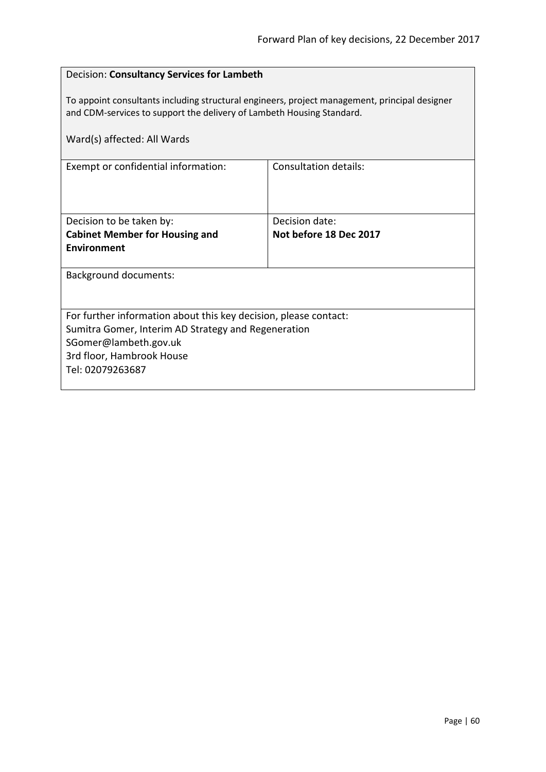| Decision: Consultancy Services for Lambeth                                                                                                                             |                        |  |
|------------------------------------------------------------------------------------------------------------------------------------------------------------------------|------------------------|--|
| To appoint consultants including structural engineers, project management, principal designer<br>and CDM-services to support the delivery of Lambeth Housing Standard. |                        |  |
| Ward(s) affected: All Wards                                                                                                                                            |                        |  |
| Exempt or confidential information:                                                                                                                                    | Consultation details:  |  |
|                                                                                                                                                                        |                        |  |
| Decision to be taken by:                                                                                                                                               | Decision date:         |  |
| <b>Cabinet Member for Housing and</b>                                                                                                                                  | Not before 18 Dec 2017 |  |
| <b>Environment</b>                                                                                                                                                     |                        |  |
| <b>Background documents:</b>                                                                                                                                           |                        |  |
|                                                                                                                                                                        |                        |  |
| For further information about this key decision, please contact:                                                                                                       |                        |  |
| Sumitra Gomer, Interim AD Strategy and Regeneration                                                                                                                    |                        |  |
| SGomer@lambeth.gov.uk                                                                                                                                                  |                        |  |
| 3rd floor, Hambrook House<br>Tel: 02079263687                                                                                                                          |                        |  |
|                                                                                                                                                                        |                        |  |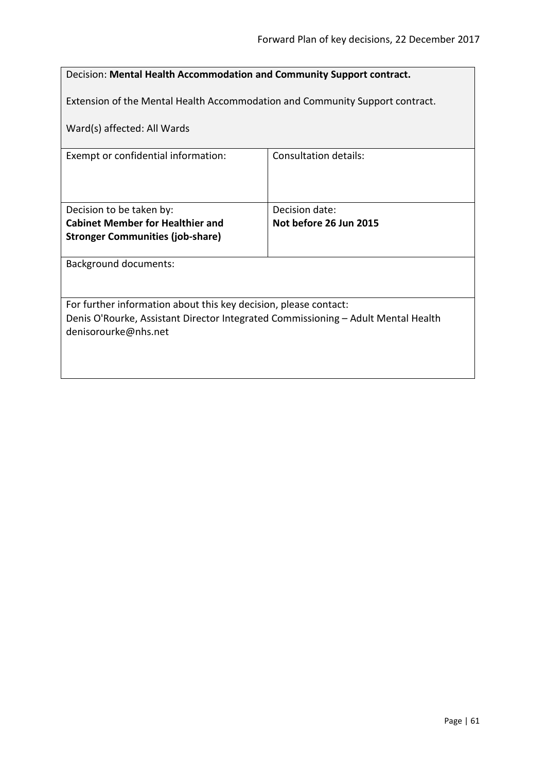| Decision: Mental Health Accommodation and Community Support contract.             |                        |  |
|-----------------------------------------------------------------------------------|------------------------|--|
|                                                                                   |                        |  |
| Extension of the Mental Health Accommodation and Community Support contract.      |                        |  |
|                                                                                   |                        |  |
| Ward(s) affected: All Wards                                                       |                        |  |
|                                                                                   |                        |  |
| Exempt or confidential information:                                               | Consultation details:  |  |
|                                                                                   |                        |  |
|                                                                                   |                        |  |
|                                                                                   |                        |  |
| Decision to be taken by:                                                          | Decision date:         |  |
| <b>Cabinet Member for Healthier and</b>                                           | Not before 26 Jun 2015 |  |
| <b>Stronger Communities (job-share)</b>                                           |                        |  |
|                                                                                   |                        |  |
| Background documents:                                                             |                        |  |
|                                                                                   |                        |  |
|                                                                                   |                        |  |
| For further information about this key decision, please contact:                  |                        |  |
| Denis O'Rourke, Assistant Director Integrated Commissioning - Adult Mental Health |                        |  |
| denisorourke@nhs.net                                                              |                        |  |
|                                                                                   |                        |  |
|                                                                                   |                        |  |
|                                                                                   |                        |  |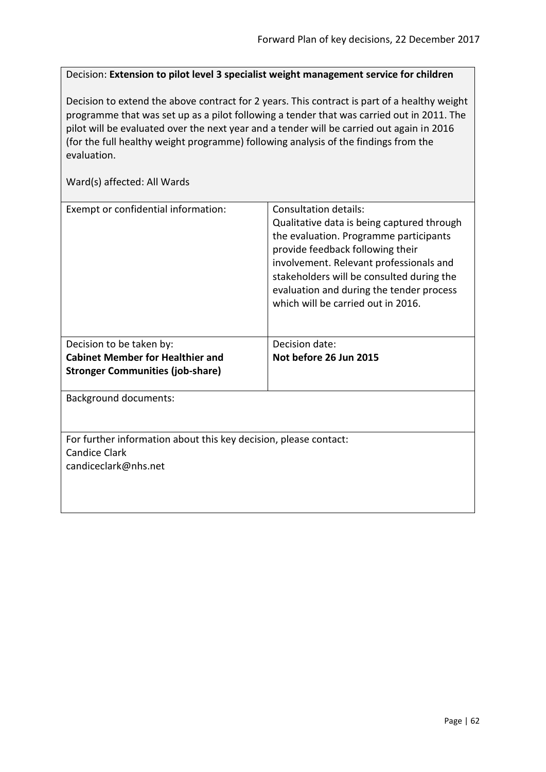Decision: **Extension to pilot level 3 specialist weight management service for children**

Decision to extend the above contract for 2 years. This contract is part of a healthy weight programme that was set up as a pilot following a tender that was carried out in 2011. The pilot will be evaluated over the next year and a tender will be carried out again in 2016 (for the full healthy weight programme) following analysis of the findings from the evaluation.

| Exempt or confidential information:                                                                              | Consultation details:<br>Qualitative data is being captured through<br>the evaluation. Programme participants<br>provide feedback following their<br>involvement. Relevant professionals and<br>stakeholders will be consulted during the<br>evaluation and during the tender process<br>which will be carried out in 2016. |
|------------------------------------------------------------------------------------------------------------------|-----------------------------------------------------------------------------------------------------------------------------------------------------------------------------------------------------------------------------------------------------------------------------------------------------------------------------|
| Decision to be taken by:                                                                                         | Decision date:                                                                                                                                                                                                                                                                                                              |
| <b>Cabinet Member for Healthier and</b>                                                                          | Not before 26 Jun 2015                                                                                                                                                                                                                                                                                                      |
| <b>Stronger Communities (job-share)</b>                                                                          |                                                                                                                                                                                                                                                                                                                             |
| <b>Background documents:</b>                                                                                     |                                                                                                                                                                                                                                                                                                                             |
| For further information about this key decision, please contact:<br><b>Candice Clark</b><br>candiceclark@nhs.net |                                                                                                                                                                                                                                                                                                                             |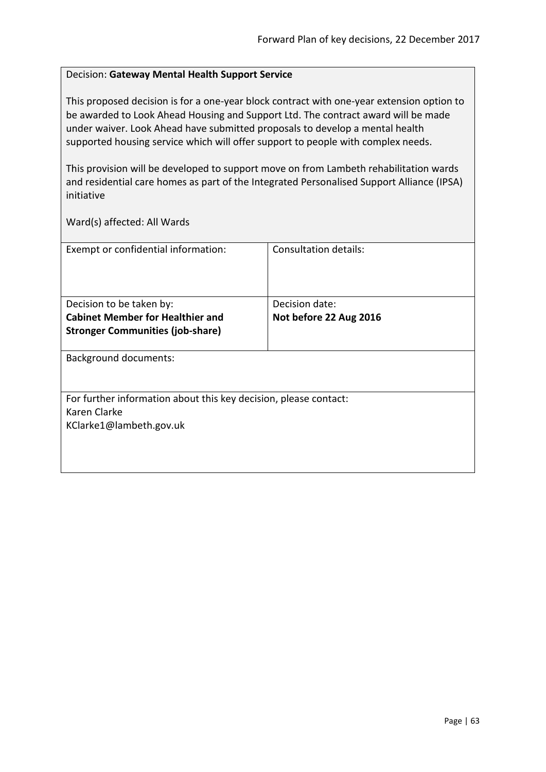### Decision: **Gateway Mental Health Support Service**

This proposed decision is for a one-year block contract with one-year extension option to be awarded to Look Ahead Housing and Support Ltd. The contract award will be made under waiver. Look Ahead have submitted proposals to develop a mental health supported housing service which will offer support to people with complex needs.

This provision will be developed to support move on from Lambeth rehabilitation wards and residential care homes as part of the Integrated Personalised Support Alliance (IPSA) initiative

| Exempt or confidential information:                              | Consultation details:  |
|------------------------------------------------------------------|------------------------|
|                                                                  |                        |
|                                                                  |                        |
|                                                                  |                        |
| Decision to be taken by:                                         | Decision date:         |
| <b>Cabinet Member for Healthier and</b>                          | Not before 22 Aug 2016 |
| <b>Stronger Communities (job-share)</b>                          |                        |
|                                                                  |                        |
| <b>Background documents:</b>                                     |                        |
|                                                                  |                        |
|                                                                  |                        |
| For further information about this key decision, please contact: |                        |
| Karen Clarke                                                     |                        |
| KClarke1@lambeth.gov.uk                                          |                        |
|                                                                  |                        |
|                                                                  |                        |
|                                                                  |                        |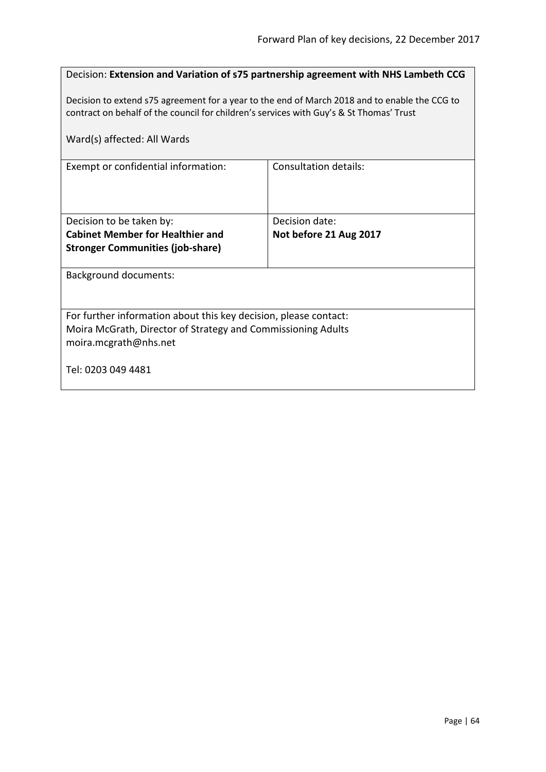| Decision: Extension and Variation of s75 partnership agreement with NHS Lambeth CCG                                                                                                      |                        |  |
|------------------------------------------------------------------------------------------------------------------------------------------------------------------------------------------|------------------------|--|
| Decision to extend s75 agreement for a year to the end of March 2018 and to enable the CCG to<br>contract on behalf of the council for children's services with Guy's & St Thomas' Trust |                        |  |
| Ward(s) affected: All Wards                                                                                                                                                              |                        |  |
| Exempt or confidential information:                                                                                                                                                      | Consultation details:  |  |
|                                                                                                                                                                                          |                        |  |
| Decision to be taken by:                                                                                                                                                                 | Decision date:         |  |
| <b>Cabinet Member for Healthier and</b>                                                                                                                                                  | Not before 21 Aug 2017 |  |
| <b>Stronger Communities (job-share)</b>                                                                                                                                                  |                        |  |
| <b>Background documents:</b>                                                                                                                                                             |                        |  |
|                                                                                                                                                                                          |                        |  |
| For further information about this key decision, please contact:                                                                                                                         |                        |  |
| Moira McGrath, Director of Strategy and Commissioning Adults                                                                                                                             |                        |  |
| moira.mcgrath@nhs.net                                                                                                                                                                    |                        |  |
| Tel: 0203 049 4481                                                                                                                                                                       |                        |  |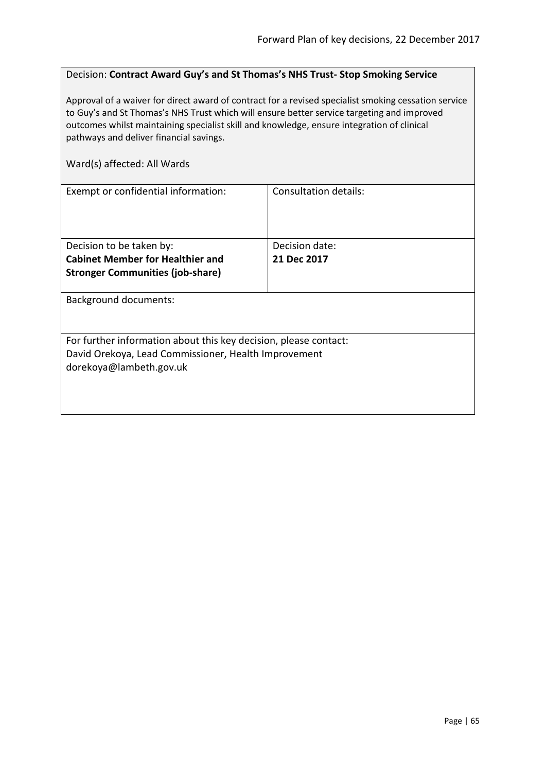#### Decision: **Contract Award Guy's and St Thomas's NHS Trust- Stop Smoking Service**

Approval of a waiver for direct award of contract for a revised specialist smoking cessation service to Guy's and St Thomas's NHS Trust which will ensure better service targeting and improved outcomes whilst maintaining specialist skill and knowledge, ensure integration of clinical pathways and deliver financial savings.

| Exempt or confidential information:                              | Consultation details: |
|------------------------------------------------------------------|-----------------------|
|                                                                  |                       |
| Decision to be taken by:                                         | Decision date:        |
| <b>Cabinet Member for Healthier and</b>                          | 21 Dec 2017           |
| <b>Stronger Communities (job-share)</b>                          |                       |
|                                                                  |                       |
| <b>Background documents:</b>                                     |                       |
|                                                                  |                       |
|                                                                  |                       |
| For further information about this key decision, please contact: |                       |
| David Orekoya, Lead Commissioner, Health Improvement             |                       |
| dorekoya@lambeth.gov.uk                                          |                       |
|                                                                  |                       |
|                                                                  |                       |
|                                                                  |                       |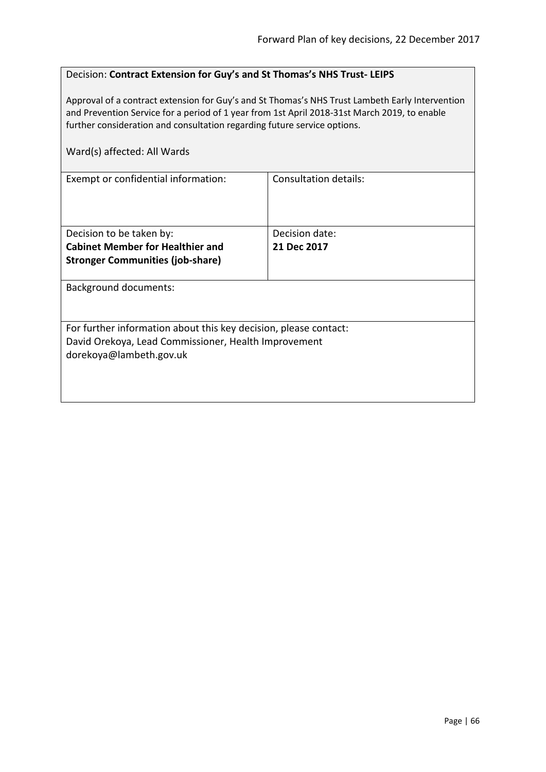## Decision: **Contract Extension for Guy's and St Thomas's NHS Trust- LEIPS**

Approval of a contract extension for Guy's and St Thomas's NHS Trust Lambeth Early Intervention and Prevention Service for a period of 1 year from 1st April 2018-31st March 2019, to enable further consideration and consultation regarding future service options.

|  | Ward(s) affected: All Wards |  |  |
|--|-----------------------------|--|--|
|--|-----------------------------|--|--|

| Exempt or confidential information:                                                                                                                 | Consultation details: |  |
|-----------------------------------------------------------------------------------------------------------------------------------------------------|-----------------------|--|
| Decision to be taken by:                                                                                                                            | Decision date:        |  |
| <b>Cabinet Member for Healthier and</b>                                                                                                             | 21 Dec 2017           |  |
| <b>Stronger Communities (job-share)</b>                                                                                                             |                       |  |
| <b>Background documents:</b>                                                                                                                        |                       |  |
| For further information about this key decision, please contact:<br>David Orekoya, Lead Commissioner, Health Improvement<br>dorekoya@lambeth.gov.uk |                       |  |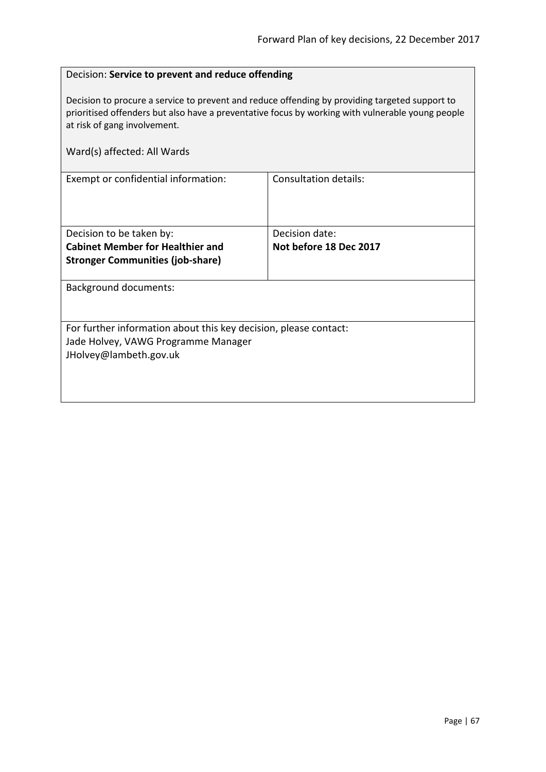## Decision: **Service to prevent and reduce offending**

Decision to procure a service to prevent and reduce offending by providing targeted support to prioritised offenders but also have a preventative focus by working with vulnerable young people at risk of gang involvement.

| Ward(s) affected: All Wards                                      |                        |
|------------------------------------------------------------------|------------------------|
| Exempt or confidential information:                              | Consultation details:  |
| Decision to be taken by:                                         | Decision date:         |
| <b>Cabinet Member for Healthier and</b>                          | Not before 18 Dec 2017 |
| <b>Stronger Communities (job-share)</b>                          |                        |
| <b>Background documents:</b>                                     |                        |
| For further information about this key decision, please contact: |                        |
| Jade Holvey, VAWG Programme Manager                              |                        |
| JHolvey@lambeth.gov.uk                                           |                        |
|                                                                  |                        |
|                                                                  |                        |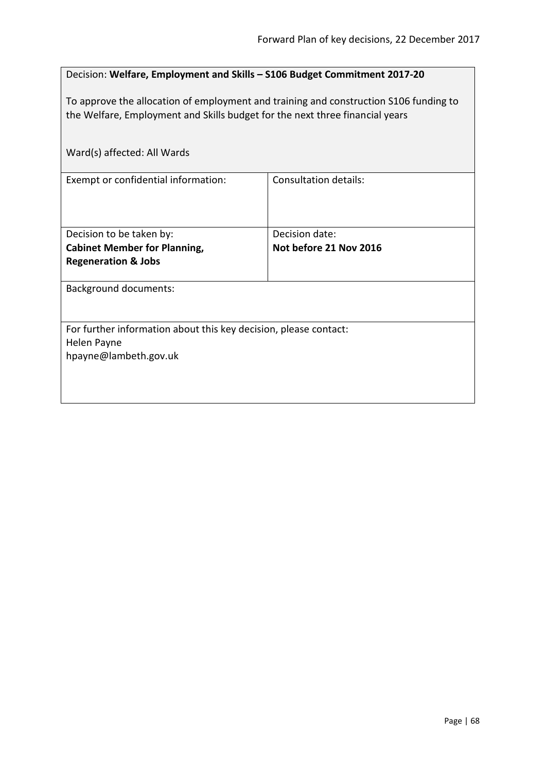| Decision: Welfare, Employment and Skills - S106 Budget Commitment 2017-20             |                              |  |
|---------------------------------------------------------------------------------------|------------------------------|--|
| To approve the allocation of employment and training and construction S106 funding to |                              |  |
| the Welfare, Employment and Skills budget for the next three financial years          |                              |  |
|                                                                                       |                              |  |
| Ward(s) affected: All Wards                                                           |                              |  |
| Exempt or confidential information:                                                   | <b>Consultation details:</b> |  |
|                                                                                       |                              |  |
|                                                                                       |                              |  |
| Decision to be taken by:                                                              | Decision date:               |  |
| <b>Cabinet Member for Planning,</b><br><b>Regeneration &amp; Jobs</b>                 | Not before 21 Nov 2016       |  |
|                                                                                       |                              |  |
| <b>Background documents:</b>                                                          |                              |  |
|                                                                                       |                              |  |
| For further information about this key decision, please contact:                      |                              |  |
| Helen Payne                                                                           |                              |  |
| hpayne@lambeth.gov.uk                                                                 |                              |  |
|                                                                                       |                              |  |
|                                                                                       |                              |  |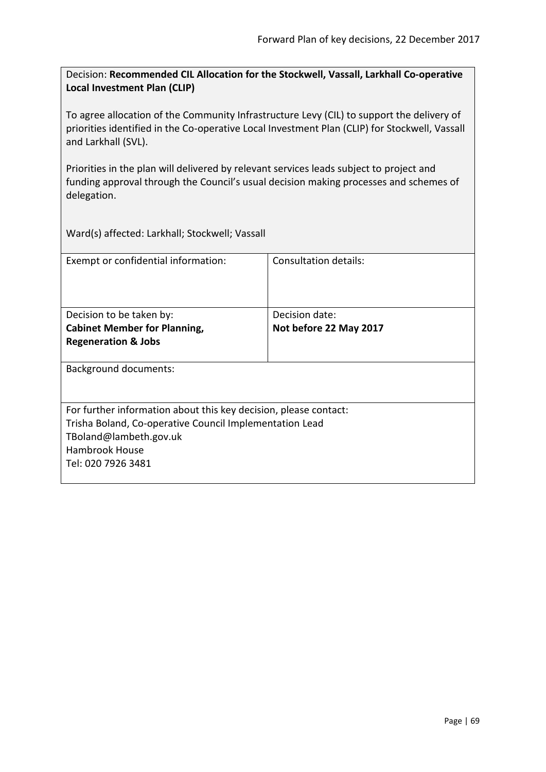Decision: **Recommended CIL Allocation for the Stockwell, Vassall, Larkhall Co-operative Local Investment Plan (CLIP)**

To agree allocation of the Community Infrastructure Levy (CIL) to support the delivery of priorities identified in the Co-operative Local Investment Plan (CLIP) for Stockwell, Vassall and Larkhall (SVL).

Priorities in the plan will delivered by relevant services leads subject to project and funding approval through the Council's usual decision making processes and schemes of delegation.

Ward(s) affected: Larkhall; Stockwell; Vassall

| Exempt or confidential information:                              | Consultation details:  |  |
|------------------------------------------------------------------|------------------------|--|
| Decision to be taken by:                                         | Decision date:         |  |
| <b>Cabinet Member for Planning,</b>                              | Not before 22 May 2017 |  |
| <b>Regeneration &amp; Jobs</b>                                   |                        |  |
| <b>Background documents:</b>                                     |                        |  |
| For further information about this key decision, please contact: |                        |  |
| Trisha Boland, Co-operative Council Implementation Lead          |                        |  |
| TBoland@lambeth.gov.uk                                           |                        |  |
| Hambrook House                                                   |                        |  |
| Tel: 020 7926 3481                                               |                        |  |
|                                                                  |                        |  |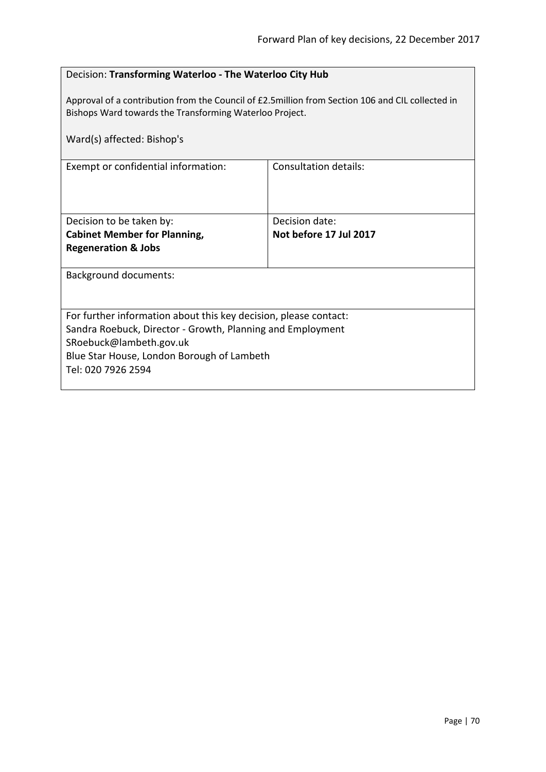| Decision: Transforming Waterloo - The Waterloo City Hub                                                                                                      |                        |  |
|--------------------------------------------------------------------------------------------------------------------------------------------------------------|------------------------|--|
| Approval of a contribution from the Council of £2.5 million from Section 106 and CIL collected in<br>Bishops Ward towards the Transforming Waterloo Project. |                        |  |
| Ward(s) affected: Bishop's                                                                                                                                   |                        |  |
| Exempt or confidential information:                                                                                                                          | Consultation details:  |  |
|                                                                                                                                                              |                        |  |
| Decision to be taken by:                                                                                                                                     | Decision date:         |  |
| <b>Cabinet Member for Planning,</b>                                                                                                                          | Not before 17 Jul 2017 |  |
| <b>Regeneration &amp; Jobs</b>                                                                                                                               |                        |  |
| <b>Background documents:</b>                                                                                                                                 |                        |  |
|                                                                                                                                                              |                        |  |
| For further information about this key decision, please contact:                                                                                             |                        |  |
| Sandra Roebuck, Director - Growth, Planning and Employment                                                                                                   |                        |  |
| SRoebuck@lambeth.gov.uk<br>Blue Star House, London Borough of Lambeth                                                                                        |                        |  |
| Tel: 020 7926 2594                                                                                                                                           |                        |  |
|                                                                                                                                                              |                        |  |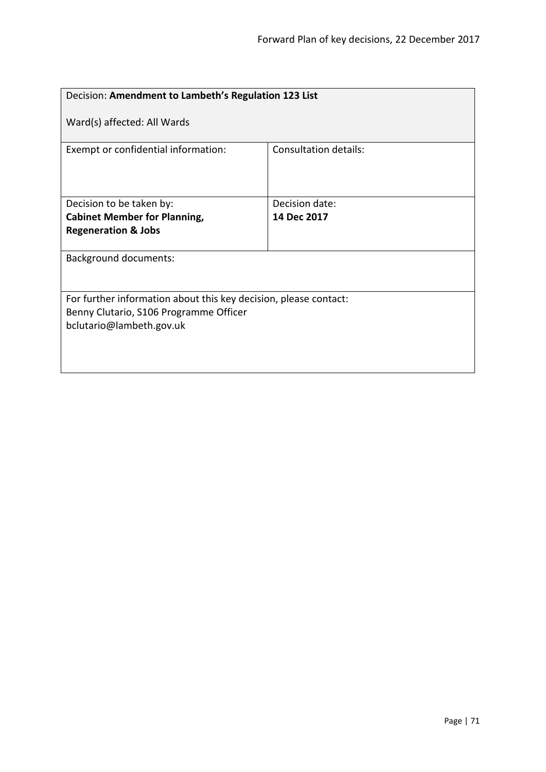| Decision: Amendment to Lambeth's Regulation 123 List                                                                                   |                       |  |
|----------------------------------------------------------------------------------------------------------------------------------------|-----------------------|--|
| Ward(s) affected: All Wards                                                                                                            |                       |  |
| Exempt or confidential information:                                                                                                    | Consultation details: |  |
| Decision to be taken by:                                                                                                               | Decision date:        |  |
| <b>Cabinet Member for Planning,</b>                                                                                                    | 14 Dec 2017           |  |
| <b>Regeneration &amp; Jobs</b>                                                                                                         |                       |  |
| <b>Background documents:</b>                                                                                                           |                       |  |
| For further information about this key decision, please contact:<br>Benny Clutario, S106 Programme Officer<br>bclutario@lambeth.gov.uk |                       |  |
|                                                                                                                                        |                       |  |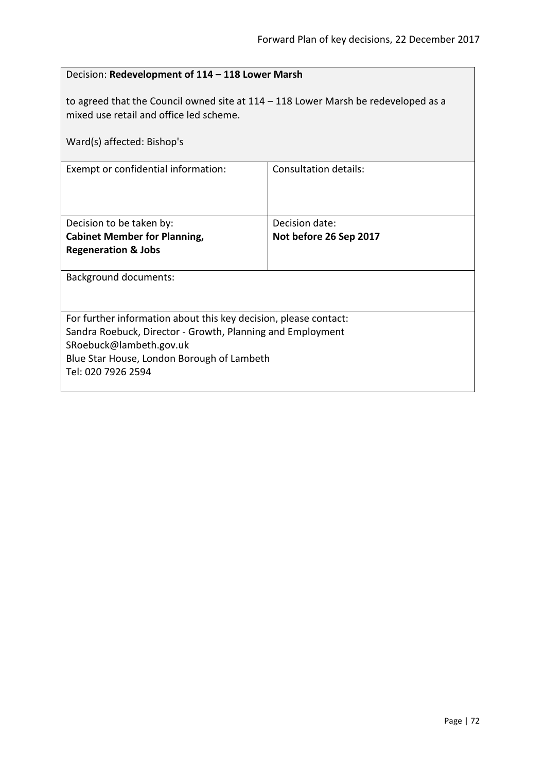| Decision: Redevelopment of 114 - 118 Lower Marsh                                                                                                                                                                              |                                          |  |
|-------------------------------------------------------------------------------------------------------------------------------------------------------------------------------------------------------------------------------|------------------------------------------|--|
| to agreed that the Council owned site at $114 - 118$ Lower Marsh be redeveloped as a<br>mixed use retail and office led scheme.                                                                                               |                                          |  |
| Ward(s) affected: Bishop's                                                                                                                                                                                                    |                                          |  |
| Exempt or confidential information:                                                                                                                                                                                           | <b>Consultation details:</b>             |  |
| Decision to be taken by:<br><b>Cabinet Member for Planning,</b><br><b>Regeneration &amp; Jobs</b>                                                                                                                             | Decision date:<br>Not before 26 Sep 2017 |  |
| <b>Background documents:</b>                                                                                                                                                                                                  |                                          |  |
| For further information about this key decision, please contact:<br>Sandra Roebuck, Director - Growth, Planning and Employment<br>SRoebuck@lambeth.gov.uk<br>Blue Star House, London Borough of Lambeth<br>Tel: 020 7926 2594 |                                          |  |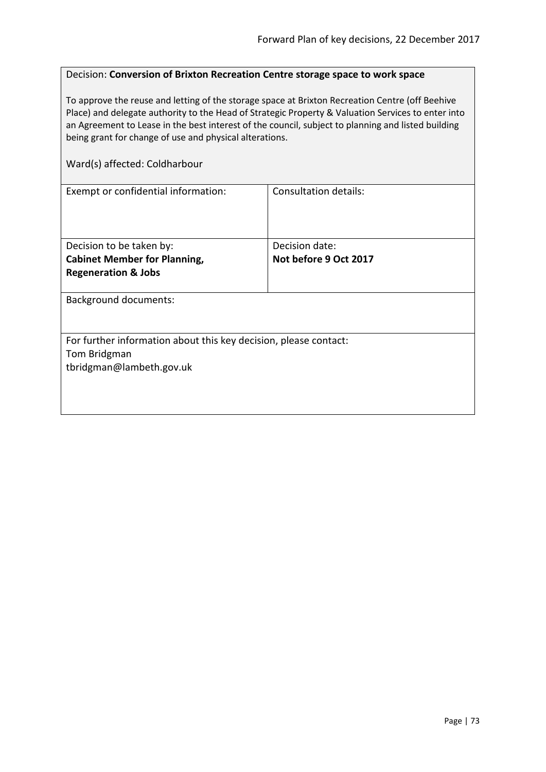#### Decision: **Conversion of Brixton Recreation Centre storage space to work space**

To approve the reuse and letting of the storage space at Brixton Recreation Centre (off Beehive Place) and delegate authority to the Head of Strategic Property & Valuation Services to enter into an Agreement to Lease in the best interest of the council, subject to planning and listed building being grant for change of use and physical alterations.

### Ward(s) affected: Coldharbour

| Exempt or confidential information:                              | Consultation details: |  |
|------------------------------------------------------------------|-----------------------|--|
|                                                                  |                       |  |
|                                                                  |                       |  |
|                                                                  |                       |  |
| Decision to be taken by:                                         | Decision date:        |  |
| <b>Cabinet Member for Planning,</b>                              | Not before 9 Oct 2017 |  |
| <b>Regeneration &amp; Jobs</b>                                   |                       |  |
|                                                                  |                       |  |
| <b>Background documents:</b>                                     |                       |  |
|                                                                  |                       |  |
|                                                                  |                       |  |
| For further information about this key decision, please contact: |                       |  |
| Tom Bridgman                                                     |                       |  |
| tbridgman@lambeth.gov.uk                                         |                       |  |
|                                                                  |                       |  |
|                                                                  |                       |  |
|                                                                  |                       |  |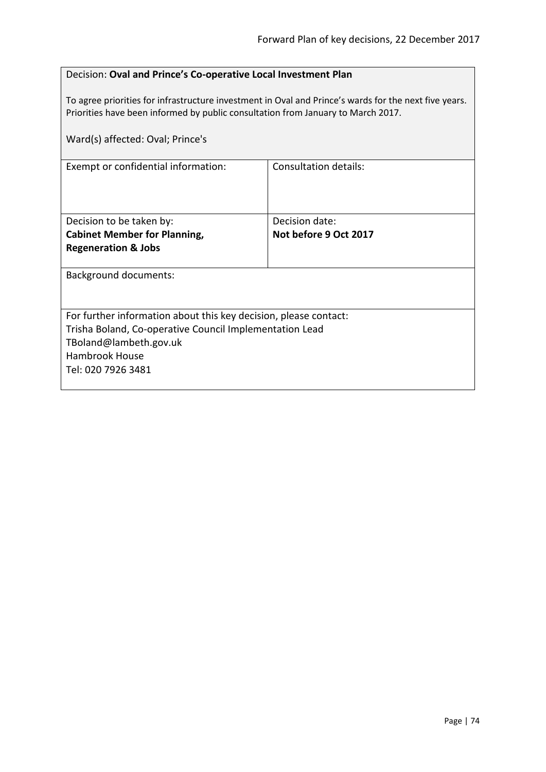| Decision: Oval and Prince's Co-operative Local Investment Plan                                                                                                                            |                       |  |
|-------------------------------------------------------------------------------------------------------------------------------------------------------------------------------------------|-----------------------|--|
| To agree priorities for infrastructure investment in Oval and Prince's wards for the next five years.<br>Priorities have been informed by public consultation from January to March 2017. |                       |  |
| Ward(s) affected: Oval; Prince's                                                                                                                                                          |                       |  |
| Exempt or confidential information:                                                                                                                                                       | Consultation details: |  |
|                                                                                                                                                                                           |                       |  |
|                                                                                                                                                                                           |                       |  |
| Decision to be taken by:                                                                                                                                                                  | Decision date:        |  |
| <b>Cabinet Member for Planning,</b>                                                                                                                                                       | Not before 9 Oct 2017 |  |
| <b>Regeneration &amp; Jobs</b>                                                                                                                                                            |                       |  |
| <b>Background documents:</b>                                                                                                                                                              |                       |  |
|                                                                                                                                                                                           |                       |  |
| For further information about this key decision, please contact:                                                                                                                          |                       |  |
| Trisha Boland, Co-operative Council Implementation Lead                                                                                                                                   |                       |  |
| TBoland@lambeth.gov.uk                                                                                                                                                                    |                       |  |
| Hambrook House                                                                                                                                                                            |                       |  |
| Tel: 020 7926 3481                                                                                                                                                                        |                       |  |
|                                                                                                                                                                                           |                       |  |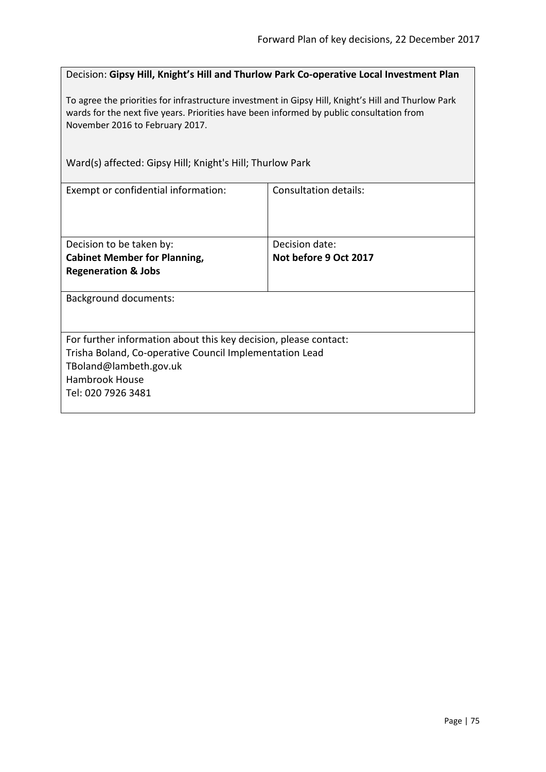Decision: **Gipsy Hill, Knight's Hill and Thurlow Park Co-operative Local Investment Plan**

To agree the priorities for infrastructure investment in Gipsy Hill, Knight's Hill and Thurlow Park wards for the next five years. Priorities have been informed by public consultation from November 2016 to February 2017.

Ward(s) affected: Gipsy Hill; Knight's Hill; Thurlow Park

| Exempt or confidential information:                              | Consultation details: |  |
|------------------------------------------------------------------|-----------------------|--|
|                                                                  |                       |  |
| Decision to be taken by:                                         | Decision date:        |  |
| <b>Cabinet Member for Planning,</b>                              | Not before 9 Oct 2017 |  |
| <b>Regeneration &amp; Jobs</b>                                   |                       |  |
| <b>Background documents:</b>                                     |                       |  |
| For further information about this key decision, please contact: |                       |  |
| Trisha Boland, Co-operative Council Implementation Lead          |                       |  |
| TBoland@lambeth.gov.uk                                           |                       |  |
| Hambrook House                                                   |                       |  |
| Tel: 020 7926 3481                                               |                       |  |
|                                                                  |                       |  |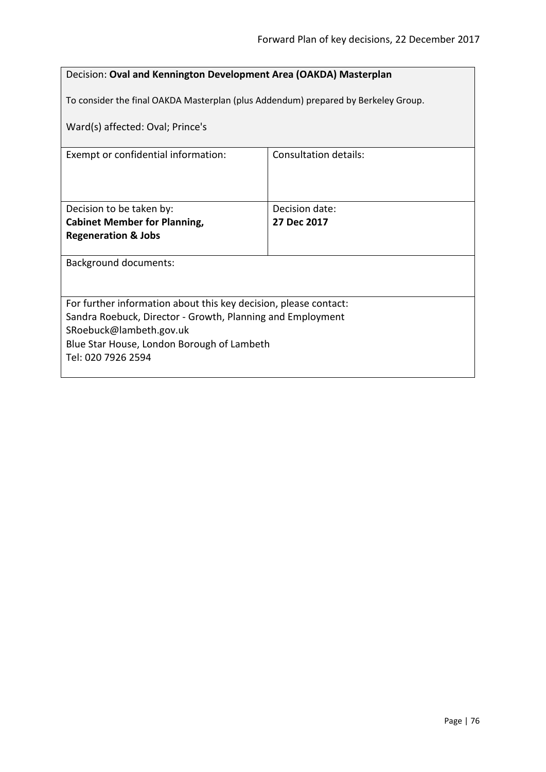| Decision: Oval and Kennington Development Area (OAKDA) Masterplan                  |                               |  |
|------------------------------------------------------------------------------------|-------------------------------|--|
| To consider the final OAKDA Masterplan (plus Addendum) prepared by Berkeley Group. |                               |  |
| Ward(s) affected: Oval; Prince's                                                   |                               |  |
| Exempt or confidential information:                                                | Consultation details:         |  |
|                                                                                    |                               |  |
| Decision to be taken by:<br><b>Cabinet Member for Planning,</b>                    | Decision date:<br>27 Dec 2017 |  |
| <b>Regeneration &amp; Jobs</b>                                                     |                               |  |
| <b>Background documents:</b>                                                       |                               |  |
|                                                                                    |                               |  |
| For further information about this key decision, please contact:                   |                               |  |
| Sandra Roebuck, Director - Growth, Planning and Employment                         |                               |  |
| SRoebuck@lambeth.gov.uk<br>Blue Star House, London Borough of Lambeth              |                               |  |
| Tel: 020 7926 2594                                                                 |                               |  |
|                                                                                    |                               |  |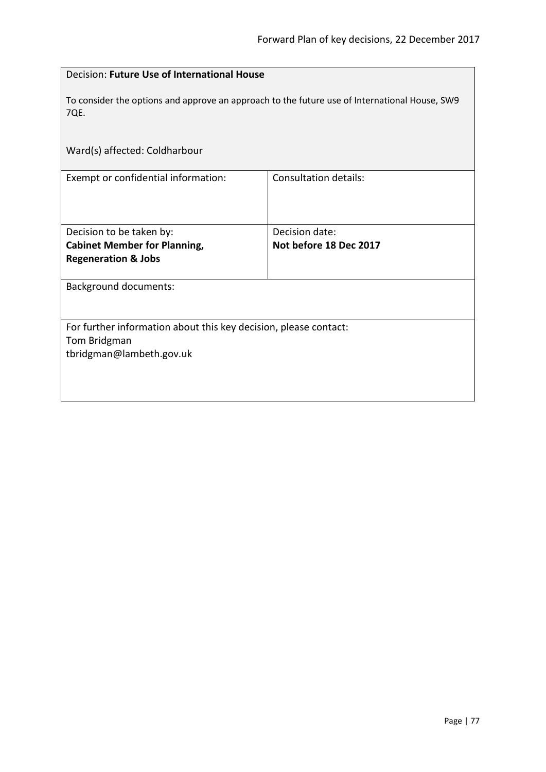| Decision: Future Use of International House                                                                  |                              |  |
|--------------------------------------------------------------------------------------------------------------|------------------------------|--|
| To consider the options and approve an approach to the future use of International House, SW9<br><b>7QE.</b> |                              |  |
| Ward(s) affected: Coldharbour                                                                                |                              |  |
| Exempt or confidential information:                                                                          | <b>Consultation details:</b> |  |
| Decision to be taken by:                                                                                     | Decision date:               |  |
| <b>Cabinet Member for Planning,</b>                                                                          | Not before 18 Dec 2017       |  |
| <b>Regeneration &amp; Jobs</b>                                                                               |                              |  |
| <b>Background documents:</b>                                                                                 |                              |  |
| For further information about this key decision, please contact:<br>Tom Bridgman<br>tbridgman@lambeth.gov.uk |                              |  |
|                                                                                                              |                              |  |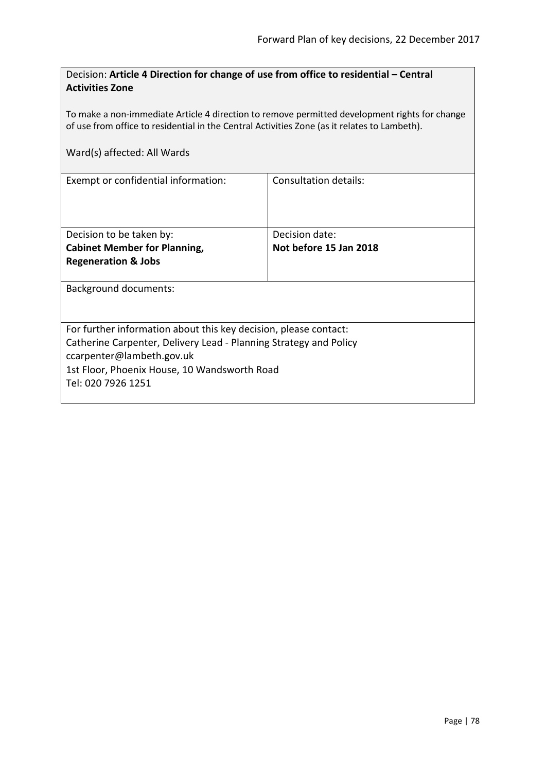| Decision: Article 4 Direction for change of use from office to residential - Central |  |
|--------------------------------------------------------------------------------------|--|
| <b>Activities Zone</b>                                                               |  |

To make a non-immediate Article 4 direction to remove permitted development rights for change of use from office to residential in the Central Activities Zone (as it relates to Lambeth).

|  | Ward(s) affected: All Wards |  |  |
|--|-----------------------------|--|--|
|--|-----------------------------|--|--|

| Exempt or confidential information:                               | Consultation details:  |  |
|-------------------------------------------------------------------|------------------------|--|
|                                                                   |                        |  |
|                                                                   |                        |  |
| Decision to be taken by:                                          | Decision date:         |  |
| <b>Cabinet Member for Planning,</b>                               | Not before 15 Jan 2018 |  |
| <b>Regeneration &amp; Jobs</b>                                    |                        |  |
|                                                                   |                        |  |
| Background documents:                                             |                        |  |
|                                                                   |                        |  |
|                                                                   |                        |  |
| For further information about this key decision, please contact:  |                        |  |
| Catherine Carpenter, Delivery Lead - Planning Strategy and Policy |                        |  |
| ccarpenter@lambeth.gov.uk                                         |                        |  |
| 1st Floor, Phoenix House, 10 Wandsworth Road                      |                        |  |
| Tel: 020 7926 1251                                                |                        |  |
|                                                                   |                        |  |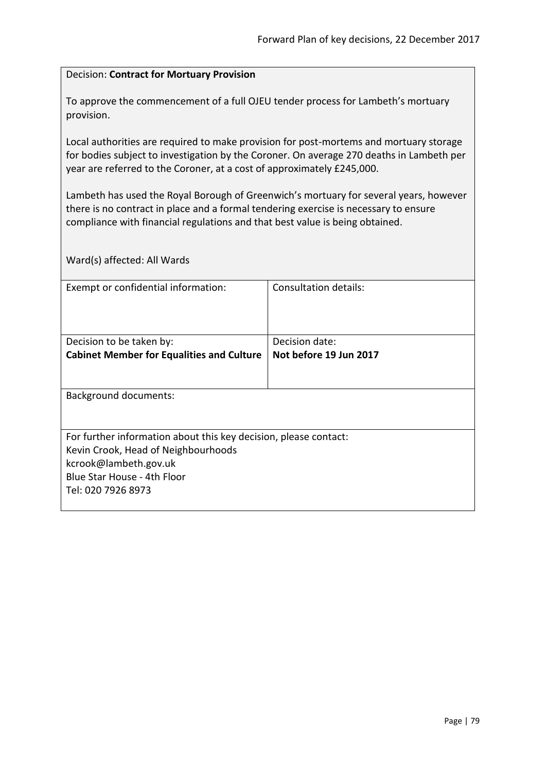### Decision: **Contract for Mortuary Provision**

To approve the commencement of a full OJEU tender process for Lambeth's mortuary provision.

Local authorities are required to make provision for post-mortems and mortuary storage for bodies subject to investigation by the Coroner. On average 270 deaths in Lambeth per year are referred to the Coroner, at a cost of approximately £245,000.

Lambeth has used the Royal Borough of Greenwich's mortuary for several years, however there is no contract in place and a formal tendering exercise is necessary to ensure compliance with financial regulations and that best value is being obtained.

Ward(s) affected: All Wards

| Exempt or confidential information:                              | Consultation details:  |
|------------------------------------------------------------------|------------------------|
|                                                                  |                        |
|                                                                  |                        |
| Decision to be taken by:                                         | Decision date:         |
| <b>Cabinet Member for Equalities and Culture</b>                 | Not before 19 Jun 2017 |
|                                                                  |                        |
|                                                                  |                        |
| <b>Background documents:</b>                                     |                        |
|                                                                  |                        |
|                                                                  |                        |
| For further information about this key decision, please contact: |                        |
| Kevin Crook, Head of Neighbourhoods                              |                        |
| kcrook@lambeth.gov.uk                                            |                        |
| Blue Star House - 4th Floor                                      |                        |
| Tel: 020 7926 8973                                               |                        |
|                                                                  |                        |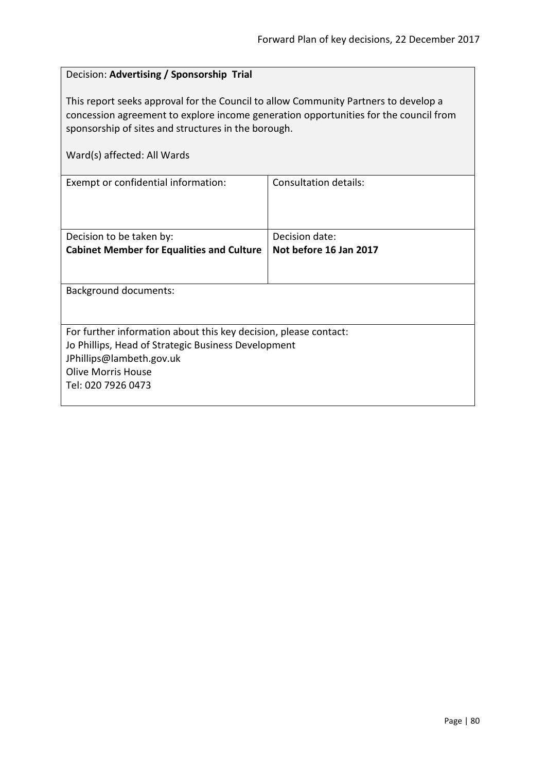# Decision: **Advertising / Sponsorship Trial** This report seeks approval for the Council to allow Community Partners to develop a concession agreement to explore income generation opportunities for the council from sponsorship of sites and structures in the borough. Ward(s) affected: All Wards Exempt or confidential information: Consultation details: Decision to be taken by: **Cabinet Member for Equalities and Culture** Decision date: **Not before 16 Jan 2017** Background documents: For further information about this key decision, please contact: Jo Phillips, Head of Strategic Business Development JPhillips@lambeth.gov.uk Olive Morris House Tel: 020 7926 0473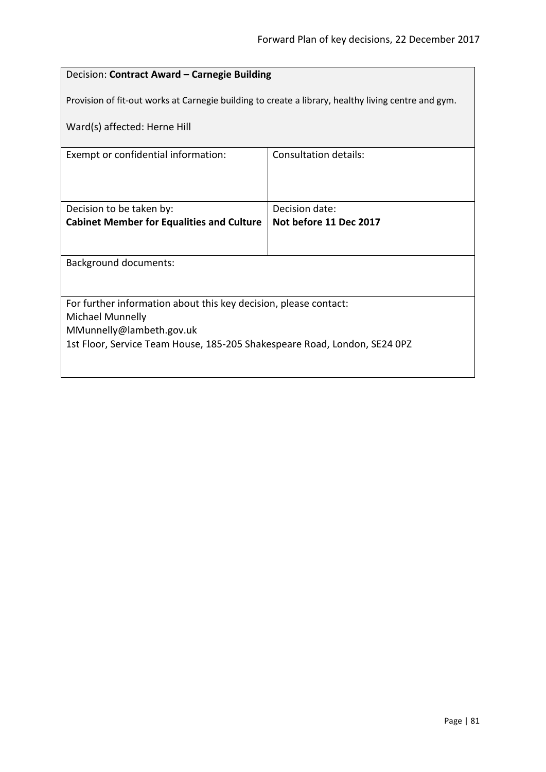## Decision: **Contract Award – Carnegie Building**

Provision of fit-out works at Carnegie building to create a library, healthy living centre and gym.

Ward(s) affected: Herne Hill

| Exempt or confidential information:                                       | Consultation details:  |  |
|---------------------------------------------------------------------------|------------------------|--|
|                                                                           |                        |  |
|                                                                           |                        |  |
|                                                                           |                        |  |
| Decision to be taken by:                                                  | Decision date:         |  |
| <b>Cabinet Member for Equalities and Culture</b>                          | Not before 11 Dec 2017 |  |
|                                                                           |                        |  |
|                                                                           |                        |  |
| <b>Background documents:</b>                                              |                        |  |
|                                                                           |                        |  |
|                                                                           |                        |  |
| For further information about this key decision, please contact:          |                        |  |
| Michael Munnelly                                                          |                        |  |
| MMunnelly@lambeth.gov.uk                                                  |                        |  |
| 1st Floor, Service Team House, 185-205 Shakespeare Road, London, SE24 0PZ |                        |  |
|                                                                           |                        |  |
|                                                                           |                        |  |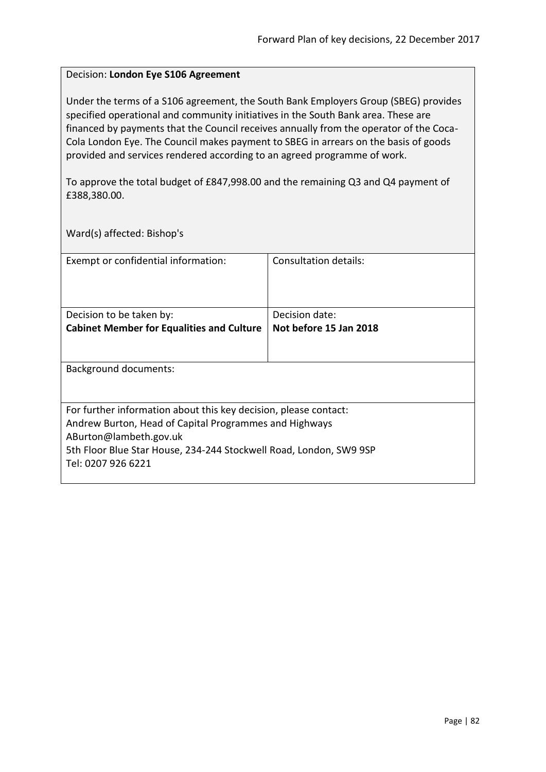### Decision: **London Eye S106 Agreement**

Under the terms of a S106 agreement, the South Bank Employers Group (SBEG) provides specified operational and community initiatives in the South Bank area. These are financed by payments that the Council receives annually from the operator of the Coca-Cola London Eye. The Council makes payment to SBEG in arrears on the basis of goods provided and services rendered according to an agreed programme of work.

To approve the total budget of £847,998.00 and the remaining Q3 and Q4 payment of £388,380.00.

Ward(s) affected: Bishop's

| Exempt or confidential information:                                                                                        | Consultation details:  |  |
|----------------------------------------------------------------------------------------------------------------------------|------------------------|--|
| Decision to be taken by:                                                                                                   | Decision date:         |  |
| <b>Cabinet Member for Equalities and Culture</b>                                                                           | Not before 15 Jan 2018 |  |
|                                                                                                                            |                        |  |
| Background documents:                                                                                                      |                        |  |
|                                                                                                                            |                        |  |
| For further information about this key decision, please contact:<br>Andrew Burton, Head of Capital Programmes and Highways |                        |  |
| ABurton@lambeth.gov.uk                                                                                                     |                        |  |
| 5th Floor Blue Star House, 234-244 Stockwell Road, London, SW9 9SP                                                         |                        |  |
| Tel: 0207 926 6221                                                                                                         |                        |  |
|                                                                                                                            |                        |  |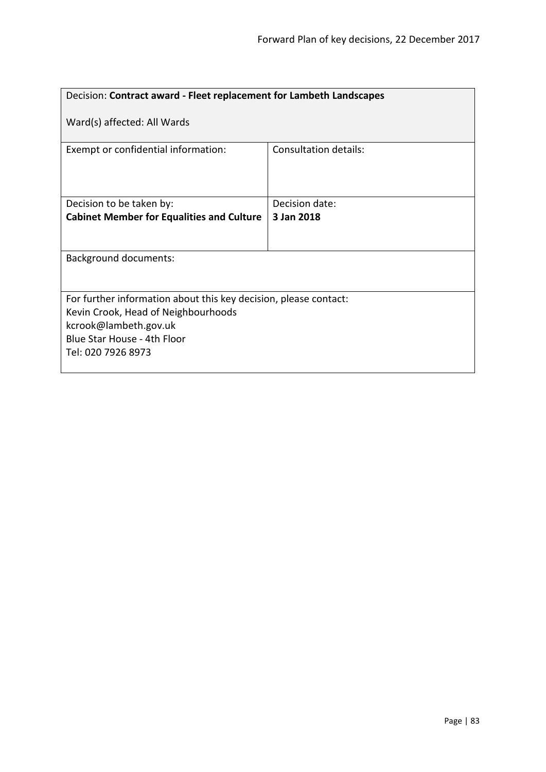| Decision: Contract award - Fleet replacement for Lambeth Landscapes |  |  |
|---------------------------------------------------------------------|--|--|
| Ward(s) affected: All Wards                                         |  |  |
| <b>Consultation details:</b>                                        |  |  |
| Decision date:                                                      |  |  |
| 3 Jan 2018                                                          |  |  |
|                                                                     |  |  |
|                                                                     |  |  |
|                                                                     |  |  |
| For further information about this key decision, please contact:    |  |  |
| Kevin Crook, Head of Neighbourhoods                                 |  |  |
| kcrook@lambeth.gov.uk                                               |  |  |
| Blue Star House - 4th Floor<br>Tel: 020 7926 8973                   |  |  |
|                                                                     |  |  |
| <b>Cabinet Member for Equalities and Culture</b>                    |  |  |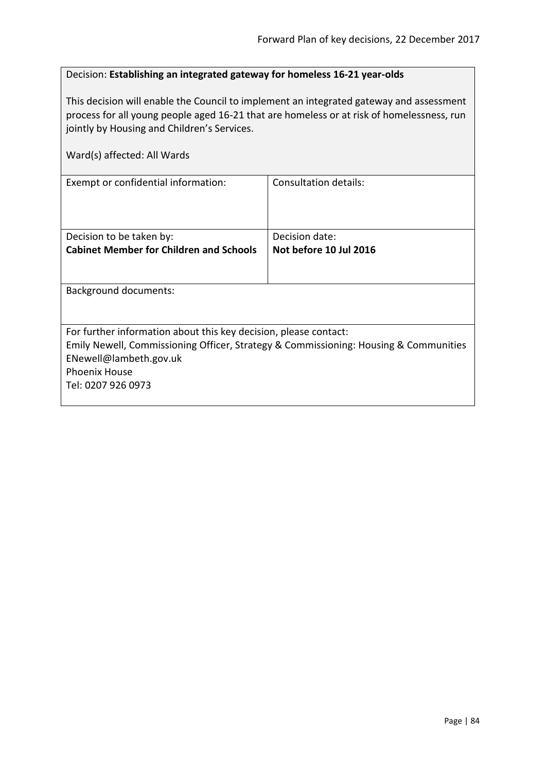| Decision: Establishing an integrated gateway for homeless 16-21 year-olds |
|---------------------------------------------------------------------------|
|---------------------------------------------------------------------------|

This decision will enable the Council to implement an integrated gateway and assessment process for all young people aged 16-21 that are homeless or at risk of homelessness, run jointly by Housing and Children's Services.

| Ward(s) affected: All Wards                                                                                                                                                                                                      |                                          |  |
|----------------------------------------------------------------------------------------------------------------------------------------------------------------------------------------------------------------------------------|------------------------------------------|--|
| Exempt or confidential information:                                                                                                                                                                                              | Consultation details:                    |  |
| Decision to be taken by:<br><b>Cabinet Member for Children and Schools</b>                                                                                                                                                       | Decision date:<br>Not before 10 Jul 2016 |  |
| Background documents:                                                                                                                                                                                                            |                                          |  |
| For further information about this key decision, please contact:<br>Emily Newell, Commissioning Officer, Strategy & Commissioning: Housing & Communities<br>ENewell@lambeth.gov.uk<br><b>Phoenix House</b><br>Tel: 0207 926 0973 |                                          |  |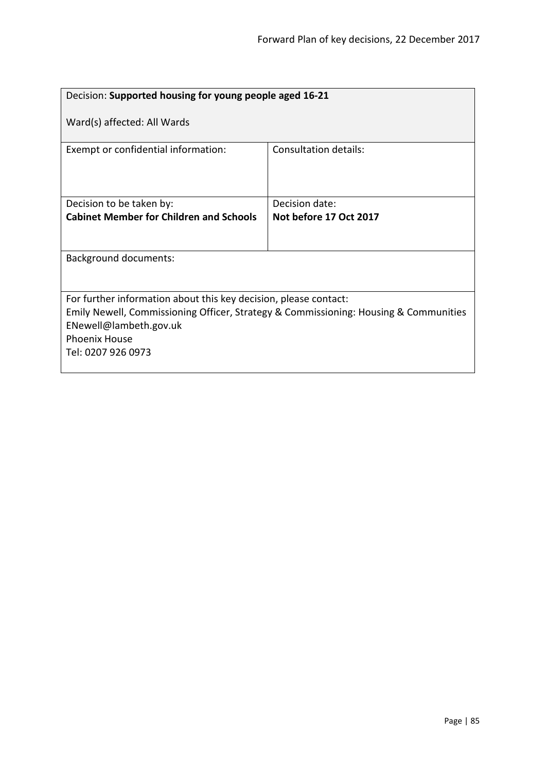| Decision: Supported housing for young people aged 16-21                                                                                                                                                                          |                        |  |
|----------------------------------------------------------------------------------------------------------------------------------------------------------------------------------------------------------------------------------|------------------------|--|
| Ward(s) affected: All Wards                                                                                                                                                                                                      |                        |  |
| Exempt or confidential information:                                                                                                                                                                                              | Consultation details:  |  |
| Decision to be taken by:                                                                                                                                                                                                         | Decision date:         |  |
| <b>Cabinet Member for Children and Schools</b>                                                                                                                                                                                   | Not before 17 Oct 2017 |  |
|                                                                                                                                                                                                                                  |                        |  |
| <b>Background documents:</b>                                                                                                                                                                                                     |                        |  |
|                                                                                                                                                                                                                                  |                        |  |
| For further information about this key decision, please contact:<br>Emily Newell, Commissioning Officer, Strategy & Commissioning: Housing & Communities<br>ENewell@lambeth.gov.uk<br><b>Phoenix House</b><br>Tel: 0207 926 0973 |                        |  |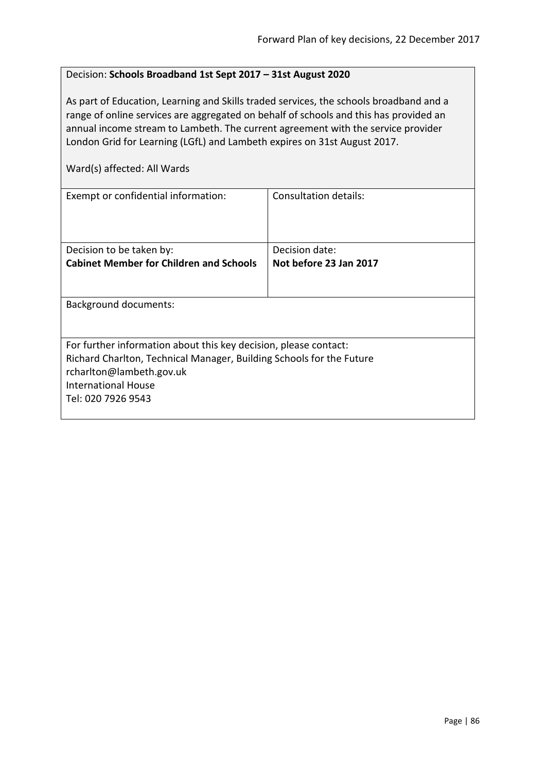### Decision: **Schools Broadband 1st Sept 2017 – 31st August 2020**

As part of Education, Learning and Skills traded services, the schools broadband and a range of online services are aggregated on behalf of schools and this has provided an annual income stream to Lambeth. The current agreement with the service provider London Grid for Learning (LGfL) and Lambeth expires on 31st August 2017.

Ward(s) affected: All Wards

| Exempt or confidential information:                                  | Consultation details:  |
|----------------------------------------------------------------------|------------------------|
| Decision to be taken by:                                             | Decision date:         |
| <b>Cabinet Member for Children and Schools</b>                       | Not before 23 Jan 2017 |
|                                                                      |                        |
| <b>Background documents:</b>                                         |                        |
|                                                                      |                        |
| For further information about this key decision, please contact:     |                        |
| Richard Charlton, Technical Manager, Building Schools for the Future |                        |
| rcharlton@lambeth.gov.uk                                             |                        |
| <b>International House</b>                                           |                        |
| Tel: 020 7926 9543                                                   |                        |
|                                                                      |                        |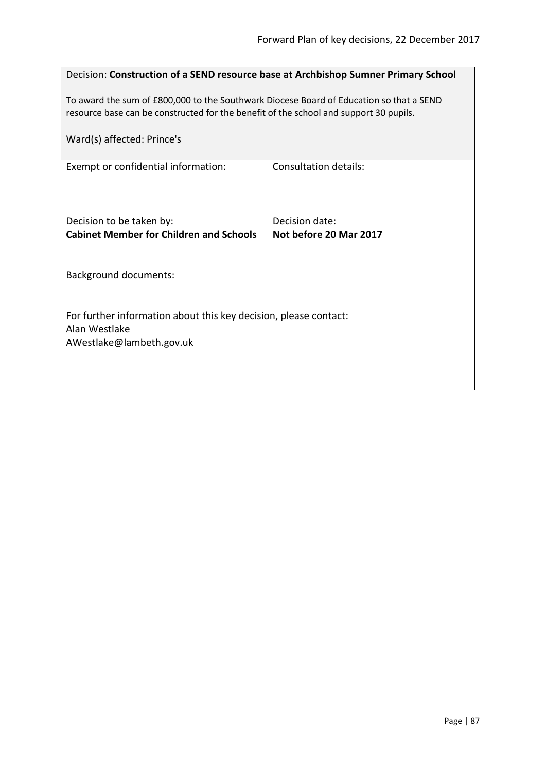| Decision: Construction of a SEND resource base at Archbishop Sumner Primary School                                                                                               |                        |  |
|----------------------------------------------------------------------------------------------------------------------------------------------------------------------------------|------------------------|--|
| To award the sum of £800,000 to the Southwark Diocese Board of Education so that a SEND<br>resource base can be constructed for the benefit of the school and support 30 pupils. |                        |  |
| Ward(s) affected: Prince's                                                                                                                                                       |                        |  |
| Exempt or confidential information:                                                                                                                                              | Consultation details:  |  |
|                                                                                                                                                                                  |                        |  |
| Decision to be taken by:                                                                                                                                                         | Decision date:         |  |
| <b>Cabinet Member for Children and Schools</b>                                                                                                                                   | Not before 20 Mar 2017 |  |
| <b>Background documents:</b>                                                                                                                                                     |                        |  |
|                                                                                                                                                                                  |                        |  |
| For further information about this key decision, please contact:<br>Alan Westlake                                                                                                |                        |  |
| AWestlake@lambeth.gov.uk                                                                                                                                                         |                        |  |
|                                                                                                                                                                                  |                        |  |
|                                                                                                                                                                                  |                        |  |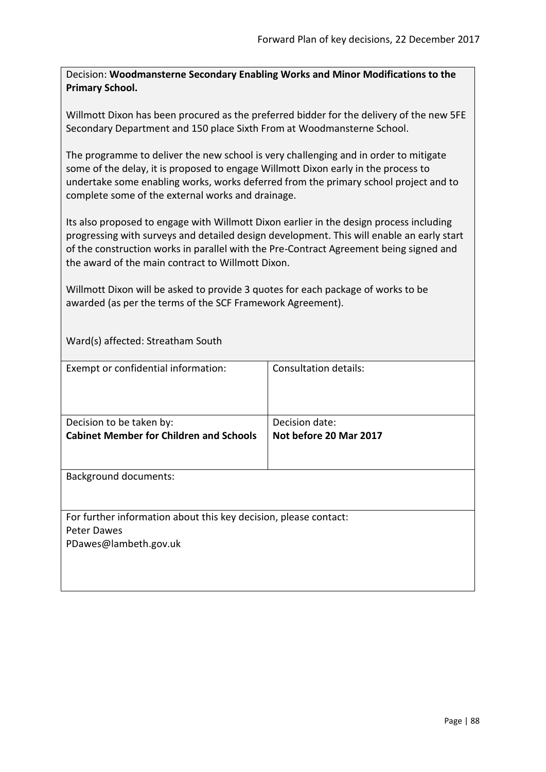Decision: **Woodmansterne Secondary Enabling Works and Minor Modifications to the Primary School.**

Willmott Dixon has been procured as the preferred bidder for the delivery of the new 5FE Secondary Department and 150 place Sixth From at Woodmansterne School.

The programme to deliver the new school is very challenging and in order to mitigate some of the delay, it is proposed to engage Willmott Dixon early in the process to undertake some enabling works, works deferred from the primary school project and to complete some of the external works and drainage.

Its also proposed to engage with Willmott Dixon earlier in the design process including progressing with surveys and detailed design development. This will enable an early start of the construction works in parallel with the Pre-Contract Agreement being signed and the award of the main contract to Willmott Dixon.

Willmott Dixon will be asked to provide 3 quotes for each package of works to be awarded (as per the terms of the SCF Framework Agreement).

Ward(s) affected: Streatham South

| Exempt or confidential information:                                                                      | Consultation details:                    |
|----------------------------------------------------------------------------------------------------------|------------------------------------------|
| Decision to be taken by:<br><b>Cabinet Member for Children and Schools</b>                               | Decision date:<br>Not before 20 Mar 2017 |
| <b>Background documents:</b>                                                                             |                                          |
| For further information about this key decision, please contact:<br>Peter Dawes<br>PDawes@lambeth.gov.uk |                                          |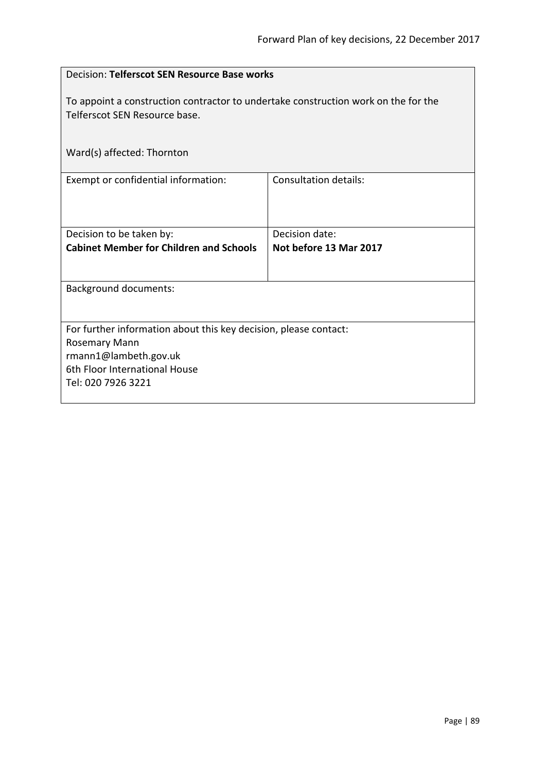| Decision: Telferscot SEN Resource Base works                                                                                                                             |                                          |  |
|--------------------------------------------------------------------------------------------------------------------------------------------------------------------------|------------------------------------------|--|
| To appoint a construction contractor to undertake construction work on the for the<br>Telferscot SEN Resource base.                                                      |                                          |  |
| Ward(s) affected: Thornton                                                                                                                                               |                                          |  |
| Exempt or confidential information:                                                                                                                                      | <b>Consultation details:</b>             |  |
| Decision to be taken by:<br><b>Cabinet Member for Children and Schools</b>                                                                                               | Decision date:<br>Not before 13 Mar 2017 |  |
| <b>Background documents:</b>                                                                                                                                             |                                          |  |
| For further information about this key decision, please contact:<br><b>Rosemary Mann</b><br>rmann1@lambeth.gov.uk<br>6th Floor International House<br>Tel: 020 7926 3221 |                                          |  |